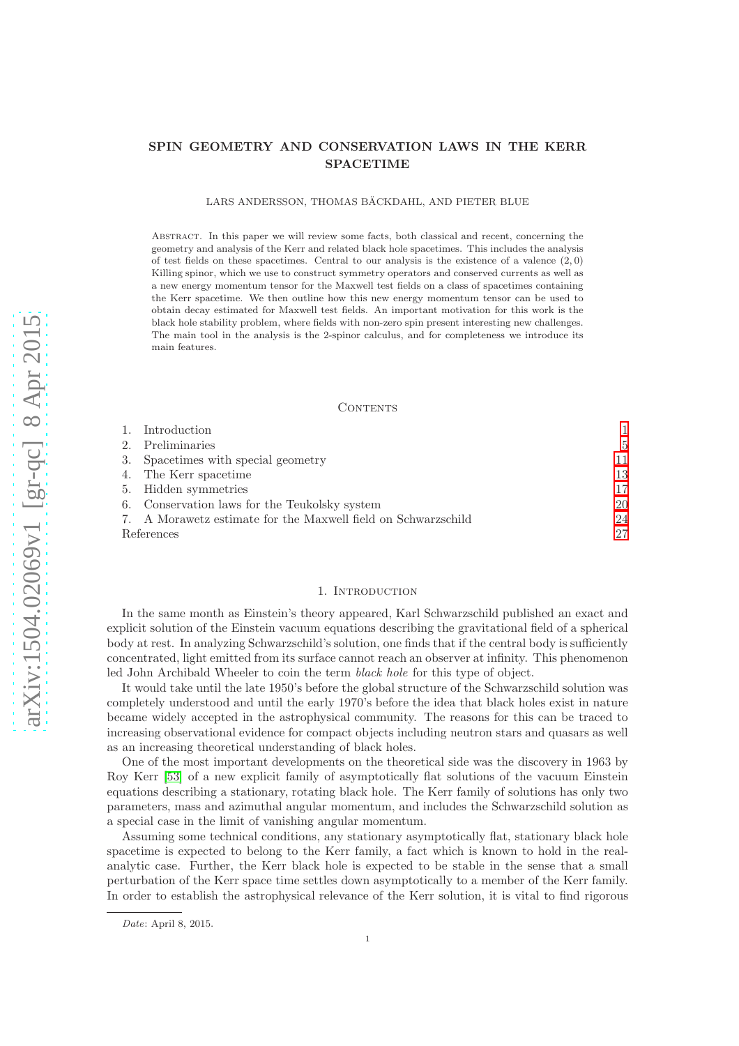# SPIN GEOMETRY AND CONSERVATION LAWS IN THE KERR SPACETIME

LARS ANDERSSON, THOMAS BÄCKDAHL, AND PIETER BLUE

Abstract. In this paper we will review some facts, both classical and recent, concerning the geometry and analysis of the Kerr and related black hole spacetimes. This includes the analysis of test fields on these spacetimes. Central to our analysis is the existence of a valence  $(2, 0)$ Killing spinor, which we use to construct symmetry operators and conserved currents as well as a new energy momentum tensor for the Maxwell test fields on a class of spacetimes containing the Kerr spacetime. We then outline how this new energy momentum tensor can be used to obtain decay estimated for Maxwell test fields. An important motivation for this work is the black hole stability problem, where fields with non-zero spin present interesting new challenges. The main tool in the analysis is the 2-spinor calculus, and for completeness we introduce its main features.

#### CONTENTS

|            | 1. Introduction                                               |     |
|------------|---------------------------------------------------------------|-----|
|            | 2. Preliminaries                                              | 5   |
|            | 3. Spacetimes with special geometry                           | 11. |
|            | 4. The Kerr spacetime                                         | 13  |
|            | 5. Hidden symmetries                                          | 17  |
|            | 6. Conservation laws for the Teukolsky system                 | 20  |
|            | 7. A Morawetz estimate for the Maxwell field on Schwarzschild | 24  |
| References |                                                               | 27  |

#### 1. INTRODUCTION

<span id="page-0-0"></span>In the same month as Einstein's theory appeared, Karl Schwarzschild published an exact and explicit solution of the Einstein vacuum equations describing the gravitational field of a spherical body at rest. In analyzing Schwarzschild's solution, one finds that if the central body is sufficiently concentrated, light emitted from its surface cannot reach an observer at infinity. This phenomenon led John Archibald Wheeler to coin the term black hole for this type of object.

It would take until the late 1950's before the global structure of the Schwarzschild solution was completely understood and until the early 1970's before the idea that black holes exist in nature became widely accepted in the astrophysical community. The reasons for this can be traced to increasing observational evidence for compact objects including neutron stars and quasars as well as an increasing theoretical understanding of black holes.

One of the most important developments on the theoretical side was the discovery in 1963 by Roy Kerr [\[53\]](#page-28-0) of a new explicit family of asymptotically flat solutions of the vacuum Einstein equations describing a stationary, rotating black hole. The Kerr family of solutions has only two parameters, mass and azimuthal angular momentum, and includes the Schwarzschild solution as a special case in the limit of vanishing angular momentum.

Assuming some technical conditions, any stationary asymptotically flat, stationary black hole spacetime is expected to belong to the Kerr family, a fact which is known to hold in the realanalytic case. Further, the Kerr black hole is expected to be stable in the sense that a small perturbation of the Kerr space time settles down asymptotically to a member of the Kerr family. In order to establish the astrophysical relevance of the Kerr solution, it is vital to find rigorous

Date: April 8, 2015.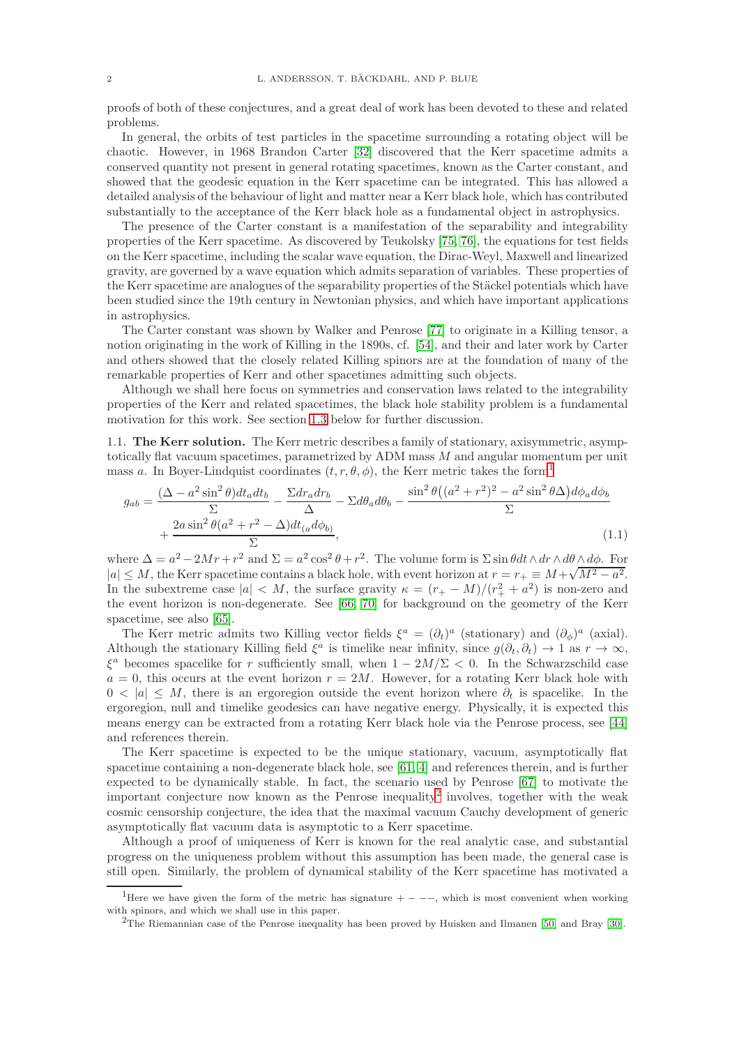proofs of both of these conjectures, and a great deal of work has been devoted to these and related problems.

In general, the orbits of test particles in the spacetime surrounding a rotating object will be chaotic. However, in 1968 Brandon Carter [\[32\]](#page-27-0) discovered that the Kerr spacetime admits a conserved quantity not present in general rotating spacetimes, known as the Carter constant, and showed that the geodesic equation in the Kerr spacetime can be integrated. This has allowed a detailed analysis of the behaviour of light and matter near a Kerr black hole, which has contributed substantially to the acceptance of the Kerr black hole as a fundamental object in astrophysics.

The presence of the Carter constant is a manifestation of the separability and integrability properties of the Kerr spacetime. As discovered by Teukolsky [\[75,](#page-29-0) [76\]](#page-29-1), the equations for test fields on the Kerr spacetime, including the scalar wave equation, the Dirac-Weyl, Maxwell and linearized gravity, are governed by a wave equation which admits separation of variables. These properties of the Kerr spacetime are analogues of the separability properties of the Stäckel potentials which have been studied since the 19th century in Newtonian physics, and which have important applications in astrophysics.

The Carter constant was shown by Walker and Penrose [\[77\]](#page-29-2) to originate in a Killing tensor, a notion originating in the work of Killing in the 1890s, cf. [\[54\]](#page-28-1), and their and later work by Carter and others showed that the closely related Killing spinors are at the foundation of many of the remarkable properties of Kerr and other spacetimes admitting such objects.

Although we shall here focus on symmetries and conservation laws related to the integrability properties of the Kerr and related spacetimes, the black hole stability problem is a fundamental motivation for this work. See section [1.3](#page-3-0) below for further discussion.

1.1. The Kerr solution. The Kerr metric describes a family of stationary, axisymmetric, asymptotically flat vacuum spacetimes, parametrized by ADM mass M and angular momentum per unit mass a. In Boyer-Lindquist coordinates  $(t, r, \theta, \phi)$ , the Kerr metric takes the form<sup>[1](#page-1-0)</sup>

<span id="page-1-2"></span>
$$
g_{ab} = \frac{(\Delta - a^2 \sin^2 \theta)dt_a dt_b}{\Sigma} - \frac{\Sigma dr_a dr_b}{\Delta} - \Sigma d\theta_a d\theta_b - \frac{\sin^2 \theta ((a^2 + r^2)^2 - a^2 \sin^2 \theta \Delta) d\phi_a d\phi_b}{\Sigma}
$$
  
+ 
$$
\frac{2a \sin^2 \theta (a^2 + r^2 - \Delta) dt_{(a} d\phi_b)}{\Sigma},
$$
(1.1)

where  $\Delta = a^2 - 2Mr + r^2$  and  $\Sigma = a^2 \cos^2 \theta + r^2$ . The volume form is  $\Sigma \sin \theta dt \wedge dr \wedge d\theta \wedge d\phi$ . For  $|a| \leq M$ , the Kerr spacetime contains a black hole, with event horizon at  $r = r_+ \equiv M + \sqrt{M^2 - a^2}$ . In the subextreme case  $|a| < M$ , the surface gravity  $\kappa = (r_+ - M)/(r_+^2 + a^2)$  is non-zero and the event horizon is non-degenerate. See [\[66,](#page-28-2) [70\]](#page-28-3) for background on the geometry of the Kerr spacetime, see also [\[65\]](#page-28-4).

The Kerr metric admits two Killing vector fields  $\xi^a = (\partial_t)^a$  (stationary) and  $(\partial_\phi)^a$  (axial). Although the stationary Killing field  $\xi^a$  is timelike near infinity, since  $g(\partial_t, \partial_t) \to 1$  as  $r \to \infty$ ,  $\xi^a$  becomes spacelike for r sufficiently small, when  $1 - 2M/\Sigma < 0$ . In the Schwarzschild case  $a = 0$ , this occurs at the event horizon  $r = 2M$ . However, for a rotating Kerr black hole with  $0 < |a| \leq M$ , there is an ergoregion outside the event horizon where  $\partial_t$  is spacelike. In the ergoregion, null and timelike geodesics can have negative energy. Physically, it is expected this means energy can be extracted from a rotating Kerr black hole via the Penrose process, see [\[44\]](#page-28-5) and references therein.

The Kerr spacetime is expected to be the unique stationary, vacuum, asymptotically flat spacetime containing a non-degenerate black hole, see [\[61,](#page-28-6) [4\]](#page-26-1) and references therein, and is further expected to be dynamically stable. In fact, the scenario used by Penrose [\[67\]](#page-28-7) to motivate the important conjecture now known as the Penrose inequality<sup>[2](#page-1-1)</sup> involves, together with the weak cosmic censorship conjecture, the idea that the maximal vacuum Cauchy development of generic asymptotically flat vacuum data is asymptotic to a Kerr spacetime.

Although a proof of uniqueness of Kerr is known for the real analytic case, and substantial progress on the uniqueness problem without this assumption has been made, the general case is still open. Similarly, the problem of dynamical stability of the Kerr spacetime has motivated a

<sup>&</sup>lt;sup>1</sup>Here we have given the form of the metric has signature  $+ - - -$ , which is most convenient when working with spinors, and which we shall use in this paper.

<span id="page-1-1"></span><span id="page-1-0"></span><sup>2</sup>The Riemannian case of the Penrose inequality has been proved by Huisken and Ilmanen [\[50\]](#page-28-8) and Bray [\[30\]](#page-27-1).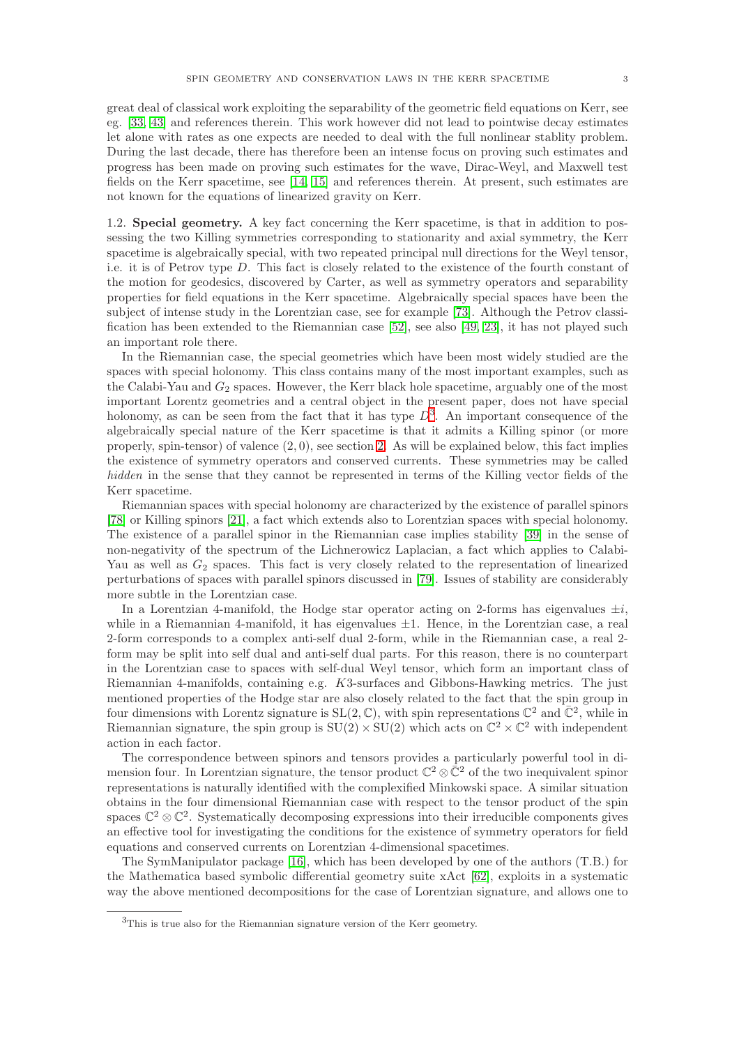great deal of classical work exploiting the separability of the geometric field equations on Kerr, see eg. [\[33,](#page-27-2) [43\]](#page-28-9) and references therein. This work however did not lead to pointwise decay estimates let alone with rates as one expects are needed to deal with the full nonlinear stablity problem. During the last decade, there has therefore been an intense focus on proving such estimates and progress has been made on proving such estimates for the wave, Dirac-Weyl, and Maxwell test fields on the Kerr spacetime, see [\[14,](#page-27-3) [15\]](#page-27-4) and references therein. At present, such estimates are not known for the equations of linearized gravity on Kerr.

1.2. Special geometry. A key fact concerning the Kerr spacetime, is that in addition to possessing the two Killing symmetries corresponding to stationarity and axial symmetry, the Kerr spacetime is algebraically special, with two repeated principal null directions for the Weyl tensor, i.e. it is of Petrov type D. This fact is closely related to the existence of the fourth constant of the motion for geodesics, discovered by Carter, as well as symmetry operators and separability properties for field equations in the Kerr spacetime. Algebraically special spaces have been the subject of intense study in the Lorentzian case, see for example [\[73\]](#page-29-3). Although the Petrov classification has been extended to the Riemannian case [\[52\]](#page-28-10), see also [\[49,](#page-28-11) [23\]](#page-27-5), it has not played such an important role there.

In the Riemannian case, the special geometries which have been most widely studied are the spaces with special holonomy. This class contains many of the most important examples, such as the Calabi-Yau and  $G_2$  spaces. However, the Kerr black hole spacetime, arguably one of the most important Lorentz geometries and a central object in the present paper, does not have special holonomy, as can be seen from the fact that it has type  $D^3$  $D^3$ . An important consequence of the algebraically special nature of the Kerr spacetime is that it admits a Killing spinor (or more properly, spin-tensor) of valence  $(2, 0)$ , see section [2.](#page-4-0) As will be explained below, this fact implies the existence of symmetry operators and conserved currents. These symmetries may be called hidden in the sense that they cannot be represented in terms of the Killing vector fields of the Kerr spacetime.

Riemannian spaces with special holonomy are characterized by the existence of parallel spinors [\[78\]](#page-29-4) or Killing spinors [\[21\]](#page-27-6), a fact which extends also to Lorentzian spaces with special holonomy. The existence of a parallel spinor in the Riemannian case implies stability [\[39\]](#page-28-12) in the sense of non-negativity of the spectrum of the Lichnerowicz Laplacian, a fact which applies to Calabi-Yau as well as  $G_2$  spaces. This fact is very closely related to the representation of linearized perturbations of spaces with parallel spinors discussed in [\[79\]](#page-29-5). Issues of stability are considerably more subtle in the Lorentzian case.

In a Lorentzian 4-manifold, the Hodge star operator acting on 2-forms has eigenvalues  $\pm i$ , while in a Riemannian 4-manifold, it has eigenvalues  $\pm 1$ . Hence, in the Lorentzian case, a real 2-form corresponds to a complex anti-self dual 2-form, while in the Riemannian case, a real 2 form may be split into self dual and anti-self dual parts. For this reason, there is no counterpart in the Lorentzian case to spaces with self-dual Weyl tensor, which form an important class of Riemannian 4-manifolds, containing e.g. K3-surfaces and Gibbons-Hawking metrics. The just mentioned properties of the Hodge star are also closely related to the fact that the spin group in four dimensions with Lorentz signature is  $SL(2,\mathbb{C})$ , with spin representations  $\mathbb{C}^2$  and  $\mathbb{C}^2$ , while in Riemannian signature, the spin group is  $SU(2) \times SU(2)$  which acts on  $\mathbb{C}^2 \times \mathbb{C}^2$  with independent action in each factor.

The correspondence between spinors and tensors provides a particularly powerful tool in dimension four. In Lorentzian signature, the tensor product  $\mathbb{C}^2 \otimes \bar{\mathbb{C}}^2$  of the two inequivalent spinor representations is naturally identified with the complexified Minkowski space. A similar situation obtains in the four dimensional Riemannian case with respect to the tensor product of the spin spaces  $\mathbb{C}^2 \otimes \mathbb{C}^2$ . Systematically decomposing expressions into their irreducible components gives an effective tool for investigating the conditions for the existence of symmetry operators for field equations and conserved currents on Lorentzian 4-dimensional spacetimes.

The SymManipulator package [\[16\]](#page-27-7), which has been developed by one of the authors (T.B.) for the Mathematica based symbolic differential geometry suite xAct [\[62\]](#page-28-13), exploits in a systematic way the above mentioned decompositions for the case of Lorentzian signature, and allows one to

<span id="page-2-0"></span><sup>3</sup>This is true also for the Riemannian signature version of the Kerr geometry.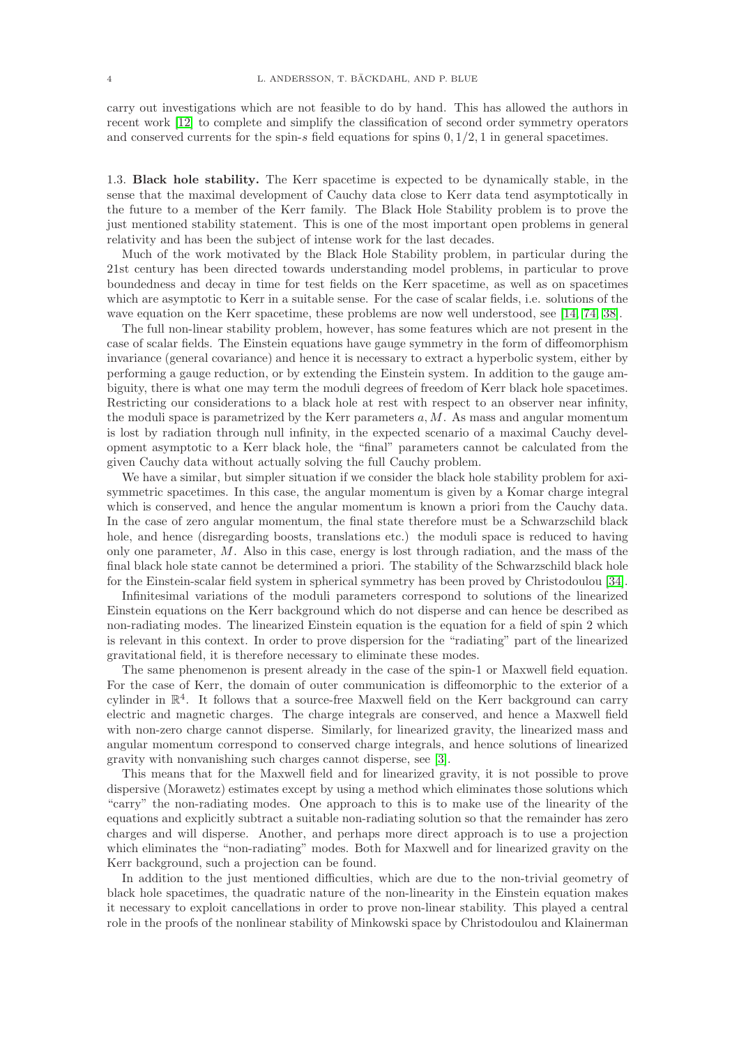carry out investigations which are not feasible to do by hand. This has allowed the authors in recent work [\[12\]](#page-27-8) to complete and simplify the classification of second order symmetry operators and conserved currents for the spin-s field equations for spins  $0, 1/2, 1$  in general spacetimes.

<span id="page-3-0"></span>1.3. Black hole stability. The Kerr spacetime is expected to be dynamically stable, in the sense that the maximal development of Cauchy data close to Kerr data tend asymptotically in the future to a member of the Kerr family. The Black Hole Stability problem is to prove the just mentioned stability statement. This is one of the most important open problems in general relativity and has been the subject of intense work for the last decades.

Much of the work motivated by the Black Hole Stability problem, in particular during the 21st century has been directed towards understanding model problems, in particular to prove boundedness and decay in time for test fields on the Kerr spacetime, as well as on spacetimes which are asymptotic to Kerr in a suitable sense. For the case of scalar fields, i.e. solutions of the wave equation on the Kerr spacetime, these problems are now well understood, see [\[14,](#page-27-3) [74,](#page-29-6) [38\]](#page-28-14).

The full non-linear stability problem, however, has some features which are not present in the case of scalar fields. The Einstein equations have gauge symmetry in the form of diffeomorphism invariance (general covariance) and hence it is necessary to extract a hyperbolic system, either by performing a gauge reduction, or by extending the Einstein system. In addition to the gauge ambiguity, there is what one may term the moduli degrees of freedom of Kerr black hole spacetimes. Restricting our considerations to a black hole at rest with respect to an observer near infinity, the moduli space is parametrized by the Kerr parameters  $a, M$ . As mass and angular momentum is lost by radiation through null infinity, in the expected scenario of a maximal Cauchy development asymptotic to a Kerr black hole, the "final" parameters cannot be calculated from the given Cauchy data without actually solving the full Cauchy problem.

We have a similar, but simpler situation if we consider the black hole stability problem for axisymmetric spacetimes. In this case, the angular momentum is given by a Komar charge integral which is conserved, and hence the angular momentum is known a priori from the Cauchy data. In the case of zero angular momentum, the final state therefore must be a Schwarzschild black hole, and hence (disregarding boosts, translations etc.) the moduli space is reduced to having only one parameter, M. Also in this case, energy is lost through radiation, and the mass of the final black hole state cannot be determined a priori. The stability of the Schwarzschild black hole for the Einstein-scalar field system in spherical symmetry has been proved by Christodoulou [\[34\]](#page-27-9).

Infinitesimal variations of the moduli parameters correspond to solutions of the linearized Einstein equations on the Kerr background which do not disperse and can hence be described as non-radiating modes. The linearized Einstein equation is the equation for a field of spin 2 which is relevant in this context. In order to prove dispersion for the "radiating" part of the linearized gravitational field, it is therefore necessary to eliminate these modes.

The same phenomenon is present already in the case of the spin-1 or Maxwell field equation. For the case of Kerr, the domain of outer communication is diffeomorphic to the exterior of a cylinder in  $\mathbb{R}^4$ . It follows that a source-free Maxwell field on the Kerr background can carry electric and magnetic charges. The charge integrals are conserved, and hence a Maxwell field with non-zero charge cannot disperse. Similarly, for linearized gravity, the linearized mass and angular momentum correspond to conserved charge integrals, and hence solutions of linearized gravity with nonvanishing such charges cannot disperse, see [\[3\]](#page-26-2).

This means that for the Maxwell field and for linearized gravity, it is not possible to prove dispersive (Morawetz) estimates except by using a method which eliminates those solutions which "carry" the non-radiating modes. One approach to this is to make use of the linearity of the equations and explicitly subtract a suitable non-radiating solution so that the remainder has zero charges and will disperse. Another, and perhaps more direct approach is to use a projection which eliminates the "non-radiating" modes. Both for Maxwell and for linearized gravity on the Kerr background, such a projection can be found.

In addition to the just mentioned difficulties, which are due to the non-trivial geometry of black hole spacetimes, the quadratic nature of the non-linearity in the Einstein equation makes it necessary to exploit cancellations in order to prove non-linear stability. This played a central role in the proofs of the nonlinear stability of Minkowski space by Christodoulou and Klainerman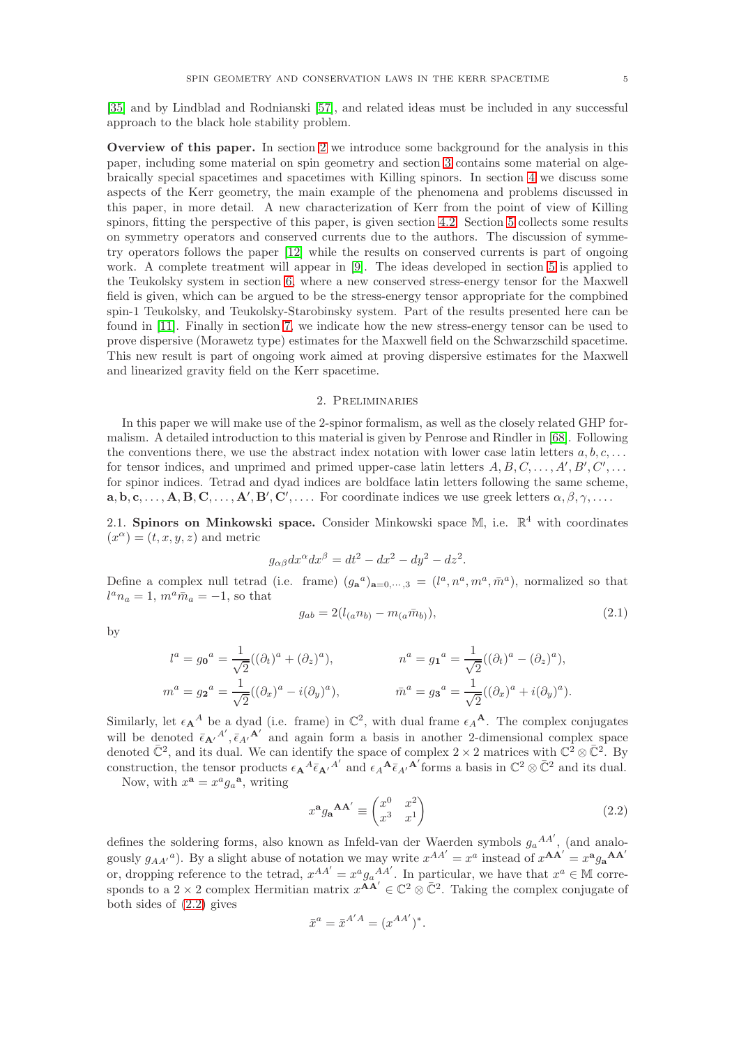[\[35\]](#page-27-10) and by Lindblad and Rodnianski [\[57\]](#page-28-15), and related ideas must be included in any successful approach to the black hole stability problem.

Overview of this paper. In section [2](#page-4-0) we introduce some background for the analysis in this paper, including some material on spin geometry and section [3](#page-10-0) contains some material on algebraically special spacetimes and spacetimes with Killing spinors. In section [4](#page-12-0) we discuss some aspects of the Kerr geometry, the main example of the phenomena and problems discussed in this paper, in more detail. A new characterization of Kerr from the point of view of Killing spinors, fitting the perspective of this paper, is given section [4.2.](#page-15-0) Section [5](#page-16-0) collects some results on symmetry operators and conserved currents due to the authors. The discussion of symmetry operators follows the paper [\[12\]](#page-27-8) while the results on conserved currents is part of ongoing work. A complete treatment will appear in [\[9\]](#page-27-11). The ideas developed in section [5](#page-16-0) is applied to the Teukolsky system in section [6,](#page-19-0) where a new conserved stress-energy tensor for the Maxwell field is given, which can be argued to be the stress-energy tensor appropriate for the compbined spin-1 Teukolsky, and Teukolsky-Starobinsky system. Part of the results presented here can be found in [\[11\]](#page-27-12). Finally in section [7,](#page-23-0) we indicate how the new stress-energy tensor can be used to prove dispersive (Morawetz type) estimates for the Maxwell field on the Schwarzschild spacetime. This new result is part of ongoing work aimed at proving dispersive estimates for the Maxwell and linearized gravity field on the Kerr spacetime.

#### 2. Preliminaries

<span id="page-4-0"></span>In this paper we will make use of the 2-spinor formalism, as well as the closely related GHP formalism. A detailed introduction to this material is given by Penrose and Rindler in [\[68\]](#page-28-16). Following the conventions there, we use the abstract index notation with lower case latin letters  $a, b, c, \ldots$ for tensor indices, and unprimed and primed upper-case latin letters  $A, B, C, \ldots, A', B', C', \ldots$ for spinor indices. Tetrad and dyad indices are boldface latin letters following the same scheme,  $\mathbf{a}, \mathbf{b}, \mathbf{c}, \ldots, \mathbf{A}, \mathbf{B}, \mathbf{C}, \ldots, \mathbf{A}', \mathbf{B}', \mathbf{C}', \ldots$  For coordinate indices we use greek letters  $\alpha, \beta, \gamma, \ldots$ 

2.1. Spinors on Minkowski space. Consider Minkowski space M, i.e.  $\mathbb{R}^4$  with coordinates  $(x^{\alpha}) = (t, x, y, z)$  and metric

$$
g_{\alpha\beta}dx^{\alpha}dx^{\beta} = dt^2 - dx^2 - dy^2 - dz^2.
$$

Define a complex null tetrad (i.e. frame)  $(g_a^a)_{a=0,\dots,3} = (l^a, n^a, m^a, \bar{m}^a)$ , normalized so that  $l^a n_a = 1$ ,  $m^a \bar{m}_a = -1$ , so that

$$
g_{ab} = 2(l_{(a}n_{b)} - m_{(a}\bar{m}_{b)}),
$$
\n(2.1)

by

$$
l^{a} = g_{0}{}^{a} = \frac{1}{\sqrt{2}}((\partial_{t})^{a} + (\partial_{z})^{a}), \qquad n^{a} = g_{1}{}^{a} = \frac{1}{\sqrt{2}}((\partial_{t})^{a} - (\partial_{z})^{a}),
$$
  

$$
m^{a} = g_{2}{}^{a} = \frac{1}{\sqrt{2}}((\partial_{x})^{a} - i(\partial_{y})^{a}), \qquad \bar{m}^{a} = g_{3}{}^{a} = \frac{1}{\sqrt{2}}((\partial_{x})^{a} + i(\partial_{y})^{a}).
$$

Similarly, let  $\epsilon_{\mathbf{A}}{}^A$  be a dyad (i.e. frame) in  $\mathbb{C}^2$ , with dual frame  $\epsilon_{\mathbf{A}}{}^{\mathbf{A}}$ . The complex conjugates will be denoted  $\bar{\epsilon}_{\mathbf{A'}}{}^{A'}, \bar{\epsilon}_{A'}{}^{\mathbf{A'}}$  and again form a basis in another 2-dimensional complex space denoted  $\overline{\mathbb{C}}^2$ , and its dual. We can identify the space of complex  $2 \times 2$  matrices with  $\mathbb{C}^2 \otimes \overline{\mathbb{C}}^2$ . By construction, the tensor products  $\epsilon_{\mathbf{A}}{}^A \bar{\epsilon}_{\mathbf{A}'}{}^{A'}$  and  $\epsilon_A{}^{\mathbf{A}} \bar{\epsilon}_{A'}{}^{\mathbf{A}'}$  forms a basis in  $\mathbb{C}^2 \otimes \bar{\mathbb{C}}^2$  and its dual.

Now, with  $x^{\mathbf{a}} = x^a g_a^{\mathbf{a}},$  writing

<span id="page-4-1"></span>
$$
x^{\mathbf{a}}g_{\mathbf{a}}^{\mathbf{A}\mathbf{A}'} \equiv \begin{pmatrix} x^0 & x^2 \\ x^3 & x^1 \end{pmatrix}
$$
 (2.2)

defines the soldering forms, also known as Infeld-van der Waerden symbols  $g_a{}^{AA'}$ , (and analogously  $g_{AA'}^a$ ). By a slight abuse of notation we may write  $x^{AA'} = x^a$  instead of  $x^{AA'} = x^a g_a^{AA'}$ or, dropping reference to the tetrad,  $x^{AA'} = x^a g_a^{AA'}$ . In particular, we have that  $x^a \in \mathbb{M}$  corresponds to a  $2 \times 2$  complex Hermitian matrix  $x^{\widetilde{\mathbf{A}}\widetilde{\mathbf{A}}'} \in \mathbb{C}^2 \otimes \overline{\mathbb{C}}^2$ . Taking the complex conjugate of both sides of [\(2.2\)](#page-4-1) gives

$$
\bar{x}^a = \bar{x}^{A'A} = (x^{AA'})^*.
$$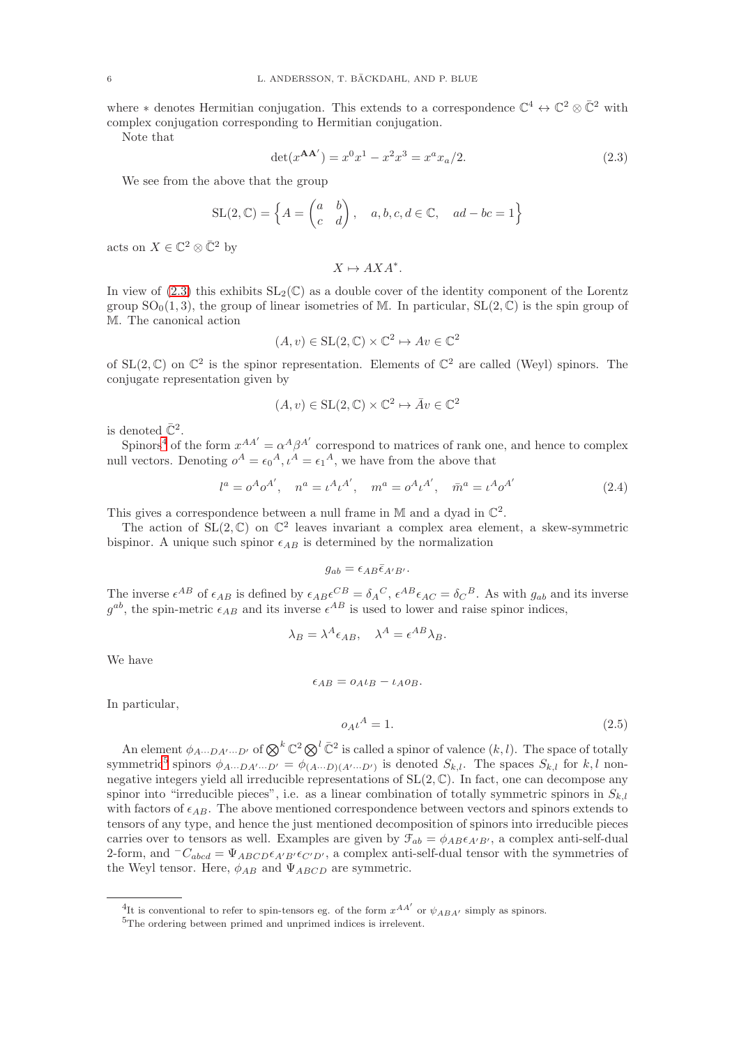where  $*$  denotes Hermitian conjugation. This extends to a correspondence  $\mathbb{C}^4 \leftrightarrow \mathbb{C}^2 \otimes \overline{\mathbb{C}}^2$  with complex conjugation corresponding to Hermitian conjugation.

Note that

<span id="page-5-0"></span>
$$
\det(x^{\mathbf{AA'}}) = x^0 x^1 - x^2 x^3 = x^a x_a / 2. \tag{2.3}
$$

We see from the above that the group

$$
SL(2, \mathbb{C}) = \left\{ A = \begin{pmatrix} a & b \\ c & d \end{pmatrix}, a, b, c, d \in \mathbb{C}, a d - bc = 1 \right\}
$$

acts on  $X \in \mathbb{C}^2 \otimes \overline{\mathbb{C}}^2$  by

 $X \mapsto AXA^*$ .

In view of [\(2.3\)](#page-5-0) this exhibits  $SL_2(\mathbb{C})$  as a double cover of the identity component of the Lorentz group  $SO_0(1,3)$ , the group of linear isometries of M. In particular,  $SL(2,\mathbb{C})$  is the spin group of M. The canonical action

$$
(A, v) \in SL(2, \mathbb{C}) \times \mathbb{C}^2 \mapsto Av \in \mathbb{C}^2
$$

of  $SL(2,\mathbb{C})$  on  $\mathbb{C}^2$  is the spinor representation. Elements of  $\mathbb{C}^2$  are called (Weyl) spinors. The conjugate representation given by

$$
(A, v) \in SL(2, \mathbb{C}) \times \mathbb{C}^2 \mapsto \bar{A}v \in \mathbb{C}^2
$$

is denoted  $\overline{\mathbb{C}}^2$ .

Spinors<sup>[4](#page-5-1)</sup> of the form  $x^{AA'} = \alpha^A \beta^{A'}$  correspond to matrices of rank one, and hence to complex null vectors. Denoting  $o^A = \epsilon_0^A$ ,  $\iota^A = \epsilon_1^A$ , we have from the above that

$$
l^{a} = o^{A}o^{A'}, \quad n^{a} = \iota^{A}\iota^{A'}, \quad m^{a} = o^{A}\iota^{A'}, \quad \bar{m}^{a} = \iota^{A}o^{A'}
$$
 (2.4)

This gives a correspondence between a null frame in M and a dyad in  $\mathbb{C}^2$ .

The action of  $SL(2,\mathbb{C})$  on  $\mathbb{C}^2$  leaves invariant a complex area element, a skew-symmetric bispinor. A unique such spinor  $\epsilon_{AB}$  is determined by the normalization

$$
g_{ab} = \epsilon_{AB} \bar{\epsilon}_{A'B'}.
$$

The inverse  $\epsilon^{AB}$  of  $\epsilon_{AB}$  is defined by  $\epsilon_{AB}\epsilon^{CB} = \delta_A{}^C$ ,  $\epsilon^{AB}\epsilon_{AC} = \delta_C{}^B$ . As with  $g_{ab}$  and its inverse  $g^{ab}$ , the spin-metric  $\epsilon_{AB}$  and its inverse  $\epsilon^{AB}$  is used to lower and raise spinor indices,

$$
\lambda_B = \lambda^A \epsilon_{AB}, \quad \lambda^A = \epsilon^{AB} \lambda_B.
$$

We have

$$
\epsilon_{AB} = o_A \iota_B - \iota_A o_B.
$$

In particular,

<span id="page-5-3"></span>
$$
o_A \iota^A = 1. \tag{2.5}
$$

An element  $\phi_{A\cdots DA'\cdots D'}$  of  $\bigotimes^k \mathbb{C}^2 \bigotimes^l \bar{\mathbb{C}}^2$  is called a spinor of valence  $(k, l)$ . The space of totally symmetric<sup>[5](#page-5-2)</sup> spinors  $\phi_{A\cdots DA'\cdots D'} = \phi_{(A\cdots D)(A'\cdots D')}$  is denoted  $S_{k,l}$ . The spaces  $S_{k,l}$  for  $k,l$  nonnegative integers yield all irreducible representations of  $SL(2, \mathbb{C})$ . In fact, one can decompose any spinor into "irreducible pieces", i.e. as a linear combination of totally symmetric spinors in  $S_{k,l}$ with factors of  $\epsilon_{AB}$ . The above mentioned correspondence between vectors and spinors extends to tensors of any type, and hence the just mentioned decomposition of spinors into irreducible pieces carries over to tensors as well. Examples are given by  $\mathcal{F}_{ab} = \phi_{AB} \epsilon_{A'B'}$ , a complex anti-self-dual 2-form, and  $-C_{abcd} = \Psi_{ABCD} \epsilon_{A'B'} \epsilon_{C'D'}$ , a complex anti-self-dual tensor with the symmetries of the Weyl tensor. Here,  $\phi_{AB}$  and  $\Psi_{ABCD}$  are symmetric.

<sup>&</sup>lt;sup>4</sup>It is conventional to refer to spin-tensors eg. of the form  $x^{AA'}$  or  $\psi_{ABA'}$  simply as spinors.

<span id="page-5-2"></span><span id="page-5-1"></span><sup>5</sup>The ordering between primed and unprimed indices is irrelevent.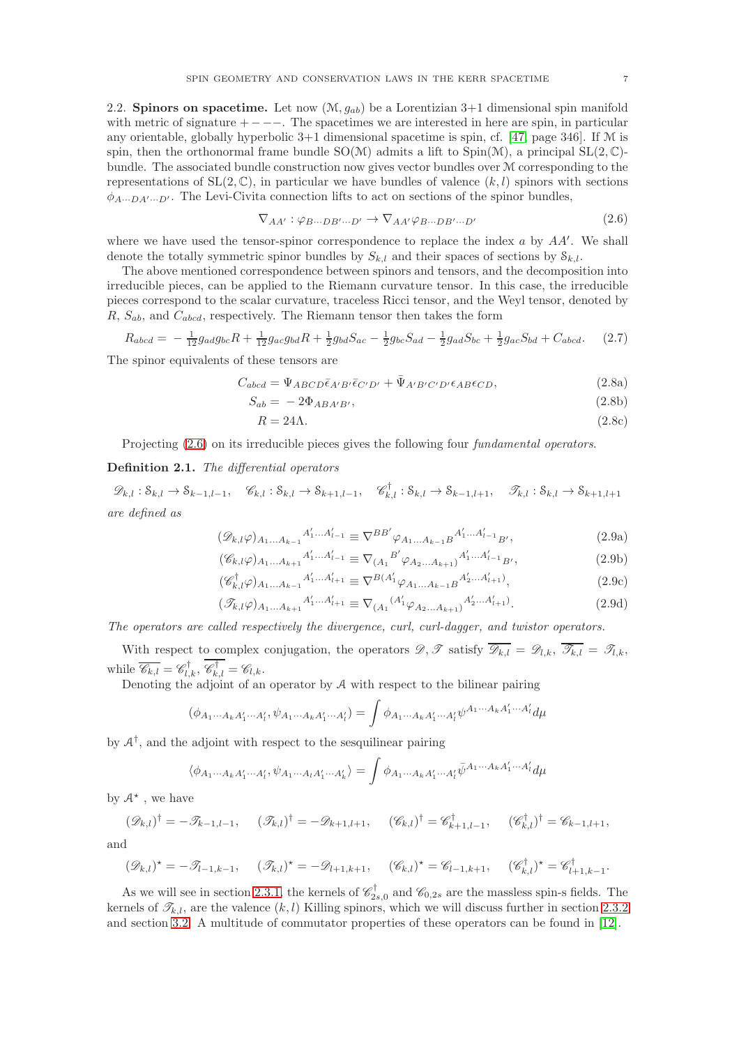2.2. Spinors on spacetime. Let now  $(\mathcal{M}, g_{ab})$  be a Lorentizian 3+1 dimensional spin manifold with metric of signature  $+$  − −−. The spacetimes we are interested in here are spin, in particular any orientable, globally hyperbolic  $3+1$  dimensional spacetime is spin, cf. [\[47,](#page-28-17) page 346]. If  $M$  is spin, then the orthonormal frame bundle  $SO(\mathcal{M})$  admits a lift to  $Spin(\mathcal{M})$ , a principal  $SL(2,\mathbb{C})$ bundle. The associated bundle construction now gives vector bundles over M corresponding to the representations of  $SL(2, \mathbb{C})$ , in particular we have bundles of valence  $(k, l)$  spinors with sections  $\phi_{A\cdots DA'\cdots D'}$ . The Levi-Civita connection lifts to act on sections of the spinor bundles,

<span id="page-6-0"></span>
$$
\nabla_{AA'} : \varphi_{B\cdots DB'\cdots D'} \to \nabla_{AA'} \varphi_{B\cdots DB'\cdots D'}
$$
\n(2.6)

where we have used the tensor-spinor correspondence to replace the index  $a$  by  $AA'$ . We shall denote the totally symmetric spinor bundles by  $S_{k,l}$  and their spaces of sections by  $S_{k,l}$ .

The above mentioned correspondence between spinors and tensors, and the decomposition into irreducible pieces, can be applied to the Riemann curvature tensor. In this case, the irreducible pieces correspond to the scalar curvature, traceless Ricci tensor, and the Weyl tensor, denoted by  $R, S_{ab}$ , and  $C_{abcd}$ , respectively. The Riemann tensor then takes the form

$$
R_{abcd} = -\frac{1}{12}g_{ad}g_{bc}R + \frac{1}{12}g_{ac}g_{bd}R + \frac{1}{2}g_{bd}S_{ac} - \frac{1}{2}g_{bc}S_{ad} - \frac{1}{2}g_{ad}S_{bc} + \frac{1}{2}g_{ac}S_{bd} + C_{abcd}.
$$
 (2.7)

The spinor equivalents of these tensors are

$$
C_{abcd} = \Psi_{ABCD} \bar{\epsilon}_{A'B'} \bar{\epsilon}_{C'D'} + \bar{\Psi}_{A'B'C'D'} \epsilon_{AB} \epsilon_{CD},
$$
\n(2.8a)

$$
S_{ab} = -2\Phi_{ABA'B'},\tag{2.8b}
$$

$$
R = 24\Lambda. \tag{2.8c}
$$

Projecting  $(2.6)$  on its irreducible pieces gives the following four *fundamental operators*.

# Definition 2.1. The differential operators

 $\mathscr{D}_{k,l}: \mathcal{S}_{k,l} \to \mathcal{S}_{k-1,l-1}, \quad \mathscr{C}_{k,l}: \mathcal{S}_{k,l} \to \mathcal{S}_{k+1,l-1}, \quad \mathscr{C}_{k,l}^{\dagger}: \mathcal{S}_{k,l} \to \mathcal{S}_{k-1,l+1}, \quad \mathscr{T}_{k,l}: \mathcal{S}_{k,l} \to \mathcal{S}_{k+1,l+1}$ are defined as

$$
(\mathcal{D}_{k,l}\varphi)_{A_1...A_{k-1}}A'_1...A'_{l-1} \equiv \nabla^{BB'}\varphi_{A_1...A_{k-1}B}A'_1...A'_{l-1}B',
$$
\n
$$
(\mathcal{C}_{k,l}\varphi)_{k,l}A'_1...A'_{l-1} = \nabla_{k,l}B'_{l}\varphi_{k,l}A'_1...A'_{l-1}B',
$$
\n(2.9a)

$$
(\mathscr{C}_{k,l}\varphi)_{A_1...A_{k+1}}{}^{A'_1...A'_{l-1}} \equiv \nabla_{(A_1}{}^{B'}\varphi_{A_2...A_{k+1}}{}^{A'_1...A'_{l-1}}{}_{B'},\tag{2.9b}
$$

$$
(\mathscr{C}_{k,l}^{\dagger}\varphi)_{A_1...A_{k-1}}{}^{A_1'...A_{l+1}'} \equiv \nabla^{B(A_1'}\varphi_{A_1...A_{k-1}B}{}^{A_2'...A_{l+1}'}),
$$
\n(2.9c)

$$
(\mathcal{I}_{k,l}\varphi)_{A_1...A_{k+1}}{}^{A'_1...A'_{l+1}} \equiv \nabla_{(A_1}{}^{(A'_1} \varphi_{A_2...A_{k+1})}{}^{A'_2...A'_{l+1})}.
$$
\n(2.9d)

The operators are called respectively the divergence, curl, curl-dagger, and twistor operators.

With respect to complex conjugation, the operators  $\mathscr{D}, \mathscr{T}$  satisfy  $\overline{\mathscr{D}_{k,l}} = \mathscr{D}_{l,k}, \overline{\mathscr{T}_{k,l}} = \mathscr{T}_{l,k}$ while  $\overline{\mathscr{C}_{k,l}} = \mathscr{C}_{l,k}^{\dagger}, \mathscr{C}_{k,l}^{\dagger} = \mathscr{C}_{l,k}.$ 

Denoting the adjoint of an operator by A with respect to the bilinear pairing

$$
(\phi_{A_1\cdots A_kA'_1\cdots A'_l},\psi_{A_1\cdots A_kA'_1\cdots A'_l})=\int \phi_{A_1\cdots A_kA'_1\cdots A'_l}\psi^{A_1\cdots A_kA'_1\cdots A'_l}d\mu
$$

by  $A^{\dagger}$ , and the adjoint with respect to the sesquilinear pairing

$$
\langle \phi_{A_1\cdots A_k A'_1\cdots A'_l}, \psi_{A_1\cdots A_l A'_1\cdots A'_k} \rangle = \int \phi_{A_1\cdots A_k A'_1\cdots A'_l} \bar{\psi}^{A_1\cdots A_k A'_1\cdots A'_l} d\mu
$$

by  $A^*$ , we have

$$
(\mathscr{D}_{k,l})^{\dagger} = -\mathscr{T}_{k-1,l-1}, \quad (\mathscr{T}_{k,l})^{\dagger} = -\mathscr{D}_{k+1,l+1}, \quad (\mathscr{C}_{k,l})^{\dagger} = \mathscr{C}_{k+1,l-1}^{\dagger}, \quad (\mathscr{C}_{k,l}^{\dagger})^{\dagger} = \mathscr{C}_{k-1,l+1},
$$

and

$$
(\mathscr{D}_{k,l})^* = -\mathscr{T}_{l-1,k-1}, \quad (\mathscr{T}_{k,l})^* = -\mathscr{D}_{l+1,k+1}, \quad (\mathscr{C}_{k,l})^* = \mathscr{C}_{l-1,k+1}, \quad (\mathscr{C}_{k,l}^{\dagger})^* = \mathscr{C}_{l+1,k-1}^{\dagger}.
$$

As we will see in section [2.3.1,](#page-7-0) the kernels of  $\mathscr{C}^{\dagger}_{2s,0}$  and  $\mathscr{C}_{0,2s}$  are the massless spin-s fields. The kernels of  $\mathcal{T}_{k,l}$ , are the valence  $(k, l)$  Killing spinors, which we will discuss further in section [2.3.2](#page-8-0) and section [3.2.](#page-10-1) A multitude of commutator properties of these operators can be found in [\[12\]](#page-27-8).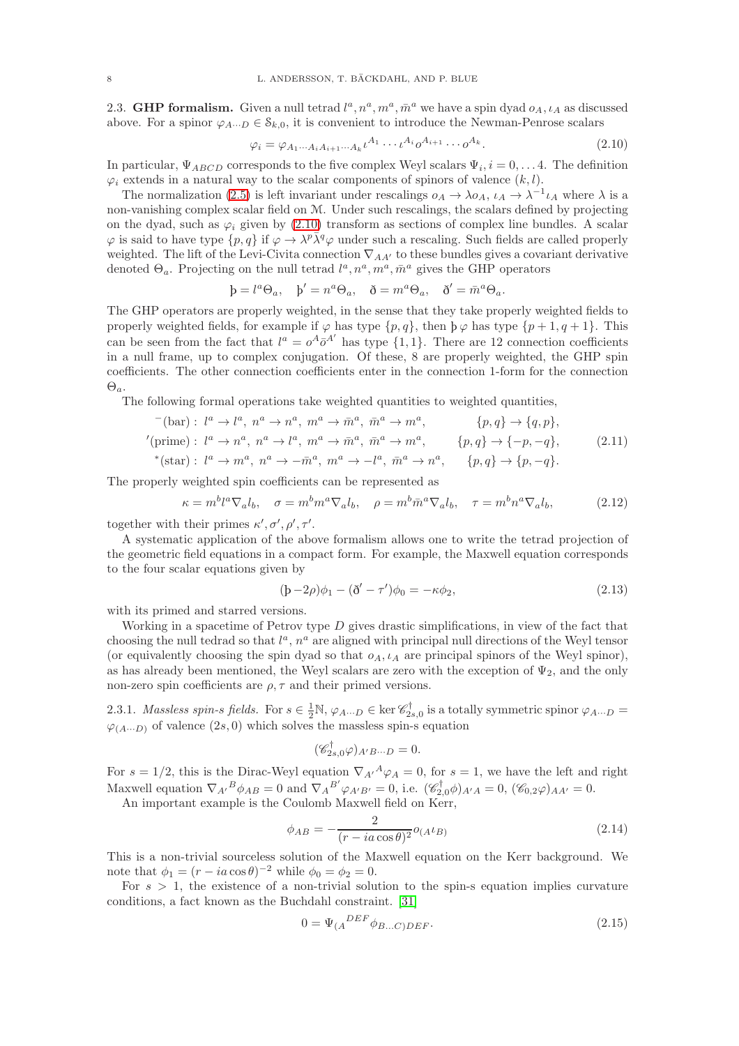2.3. **GHP formalism.** Given a null tetrad  $l^a, n^a, m^a, \bar{m}^a$  we have a spin dyad  $o_A$ ,  $\iota_A$  as discussed above. For a spinor  $\varphi_{A\cdots D} \in \mathcal{S}_{k,0}$ , it is convenient to introduce the Newman-Penrose scalars

<span id="page-7-1"></span>
$$
\varphi_i = \varphi_{A_1 \cdots A_i A_{i+1} \cdots A_k} t^{A_1} \cdots t^{A_i} \varphi^{A_{i+1}} \cdots \varphi^{A_k}.
$$
\n(2.10)

In particular,  $\Psi_{ABCD}$  corresponds to the five complex Weyl scalars  $\Psi_i$ ,  $i = 0, \ldots 4$ . The definition  $\varphi_i$  extends in a natural way to the scalar components of spinors of valence  $(k, l)$ .

The normalization [\(2.5\)](#page-5-3) is left invariant under rescalings  $o_A \to \lambda o_A$ ,  $\iota_A \to \lambda^{-1} \iota_A$  where  $\lambda$  is a non-vanishing complex scalar field on M. Under such rescalings, the scalars defined by projecting on the dyad, such as  $\varphi_i$  given by [\(2.10\)](#page-7-1) transform as sections of complex line bundles. A scalar  $\varphi$  is said to have type  $\{p, q\}$  if  $\varphi \to \lambda^p \bar{\lambda}^q \varphi$  under such a rescaling. Such fields are called properly weighted. The lift of the Levi-Civita connection  $\nabla_{AA'}$  to these bundles gives a covariant derivative denoted  $\Theta_a$ . Projecting on the null tetrad  $l^a, n^a, m^a, \bar{m}^a$  gives the GHP operators

$$
\dot{\mathbf{p}} = l^a \Theta_a, \quad \dot{\mathbf{p}}' = n^a \Theta_a, \quad \dot{\mathbf{\delta}} = m^a \Theta_a, \quad \dot{\mathbf{\delta}}' = \bar{m}^a \Theta_a.
$$

The GHP operators are properly weighted, in the sense that they take properly weighted fields to properly weighted fields, for example if  $\varphi$  has type  $\{p, q\}$ , then  $\varphi \varphi$  has type  $\{p + 1, q + 1\}$ . This can be seen from the fact that  $l^a = o^A \overline{o}^{A'}$  has type  $\{1, 1\}$ . There are 12 connection coefficients in a null frame, up to complex conjugation. Of these, 8 are properly weighted, the GHP spin coefficients. The other connection coefficients enter in the connection 1-form for the connection  $\Theta_a$ .

The following formal operations take weighted quantities to weighted quantities,

$$
^-(\text{bar}): l^a \to l^a, n^a \to n^a, m^a \to \bar{m}^a, \bar{m}^a \to m^a, \qquad \{p,q\} \to \{q,p\},
$$
  
\n'(prime):  $l^a \to n^a, n^a \to l^a, m^a \to \bar{m}^a, \bar{m}^a \to m^a, \qquad \{p,q\} \to \{-p,-q\},$   
\n\*(star):  $l^a \to m^a, n^a \to -\bar{m}^a, m^a \to -l^a, \bar{m}^a \to n^a, \qquad \{p,q\} \to \{p,-q\}.$  (2.11)

The properly weighted spin coefficients can be represented as

$$
\kappa = m^b l^a \nabla_a l_b, \quad \sigma = m^b m^a \nabla_a l_b, \quad \rho = m^b \bar{m}^a \nabla_a l_b, \quad \tau = m^b n^a \nabla_a l_b,\tag{2.12}
$$

together with their primes  $\kappa', \sigma', \rho', \tau'.$ 

A systematic application of the above formalism allows one to write the tetrad projection of the geometric field equations in a compact form. For example, the Maxwell equation corresponds to the four scalar equations given by

$$
(b - 2\rho)\phi_1 - (\delta' - \tau')\phi_0 = -\kappa\phi_2, \tag{2.13}
$$

with its primed and starred versions.

Working in a spacetime of Petrov type  $D$  gives drastic simplifications, in view of the fact that choosing the null tedrad so that  $l^a$ ,  $n^a$  are aligned with principal null directions of the Weyl tensor (or equivalently choosing the spin dyad so that  $o<sub>A</sub>$ ,  $i<sub>A</sub>$  are principal spinors of the Weyl spinor), as has already been mentioned, the Weyl scalars are zero with the exception of  $\Psi_2$ , and the only non-zero spin coefficients are  $\rho, \tau$  and their primed versions.

<span id="page-7-0"></span>2.3.1. Massless spin-s fields. For  $s \in \frac{1}{2} \mathbb{N}, \varphi_{A \cdots D} \in \ker \mathscr{C}_{2s,0}^{\dagger}$  is a totally symmetric spinor  $\varphi_{A \cdots D} =$  $\varphi_{(A...D)}$  of valence  $(2s, 0)$  which solves the massless spin-s equation

$$
(\mathscr{C}_{2s,0}^{\dagger}\varphi)_{A'B\cdots D} = 0.
$$

For  $s = 1/2$ , this is the Dirac-Weyl equation  $\nabla_{A'}{}^A \varphi_A = 0$ , for  $s = 1$ , we have the left and right Maxwell equation  $\nabla_{A'}{}^B \phi_{AB} = 0$  and  $\nabla_A{}^{B'} \varphi_{A'B'} = 0$ , i.e.  $(\mathscr{C}_{2,0}^{\dagger} \phi)_{A'A} = 0$ ,  $(\mathscr{C}_{0,2} \varphi)_{AA'} = 0$ .

An important example is the Coulomb Maxwell field on Kerr,

<span id="page-7-2"></span>
$$
\phi_{AB} = -\frac{2}{(r - ia\cos\theta)^2} o_{(A^L B)} \tag{2.14}
$$

This is a non-trivial sourceless solution of the Maxwell equation on the Kerr background. We note that  $\phi_1 = (r - ia \cos \theta)^{-2}$  while  $\phi_0 = \phi_2 = 0$ .

For  $s > 1$ , the existence of a non-trivial solution to the spin-s equation implies curvature conditions, a fact known as the Buchdahl constraint. [\[31\]](#page-27-13)

$$
0 = \Psi_{(A}^{DEF} \phi_{B...C)DEF}.
$$
\n
$$
(2.15)
$$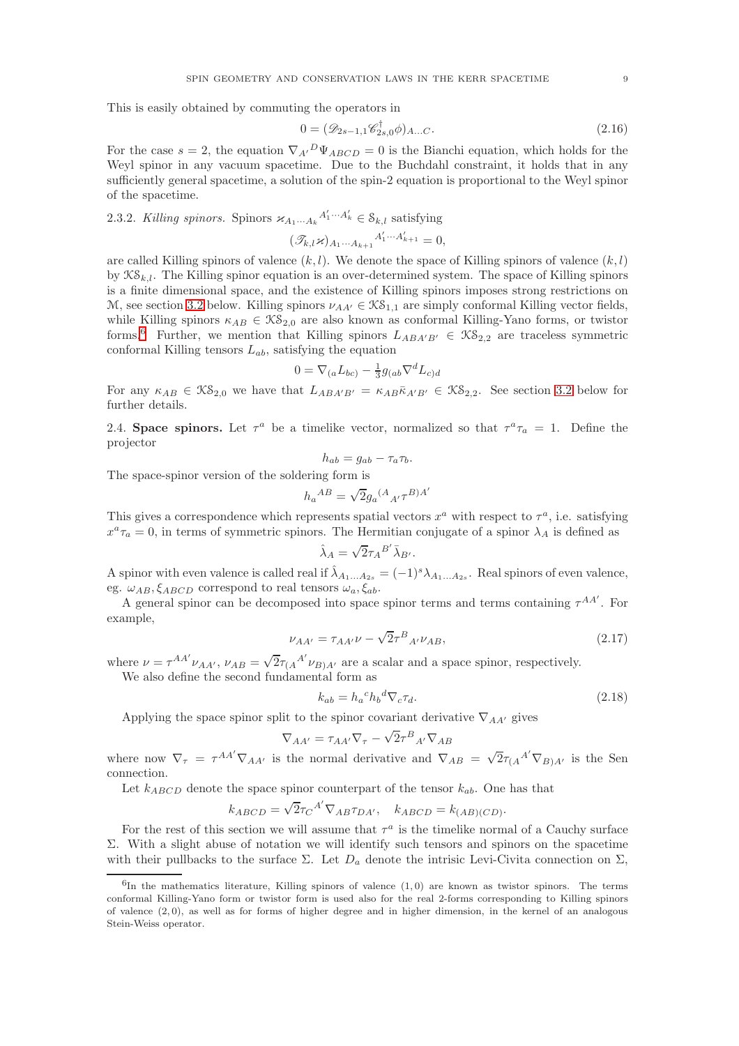This is easily obtained by commuting the operators in

The space-spinor version of the solder

$$
0 = (\mathscr{D}_{2s-1,1}\mathscr{C}_{2s,0}^{\dagger}\phi)_{A...C}.
$$
\n
$$
(2.16)
$$

For the case  $s = 2$ , the equation  $\nabla_{A'}{}^D \Psi_{ABCD} = 0$  is the Bianchi equation, which holds for the Weyl spinor in any vacuum spacetime. Due to the Buchdahl constraint, it holds that in any sufficiently general spacetime, a solution of the spin-2 equation is proportional to the Weyl spinor of the spacetime.

<span id="page-8-0"></span>2.3.2. Killing spinors. Spinors  $\varkappa_{A_1\cdots A_k}{}^{A'_1\cdots A'_k} \in \mathcal{S}_{k,l}$  satisfying

$$
(\mathscr{T}_{k,l}\varkappa)_{A_1\cdots A_{k+1}}{}^{A_1'\cdots A_{k+1}'}=0,
$$

are called Killing spinors of valence  $(k, l)$ . We denote the space of Killing spinors of valence  $(k, l)$ by  $\mathcal{KS}_{k,l}$ . The Killing spinor equation is an over-determined system. The space of Killing spinors is a finite dimensional space, and the existence of Killing spinors imposes strong restrictions on M, see section [3.2](#page-10-1) below. Killing spinors  $\nu_{AA'} \in \mathcal{KS}_{1,1}$  are simply conformal Killing vector fields, while Killing spinors  $\kappa_{AB} \in \mathcal{KS}_{2,0}$  are also known as conformal Killing-Yano forms, or twistor forms.<sup>[6](#page-8-1)</sup> Further, we mention that Killing spinors  $L_{ABA'B'} \in \mathcal{KS}_{2,2}$  are traceless symmetric conformal Killing tensors  $L_{ab}$ , satisfying the equation

$$
0 = \nabla_{(a}L_{bc)} - \frac{1}{3}g_{(ab}\nabla^d L_{c)d}
$$

For any  $\kappa_{AB} \in \mathfrak{KS}_{2,0}$  we have that  $L_{ABA'B'} = \kappa_{AB} \bar{\kappa}_{A'B'} \in \mathfrak{KS}_{2,2}$ . See section [3.2](#page-10-1) below for further details.

2.4. Space spinors. Let  $\tau^a$  be a timelike vector, normalized so that  $\tau^a \tau_a = 1$ . Define the projector

$$
h_{ab} = g_{ab} - \tau_a \tau_b.
$$
  
ering form is  

$$
h_a^{AB} = \sqrt{2}g_a^{(A}{}_{A'}\tau^{B})^{A'}
$$

This gives a correspondence which represents spatial vectors  $x^a$  with respect to  $\tau^a$ , i.e. satisfying  $x^a \tau_a = 0$ , in terms of symmetric spinors. The Hermitian conjugate of a spinor  $\lambda_A$  is defined as

$$
\hat{\lambda}_A = \sqrt{2}\tau_A{}^{B'}\bar{\lambda}_{B'}.
$$

A spinor with even valence is called real if  $\hat{\lambda}_{A_1...A_{2s}} = (-1)^s \lambda_{A_1...A_{2s}}$ . Real spinors of even valence, eg.  $\omega_{AB}, \xi_{ABCD}$  correspond to real tensors  $\omega_a, \xi_{ab}$ .

A general spinor can be decomposed into space spinor terms and terms containing  $\tau^{AA'}$ . For example,

$$
\nu_{AA'} = \tau_{AA'}\nu - \sqrt{2}\tau^{B}{}_{A'}\nu_{AB},\tag{2.17}
$$

where  $\nu = \tau^{AA'} \nu_{AA'}$ ,  $\nu_{AB} = \sqrt{2} \tau_{(A}{}^{A'} \nu_{B)A'}$  are a scalar and a space spinor, respectively. We also define the second fundamental form as

$$
k_{ab} = h_a{}^c h_b{}^d \nabla_c \tau_d. \tag{2.18}
$$

Applying the space spinor split to the spinor covariant derivative  $\nabla_{AA'}$  gives

$$
\nabla_{AA'} = \tau_{AA'} \nabla_{\tau} - \sqrt{2} \tau^{B}{}_{A'} \nabla_{AB}
$$

where now  $\nabla_{\tau} = \tau^{AA'} \nabla_{AA'}$  is the normal derivative and  $\nabla_{AB} = \sqrt{2} \tau_{(A}{}^{A'} \nabla_{B)A'}$  is the Sen connection.

Let  $k_{ABCD}$  denote the space spinor counterpart of the tensor  $k_{ab}$ . One has that

$$
k_{ABCD} = \sqrt{2}\tau_C{}^{A'} \nabla_{AB}\tau_{DA'}, \quad k_{ABCD} = k_{(AB)(CD)}.
$$

For the rest of this section we will assume that  $\tau^a$  is the timelike normal of a Cauchy surface Σ. With a slight abuse of notation we will identify such tensors and spinors on the spacetime with their pullbacks to the surface  $\Sigma$ . Let  $D_a$  denote the intrisic Levi-Civita connection on  $\Sigma$ ,

<span id="page-8-1"></span> ${}^{6}$ In the mathematics literature, Killing spinors of valence  $(1,0)$  are known as twistor spinors. The terms conformal Killing-Yano form or twistor form is used also for the real 2-forms corresponding to Killing spinors of valence (2, 0), as well as for forms of higher degree and in higher dimension, in the kernel of an analogous Stein-Weiss operator.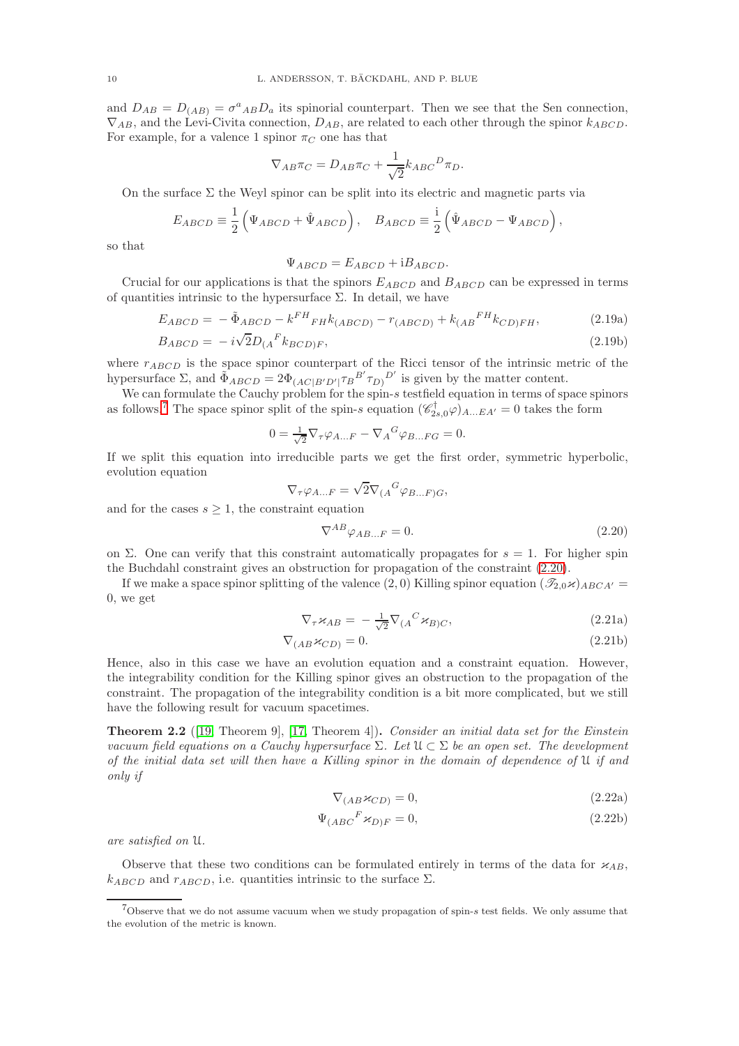and  $D_{AB} = D_{(AB)} = \sigma^a{}_{AB}D_a$  its spinorial counterpart. Then we see that the Sen connection,  $\nabla_{AB}$ , and the Levi-Civita connection,  $D_{AB}$ , are related to each other through the spinor  $k_{ABCD}$ . For example, for a valence 1 spinor  $\pi_C$  one has that

$$
\nabla_{AB}\pi_C = D_{AB}\pi_C + \frac{1}{\sqrt{2}}k_{ABC}{}^D\pi_D.
$$

On the surface  $\Sigma$  the Weyl spinor can be split into its electric and magnetic parts via

$$
E_{ABCD} \equiv \frac{1}{2} \left( \Psi_{ABCD} + \hat{\Psi}_{ABCD} \right), \quad B_{ABCD} \equiv \frac{i}{2} \left( \hat{\Psi}_{ABCD} - \Psi_{ABCD} \right),
$$

so that

$$
\Psi_{ABCD} = E_{ABCD} + iB_{ABCD}.
$$

Crucial for our applications is that the spinors  $E_{ABCD}$  and  $B_{ABCD}$  can be expressed in terms of quantities intrinsic to the hypersurface  $\Sigma$ . In detail, we have

$$
E_{ABCD} = -\tilde{\Phi}_{ABCD} - k^{FH}{}_{FH}k_{(ABCD)} - r_{(ABCD)} + k_{(AB}{}^{FH}k_{CD)FH}, \qquad (2.19a)
$$

$$
B_{ABCD} = -i\sqrt{2}D_{(A}{}^{F}k_{BCD)F},\tag{2.19b}
$$

where  $r_{ABCD}$  is the space spinor counterpart of the Ricci tensor of the intrinsic metric of the hypersurface  $\Sigma$ , and  $\tilde{\Phi}_{ABCD} = 2\Phi_{(AC|B'D')T}B^{B'}\tau_{D)}^{D'}$  is given by the matter content.

We can formulate the Cauchy problem for the spin-s testfield equation in terms of space spinors as follows.<sup>[7](#page-9-0)</sup> The space spinor split of the spin-s equation  $(\mathscr{C}_{2s,0}^{\dagger}\varphi)_{A...EA'}=0$  takes the form

$$
0 = \frac{1}{\sqrt{2}} \nabla_{\tau} \varphi_{A...F} - \nabla_{A}{}^{G} \varphi_{B...FG} = 0.
$$

If we split this equation into irreducible parts we get the first order, symmetric hyperbolic, evolution equation

$$
\nabla_{\tau}\varphi_{A...F} = \sqrt{2}\nabla_{(A}{}^{G}\varphi_{B...F)G},
$$

and for the cases  $s \geq 1$ , the constraint equation

<span id="page-9-1"></span>
$$
\nabla^{AB}\varphi_{AB...F} = 0.\tag{2.20}
$$

on Σ. One can verify that this constraint automatically propagates for  $s = 1$ . For higher spin the Buchdahl constraint gives an obstruction for propagation of the constraint [\(2.20\)](#page-9-1).

If we make a space spinor splitting of the valence (2, 0) Killing spinor equation  $(\mathscr{T}_{2,0}\times)_{ABCA'}$ 0, we get

$$
\nabla_{\tau} \varkappa_{AB} = -\frac{1}{\sqrt{2}} \nabla_{(A}{}^{C} \varkappa_{B)C}, \qquad (2.21a)
$$

$$
\nabla_{(AB} \varkappa_{CD)} = 0. \tag{2.21b}
$$

Hence, also in this case we have an evolution equation and a constraint equation. However, the integrability condition for the Killing spinor gives an obstruction to the propagation of the constraint. The propagation of the integrability condition is a bit more complicated, but we still have the following result for vacuum spacetimes.

<span id="page-9-2"></span>**Theorem 2.2** ([\[19,](#page-27-14) Theorem 9], [\[17,](#page-27-15) Theorem 4]). Consider an initial data set for the Einstein vacuum field equations on a Cauchy hypersurface  $\Sigma$ . Let  $\mathfrak{U} \subset \Sigma$  be an open set. The development of the initial data set will then have a Killing spinor in the domain of dependence of U if and only if

$$
\nabla_{(AB} \varkappa_{CD)} = 0,\tag{2.22a}
$$

$$
\Psi_{(ABC}{}^F \varkappa_{D)F} = 0,\tag{2.22b}
$$

are satisfied on U.

Observe that these two conditions can be formulated entirely in terms of the data for  $\varkappa_{AB}$ ,  $k_{ABCD}$  and  $r_{ABCD}$ , i.e. quantities intrinsic to the surface  $\Sigma$ .

<span id="page-9-0"></span><sup>7</sup>Observe that we do not assume vacuum when we study propagation of spin-s test fields. We only assume that the evolution of the metric is known.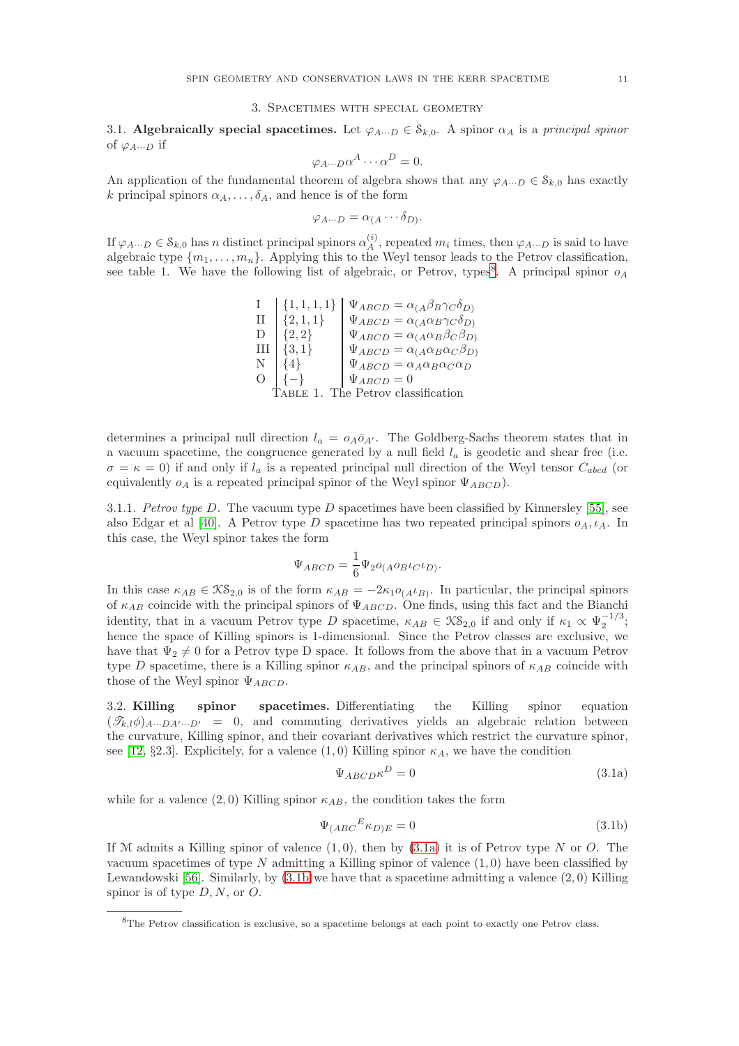# 3. Spacetimes with special geometry

<span id="page-10-0"></span>3.1. Algebraically special spacetimes. Let  $\varphi_{A\cdots D} \in \mathcal{S}_{k,0}$ . A spinor  $\alpha_A$  is a principal spinor of  $\varphi_{A\cdots D}$  if

$$
\varphi_{A\cdots D}\alpha^A\cdots\alpha^D=0.
$$

An application of the fundamental theorem of algebra shows that any  $\varphi_{A\cdots D} \in \mathcal{S}_{k,0}$  has exactly k principal spinors  $\alpha_A, \ldots, \delta_A$ , and hence is of the form

$$
\varphi_{A\cdots D}=\alpha_{(A}\cdots \delta_{D)}.
$$

If  $\varphi_{A\cdots D} \in \mathcal{S}_{k,0}$  has n distinct principal spinors  $\alpha_A^{(i)}$  $\chi_A^{(i)}$ , repeated  $m_i$  times, then  $\varphi_{A\cdots D}$  is said to have algebraic type  $\{m_1, \ldots, m_n\}$ . Applying this to the Weyl tensor leads to the Petrov classification, see table 1. We have the following list of algebraic, or Petrov, types<sup>[8](#page-10-2)</sup>. A principal spinor  $o<sub>A</sub>$ 

> I  $\begin{cases} \{1, 1, 1, 1\} \\ \{2, 1, 1\} \end{cases}$   $\Psi_{ABCD} = \alpha_{(A}\beta_B\gamma_C\delta_D)$ II  $\left\{2, 1, 1\right\}$   $\left\{\Psi_{ABCD} = \alpha_{(A} \alpha_B \gamma_C \delta_D)\right\}$  $D \left[\{2,2\}\right] \qquad \Psi_{ABCD} = \alpha_{(A} \alpha_B \beta_C \beta_D)$ III  $\left\{3,1\right\}$   $\Psi_{ABCD} = \alpha_{(A} \alpha_B \alpha_C \beta_D)$  $N \begin{bmatrix} 4 \end{bmatrix} \begin{bmatrix} \Psi_{ABCD} = \alpha_A \alpha_B \alpha_C \alpha_D \end{bmatrix}$  $O \left[ \{-\} \right]$   $\Psi_{ABCD} = 0$ Table 1. The Petrov classification

determines a principal null direction  $l_a = o_A \bar{o}_{A'}$ . The Goldberg-Sachs theorem states that in a vacuum spacetime, the congruence generated by a null field  $l_a$  is geodetic and shear free (i.e.  $\sigma = \kappa = 0$ ) if and only if  $l_a$  is a repeated principal null direction of the Weyl tensor  $C_{abcd}$  (or equivalently  $o_A$  is a repeated principal spinor of the Weyl spinor  $\Psi_{ABCD}$ ).

3.1.1. Petrov type D. The vacuum type D spacetimes have been classified by Kinnersley [\[55\]](#page-28-18), see also Edgar et al [\[40\]](#page-28-19). A Petrov type D spacetime has two repeated principal spinors  $o_A, \iota_A$ . In this case, the Weyl spinor takes the form

$$
\Psi_{ABCD} = \frac{1}{6} \Psi_2 o_{(A} o_B \iota_C \iota_D).
$$

In this case  $\kappa_{AB} \in \mathcal{KS}_{2,0}$  is of the form  $\kappa_{AB} = -2\kappa_{1}o_{(A^{L}B)}$ . In particular, the principal spinors of  $\kappa_{AB}$  coincide with the principal spinors of  $\Psi_{ABCD}$ . One finds, using this fact and the Bianchi identity, that in a vacuum Petrov type D spacetime,  $\kappa_{AB} \in \mathcal{KS}_{2,0}$  if and only if  $\kappa_1 \propto \Psi_2^{-1/3}$ ; hence the space of Killing spinors is 1-dimensional. Since the Petrov classes are exclusive, we have that  $\Psi_2 \neq 0$  for a Petrov type D space. It follows from the above that in a vacuum Petrov type D spacetime, there is a Killing spinor  $\kappa_{AB}$ , and the principal spinors of  $\kappa_{AB}$  coincide with those of the Weyl spinor  $\Psi_{ABCD}$ .

<span id="page-10-1"></span>3.2. Killing spinor spacetimes. Differentiating the Killing spinor equation  $(\mathscr{T}_{k,l}\phi)_{A\cdots DA'\cdots D'} = 0$ , and commuting derivatives yields an algebraic relation between the curvature, Killing spinor, and their covariant derivatives which restrict the curvature spinor, see [\[12,](#page-27-8) §2.3]. Explicitely, for a valence  $(1,0)$  Killing spinor  $\kappa_A$ , we have the condition

<span id="page-10-5"></span><span id="page-10-4"></span><span id="page-10-3"></span>
$$
\Psi_{ABCD} \kappa^D = 0 \tag{3.1a}
$$

while for a valence  $(2,0)$  Killing spinor  $\kappa_{AB}$ , the condition takes the form

$$
\Psi_{(ABC}{}^E \kappa_{D)E} = 0 \tag{3.1b}
$$

If M admits a Killing spinor of valence  $(1, 0)$ , then by  $(3.1a)$  it is of Petrov type N or O. The vacuum spacetimes of type  $N$  admitting a Killing spinor of valence  $(1,0)$  have been classified by Lewandowski [\[56\]](#page-28-20). Similarly, by  $(3.1b)$  we have that a spacetime admitting a valence  $(2,0)$  Killing spinor is of type  $D, N$ , or  $O$ .

<span id="page-10-2"></span><sup>8</sup>The Petrov classification is exclusive, so a spacetime belongs at each point to exactly one Petrov class.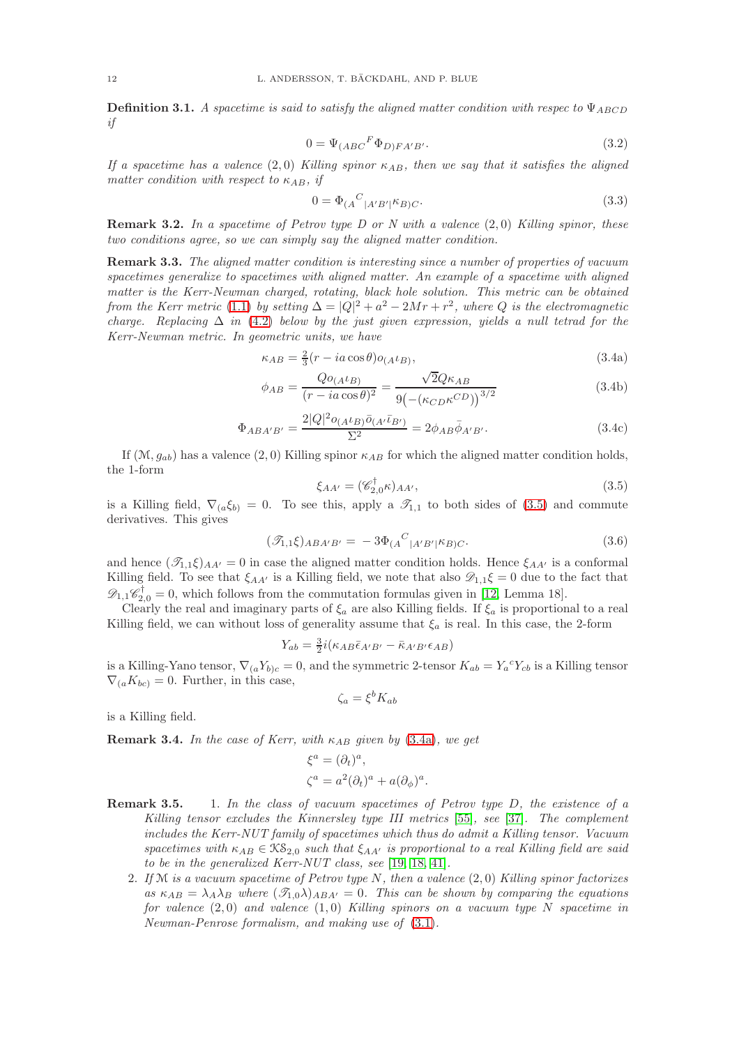**Definition 3.1.** A spacetime is said to satisfy the aligned matter condition with respect o  $\Psi_{ABCD}$ if

$$
0 = \Psi_{(ABC}{}^F \Phi_{D)FA'B'}.
$$
\n(3.2)

If a spacetime has a valence  $(2,0)$  Killing spinor  $\kappa_{AB}$ , then we say that it satisfies the aligned matter condition with respect to  $\kappa_{AB}$ , if

$$
0 = \Phi_{(A}{}^{C}{}_{|A'B'|} \kappa_{B)C}.
$$
\n(3.3)

**Remark 3.2.** In a spacetime of Petrov type D or N with a valence  $(2,0)$  Killing spinor, these two conditions agree, so we can simply say the aligned matter condition.

Remark 3.3. The aligned matter condition is interesting since a number of properties of vacuum spacetimes generalize to spacetimes with aligned matter. An example of a spacetime with aligned matter is the Kerr-Newman charged, rotating, black hole solution. This metric can be obtained from the Kerr metric [\(1.1\)](#page-1-2) by setting  $\Delta = |Q|^2 + a^2 - 2Mr + r^2$ , where Q is the electromagnetic charge. Replacing  $\Delta$  in [\(4.2\)](#page-12-1) below by the just given expression, yields a null tetrad for the Kerr-Newman metric. In geometric units, we have

$$
\kappa_{AB} = \frac{2}{3}(r - ia\cos\theta) o_{(A}t_{B)},\tag{3.4a}
$$

$$
\phi_{AB} = \frac{Qo_{(A}t_{B})}{(r - ia\cos\theta)^2} = \frac{\sqrt{2}Q\kappa_{AB}}{9(-(\kappa_{CD}\kappa^{CD}))^{3/2}}
$$
(3.4b)

$$
\Phi_{ABA'B'} = \frac{2|Q|^2 o_{(A} \iota_{B)} \bar{o}_{(A'} \bar{\iota}_{B')}}{\Sigma^2} = 2\phi_{AB} \bar{\phi}_{A'B'}.
$$
\n(3.4c)

If  $(\mathcal{M}, g_{ab})$  has a valence  $(2, 0)$  Killing spinor  $\kappa_{AB}$  for which the aligned matter condition holds, the 1-form

<span id="page-11-1"></span><span id="page-11-0"></span>
$$
\xi_{AA'} = (\mathscr{C}_{2,0}^{\dagger} \kappa)_{AA'},\tag{3.5}
$$

is a Killing field,  $\nabla_{(a}\xi_{b)}=0$ . To see this, apply a  $\mathcal{I}_{1,1}$  to both sides of [\(3.5\)](#page-11-0) and commute derivatives. This gives

$$
(\mathcal{I}_{1,1}\xi)_{ABA'B'} = -3\Phi_{(A}{}^{C}|_{A'B'}|\kappa_{B)C}.
$$
\n(3.6)

and hence  $(\mathcal{I}_{1,1}\xi)_{AA'}=0$  in case the aligned matter condition holds. Hence  $\xi_{AA'}$  is a conformal Killing field. To see that  $\xi_{AA'}$  is a Killing field, we note that also  $\mathscr{D}_{1,1}\xi = 0$  due to the fact that  $\mathscr{D}_{1,1}\mathscr{C}_{2,0}^{\dagger} = 0$ , which follows from the commutation formulas given in [\[12,](#page-27-8) Lemma 18].

Clearly the real and imaginary parts of  $\xi_a$  are also Killing fields. If  $\xi_a$  is proportional to a real Killing field, we can without loss of generality assume that  $\xi_a$  is real. In this case, the 2-form

$$
Y_{ab} = \frac{3}{2}i(\kappa_{AB}\bar{\epsilon}_{A'B'} - \bar{\kappa}_{A'B'}\epsilon_{AB})
$$

is a Killing-Yano tensor,  $\nabla_{(a}Y_{b)c} = 0$ , and the symmetric 2-tensor  $K_{ab} = Y_a^{\ c}Y_{cb}$  is a Killing tensor  $\nabla_{(a}K_{bc)}=0.$  Further, in this case,

$$
\zeta_a = \xi^b K_{ab}
$$

is a Killing field.

**Remark 3.4.** In the case of Kerr, with  $\kappa_{AB}$  given by [\(3.4a\)](#page-11-1), we get

$$
\xi^{a} = (\partial_{t})^{a},
$$
  

$$
\zeta^{a} = a^{2}(\partial_{t})^{a} + a(\partial_{\phi})^{a}.
$$

- Remark 3.5. 1. In the class of vacuum spacetimes of Petrov type D, the existence of a Killing tensor excludes the Kinnersley type III metrics [\[55\]](#page-28-18), see [\[37\]](#page-28-21). The complement includes the Kerr-NUT family of spacetimes which thus do admit a Killing tensor. Vacuum spacetimes with  $\kappa_{AB} \in \mathcal{KS}_{2,0}$  such that  $\xi_{AA'}$  is proportional to a real Killing field are said to be in the generalized Kerr-NUT class, see [\[19,](#page-27-14) [18,](#page-27-16) [41\]](#page-28-22).
	- 2. If  $M$  is a vacuum spacetime of Petrov type N, then a valence  $(2,0)$  Killing spinor factorizes as  $\kappa_{AB} = \lambda_A \lambda_B$  where  $(\mathcal{T}_{1,0}\lambda)_{ABA'} = 0$ . This can be shown by comparing the equations for valence  $(2,0)$  and valence  $(1,0)$  Killing spinors on a vacuum type N spacetime in Newman-Penrose formalism, and making use of [\(3.1\)](#page-10-5).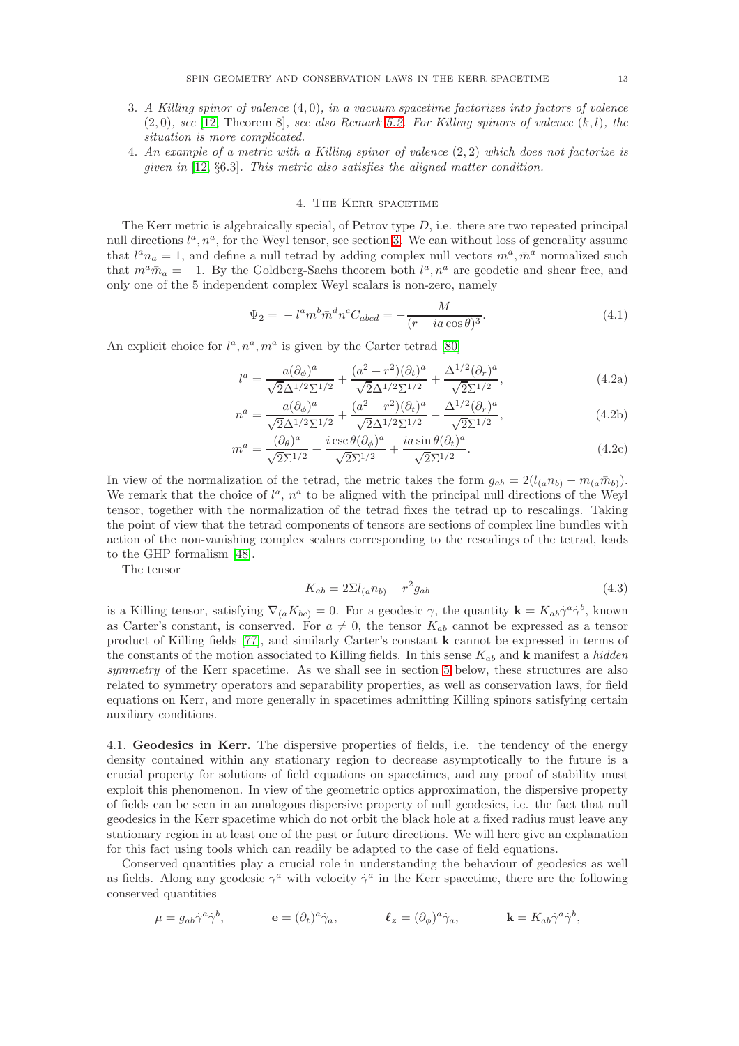- 3. A Killing spinor of valence (4, 0), in a vacuum spacetime factorizes into factors of valence  $(2,0)$ , see [\[12,](#page-27-8) Theorem 8], see also Remark 5.2. For Killing spinors of valence  $(k, l)$ , the situation is more complicated.
- 4. An example of a metric with a Killing spinor of valence  $(2, 2)$  which does not factorize is given in [\[12,](#page-27-8) §6.3]. This metric also satisfies the aligned matter condition.

## 4. The Kerr spacetime

<span id="page-12-0"></span>The Kerr metric is algebraically special, of Petrov type  $D$ , i.e. there are two repeated principal null directions  $l^a, n^a$ , for the Weyl tensor, see section [3.](#page-10-0) We can without loss of generality assume that  $l^a n_a = 1$ , and define a null tetrad by adding complex null vectors  $m^a, \bar{m}^a$  normalized such that  $m^a \bar{m}_a = -1$ . By the Goldberg-Sachs theorem both  $l^a, n^a$  are geodetic and shear free, and only one of the 5 independent complex Weyl scalars is non-zero, namely

<span id="page-12-1"></span>
$$
\Psi_2 = -l^a m^b \bar{m}^d n^c C_{abcd} = -\frac{M}{(r - ia \cos \theta)^3}.
$$
\n(4.1)

An explicit choice for  $l^a, n^a, m^a$  is given by the Carter tetrad [\[80\]](#page-29-7)

$$
l^{a} = \frac{a(\partial_{\phi})^{a}}{\sqrt{2}\Delta^{1/2}\Sigma^{1/2}} + \frac{(a^{2} + r^{2})(\partial_{t})^{a}}{\sqrt{2}\Delta^{1/2}\Sigma^{1/2}} + \frac{\Delta^{1/2}(\partial_{r})^{a}}{\sqrt{2}\Sigma^{1/2}},
$$
(4.2a)

$$
n^{a} = \frac{a(\partial_{\phi})^{a}}{\sqrt{2}\Delta^{1/2}\Sigma^{1/2}} + \frac{(a^{2} + r^{2})(\partial_{t})^{a}}{\sqrt{2}\Delta^{1/2}\Sigma^{1/2}} - \frac{\Delta^{1/2}(\partial_{r})^{a}}{\sqrt{2}\Sigma^{1/2}},
$$
(4.2b)

$$
m^{a} = \frac{(\partial_{\theta})^{a}}{\sqrt{2}\Sigma^{1/2}} + \frac{i \csc \theta(\partial_{\phi})^{a}}{\sqrt{2}\Sigma^{1/2}} + \frac{i a \sin \theta(\partial_{t})^{a}}{\sqrt{2}\Sigma^{1/2}}.
$$
\n(4.2c)

In view of the normalization of the tetrad, the metric takes the form  $g_{ab} = 2(l_{(a}n_{b)} - m_{(a}\bar{m}_{b)})$ . We remark that the choice of  $l^a$ ,  $n^a$  to be aligned with the principal null directions of the Weyl tensor, together with the normalization of the tetrad fixes the tetrad up to rescalings. Taking the point of view that the tetrad components of tensors are sections of complex line bundles with action of the non-vanishing complex scalars corresponding to the rescalings of the tetrad, leads to the GHP formalism [\[48\]](#page-28-23).

The tensor

$$
K_{ab} = 2\Sigma l_{(a}n_{b)} - r^2 g_{ab}
$$
\n(4.3)

is a Killing tensor, satisfying  $\nabla_{(a}K_{bc)}=0$ . For a geodesic  $\gamma$ , the quantity  $\mathbf{k}=K_{ab}\gamma^a\gamma^b$ , known as Carter's constant, is conserved. For  $a \neq 0$ , the tensor  $K_{ab}$  cannot be expressed as a tensor product of Killing fields [\[77\]](#page-29-2), and similarly Carter's constant k cannot be expressed in terms of the constants of the motion associated to Killing fields. In this sense  $K_{ab}$  and **k** manifest a *hidden* symmetry of the Kerr spacetime. As we shall see in section [5](#page-16-0) below, these structures are also related to symmetry operators and separability properties, as well as conservation laws, for field equations on Kerr, and more generally in spacetimes admitting Killing spinors satisfying certain auxiliary conditions.

<span id="page-12-2"></span>4.1. Geodesics in Kerr. The dispersive properties of fields, i.e. the tendency of the energy density contained within any stationary region to decrease asymptotically to the future is a crucial property for solutions of field equations on spacetimes, and any proof of stability must exploit this phenomenon. In view of the geometric optics approximation, the dispersive property of fields can be seen in an analogous dispersive property of null geodesics, i.e. the fact that null geodesics in the Kerr spacetime which do not orbit the black hole at a fixed radius must leave any stationary region in at least one of the past or future directions. We will here give an explanation for this fact using tools which can readily be adapted to the case of field equations.

Conserved quantities play a crucial role in understanding the behaviour of geodesics as well as fields. Along any geodesic  $\gamma^a$  with velocity  $\dot{\gamma}^a$  in the Kerr spacetime, there are the following conserved quantities

$$
\mu = g_{ab}\dot{\gamma}^a \dot{\gamma}^b, \qquad \qquad \mathbf{e} = (\partial_t)^a \dot{\gamma}_a, \qquad \qquad \ell_{\boldsymbol{z}} = (\partial_\phi)^a \dot{\gamma}_a, \qquad \qquad \mathbf{k} = K_{ab}\dot{\gamma}^a \dot{\gamma}^b,
$$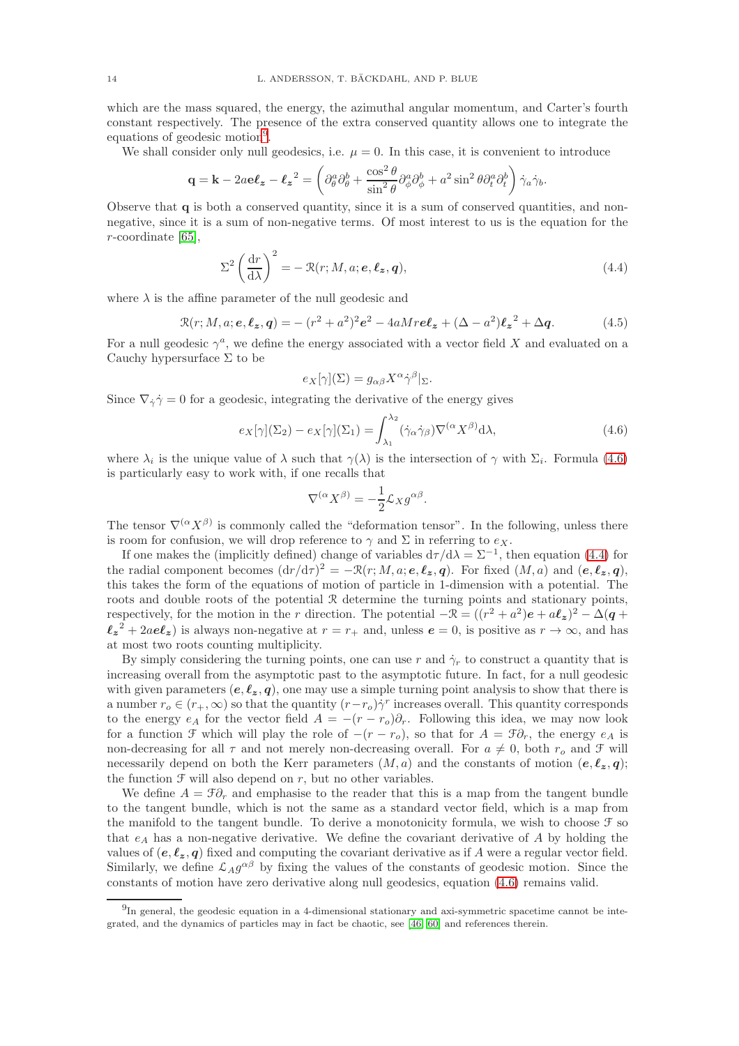which are the mass squared, the energy, the azimuthal angular momentum, and Carter's fourth constant respectively. The presence of the extra conserved quantity allows one to integrate the equations of geodesic motion<sup>[9](#page-13-0)</sup>.

We shall consider only null geodesics, i.e.  $\mu = 0$ . In this case, it is convenient to introduce

$$
\mathbf{q} = \mathbf{k} - 2a\mathbf{e}\boldsymbol{\ell}_{\mathbf{z}} - {\boldsymbol{\ell}_{\mathbf{z}}}^2 = \left(\partial_{\theta}^a \partial_{\theta}^b + \frac{\cos^2 \theta}{\sin^2 \theta} \partial_{\phi}^a \partial_{\phi}^b + a^2 \sin^2 \theta \partial_t^a \partial_t^b\right) \dot{\gamma}_a \dot{\gamma}_b.
$$

Observe that q is both a conserved quantity, since it is a sum of conserved quantities, and nonnegative, since it is a sum of non-negative terms. Of most interest to us is the equation for the  $r$ -coordinate [\[65\]](#page-28-4),

$$
\Sigma^2 \left(\frac{\mathrm{d}r}{\mathrm{d}\lambda}\right)^2 = -\mathcal{R}(r;M,a;\mathbf{e},\ell_{\mathbf{z}},\mathbf{q}),\tag{4.4}
$$

where  $\lambda$  is the affine parameter of the null geodesic and

$$
\mathcal{R}(r;M,a;e,\ell_z,q) = -(r^2+a^2)^2e^2 - 4aMre\ell_z + (\Delta - a^2)\ell_z^2 + \Delta q.
$$
 (4.5)

For a null geodesic  $\gamma^a$ , we define the energy associated with a vector field X and evaluated on a Cauchy hypersurface  $\Sigma$  to be

<span id="page-13-2"></span><span id="page-13-1"></span>
$$
e_X[\gamma](\Sigma) = g_{\alpha\beta} X^{\alpha} \dot{\gamma}^{\beta}|_{\Sigma}.
$$

Since  $\nabla_{\dot{\gamma}} \dot{\gamma} = 0$  for a geodesic, integrating the derivative of the energy gives

$$
e_X[\gamma](\Sigma_2) - e_X[\gamma](\Sigma_1) = \int_{\lambda_1}^{\lambda_2} (\dot{\gamma}_\alpha \dot{\gamma}_\beta) \nabla^{(\alpha} X^{\beta)} d\lambda,
$$
\n(4.6)

where  $\lambda_i$  is the unique value of  $\lambda$  such that  $\gamma(\lambda)$  is the intersection of  $\gamma$  with  $\Sigma_i$ . Formula [\(4.6\)](#page-13-1) is particularly easy to work with, if one recalls that

$$
\nabla^{(\alpha}X^{\beta)} = -\frac{1}{2}\mathcal{L}_X g^{\alpha\beta}.
$$

The tensor  $\nabla^{(\alpha} X^{\beta)}$  is commonly called the "deformation tensor". In the following, unless there is room for confusion, we will drop reference to  $\gamma$  and  $\Sigma$  in referring to  $e_X$ .

If one makes the (implicitly defined) change of variables  $d\tau/d\lambda = \Sigma^{-1}$ , then equation [\(4.4\)](#page-13-2) for the radial component becomes  $(dr/d\tau)^2 = -\mathcal{R}(r;M,a;e,\ell_z,q)$ . For fixed  $(M,a)$  and  $(e,\ell_z,q)$ , this takes the form of the equations of motion of particle in 1-dimension with a potential. The roots and double roots of the potential R determine the turning points and stationary points, respectively, for the motion in the r direction. The potential  $-\mathcal{R} = ((r^2 + a^2)e + a\ell_z)^2 - \Delta(q + a^2)e$  $\ell_z^2 + 2ae\ell_z$ ) is always non-negative at  $r = r_+$  and, unless  $e = 0$ , is positive as  $r \to \infty$ , and has at most two roots counting multiplicity.

By simply considering the turning points, one can use r and  $\dot{\gamma}_r$  to construct a quantity that is increasing overall from the asymptotic past to the asymptotic future. In fact, for a null geodesic with given parameters  $(e, \ell_z, q)$ , one may use a simple turning point analysis to show that there is a number  $r_o \in (r_+,\infty)$  so that the quantity  $(r-r_o)\dot{\gamma}^r$  increases overall. This quantity corresponds to the energy  $e_A$  for the vector field  $A = -(r - r_o)\partial_r$ . Following this idea, we may now look for a function F which will play the role of  $-(r - r_o)$ , so that for  $A = \mathcal{F}\partial_r$ , the energy  $e_A$  is non-decreasing for all  $\tau$  and not merely non-decreasing overall. For  $a \neq 0$ , both  $r_o$  and  $\mathcal F$  will necessarily depend on both the Kerr parameters  $(M, a)$  and the constants of motion  $(e, \ell_z, q)$ ; the function  $\mathcal F$  will also depend on r, but no other variables.

We define  $A = \mathcal{F}\partial_r$  and emphasise to the reader that this is a map from the tangent bundle to the tangent bundle, which is not the same as a standard vector field, which is a map from the manifold to the tangent bundle. To derive a monotonicity formula, we wish to choose  $\mathcal F$  so that  $e_A$  has a non-negative derivative. We define the covariant derivative of A by holding the values of  $(e, \ell_z, q)$  fixed and computing the covariant derivative as if A were a regular vector field. Similarly, we define  $\mathcal{L}_A g^{\alpha\beta}$  by fixing the values of the constants of geodesic motion. Since the constants of motion have zero derivative along null geodesics, equation [\(4.6\)](#page-13-1) remains valid.

<span id="page-13-0"></span><sup>&</sup>lt;sup>9</sup>In general, the geodesic equation in a 4-dimensional stationary and axi-symmetric spacetime cannot be integrated, and the dynamics of particles may in fact be chaotic, see [\[46,](#page-28-24) [60\]](#page-28-25) and references therein.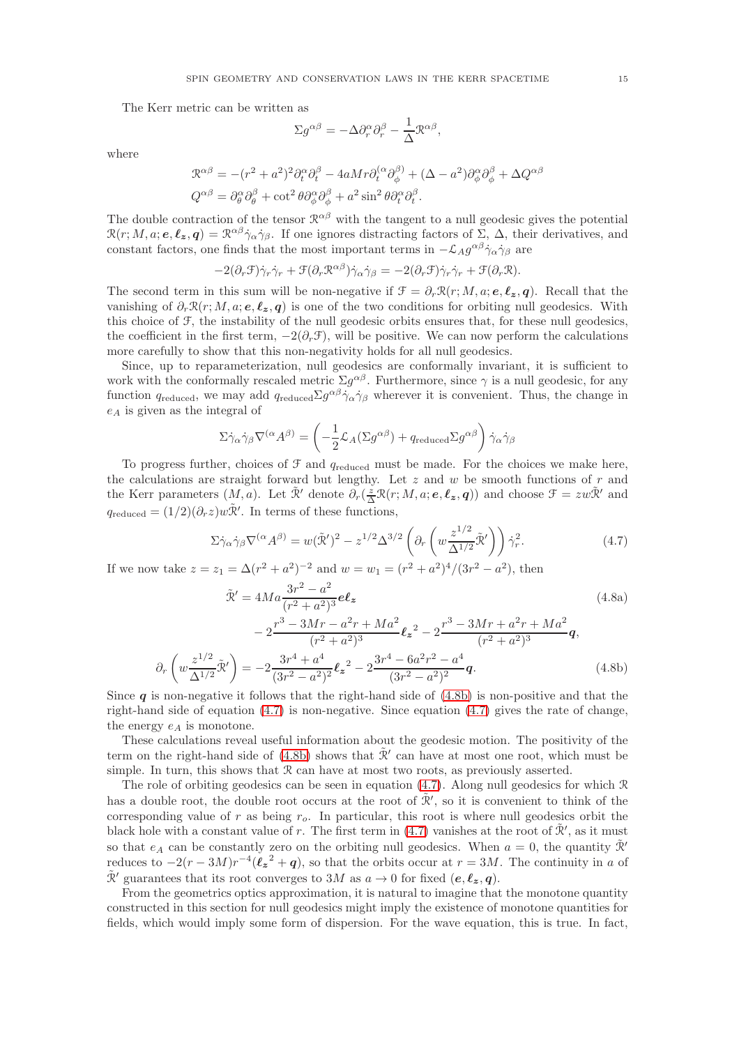The Kerr metric can be written as

$$
\Sigma g^{\alpha\beta} = -\Delta \partial_r^{\alpha} \partial_r^{\beta} - \frac{1}{\Delta} \mathcal{R}^{\alpha\beta},
$$

where

 $\partial_r$ 

$$
\mathcal{R}^{\alpha\beta} = -(r^2 + a^2)^2 \partial_t^{\alpha} \partial_t^{\beta} - 4a M r \partial_t^{(\alpha} \partial_\phi^{\beta)} + (\Delta - a^2) \partial_\phi^{\alpha} \partial_\phi^{\beta} + \Delta Q^{\alpha\beta}
$$
  

$$
Q^{\alpha\beta} = \partial_\theta^{\alpha} \partial_\theta^{\beta} + \cot^2 \theta \partial_\phi^{\alpha} \partial_\phi^{\beta} + a^2 \sin^2 \theta \partial_t^{\alpha} \partial_t^{\beta}.
$$

The double contraction of the tensor  $\mathcal{R}^{\alpha\beta}$  with the tangent to a null geodesic gives the potential  $\mathcal{R}(r; M, a; e, \ell_z, q) = \mathcal{R}^{\alpha\beta}\dot{\gamma}_{\alpha}\dot{\gamma}_{\beta}$ . If one ignores distracting factors of  $\Sigma$ ,  $\Delta$ , their derivatives, and constant factors, one finds that the most important terms in  $-\mathcal{L}_A g^{\alpha\beta} \dot{\gamma}_\alpha \dot{\gamma}_\beta$  are

$$
-2(\partial_r \mathcal{F})\dot{\gamma}_r \dot{\gamma}_r + \mathcal{F}(\partial_r \mathcal{R}^{\alpha\beta})\dot{\gamma}_\alpha \dot{\gamma}_\beta = -2(\partial_r \mathcal{F})\dot{\gamma}_r \dot{\gamma}_r + \mathcal{F}(\partial_r \mathcal{R}).
$$

The second term in this sum will be non-negative if  $\mathcal{F} = \partial_r \mathcal{R}(r; M, a; e, \ell_z, q)$ . Recall that the vanishing of  $\partial_r \mathcal{R}(r; M, a; e, \ell_z, q)$  is one of the two conditions for orbiting null geodesics. With this choice of F, the instability of the null geodesic orbits ensures that, for these null geodesics, the coefficient in the first term,  $-2(\partial_r \mathcal{F})$ , will be positive. We can now perform the calculations more carefully to show that this non-negativity holds for all null geodesics.

Since, up to reparameterization, null geodesics are conformally invariant, it is sufficient to work with the conformally rescaled metric  $\Sigma g^{\alpha\beta}$ . Furthermore, since  $\gamma$  is a null geodesic, for any function  $q_{reduced}$ , we may add  $q_{reduced} \Sigma g^{\alpha\beta} \dot{\gamma}_\alpha \dot{\gamma}_\beta$  wherever it is convenient. Thus, the change in  $e_A$  is given as the integral of

$$
\Sigma \dot{\gamma}_{\alpha} \dot{\gamma}_{\beta} \nabla^{(\alpha} A^{\beta)} = \left( -\frac{1}{2} \mathcal{L}_{A} (\Sigma g^{\alpha \beta}) + q_{reduced} \Sigma g^{\alpha \beta} \right) \dot{\gamma}_{\alpha} \dot{\gamma}_{\beta}
$$

To progress further, choices of  $\mathcal F$  and  $q_{reduced}$  must be made. For the choices we make here, the calculations are straight forward but lengthy. Let  $z$  and  $w$  be smooth functions of  $r$  and the Kerr parameters  $(M, a)$ . Let  $\tilde{\mathcal{R}}'$  denote  $\partial_r(\frac{z}{\Delta}\mathcal{R}(r; M, a; e, \ell_z, q))$  and choose  $\mathcal{F} = zw\tilde{\mathcal{R}}'$  and  $q_{reduced} = (1/2)(\partial_r z)w\tilde{\mathcal{R}}'$ . In terms of these functions,

<span id="page-14-1"></span><span id="page-14-0"></span>
$$
\Sigma \dot{\gamma}_{\alpha} \dot{\gamma}_{\beta} \nabla^{(\alpha} A^{\beta)} = w(\tilde{\mathcal{R}}')^{2} - z^{1/2} \Delta^{3/2} \left( \partial_{r} \left( w \frac{z^{1/2}}{\Delta^{1/2}} \tilde{\mathcal{R}}' \right) \right) \dot{\gamma}_{r}^{2}.
$$
\n(4.7)

If we now take  $z = z_1 = \Delta (r^2 + a^2)^{-2}$  and  $w = w_1 = (r^2 + a^2)^4/(3r^2 - a^2)$ , then  $\sim$  2

$$
\tilde{\mathcal{R}}' = 4Ma \frac{3r^2 - a^2}{(r^2 + a^2)^3} e\ell_z
$$
\n
$$
-2 \frac{r^3 - 3Mr - a^2r + Ma^2}{(r^2 + a^2)^3} \ell_z^2 - 2 \frac{r^3 - 3Mr + a^2r + Ma^2}{(r^2 + a^2)^3} q,
$$
\n
$$
\left(w \frac{z^{1/2}}{\Delta^{1/2}} \tilde{\mathcal{R}}'\right) = -2 \frac{3r^4 + a^4}{(3r^2 - a^2)^2} \ell_z^2 - 2 \frac{3r^4 - 6a^2r^2 - a^4}{(3r^2 - a^2)^2} q.
$$
\n(4.8b)

 $(3r^2 - a^2)^2$ Since  $q$  is non-negative it follows that the right-hand side of [\(4.8b\)](#page-14-0) is non-positive and that the right-hand side of equation  $(4.7)$  is non-negative. Since equation  $(4.7)$  gives the rate of change, the energy  $e_A$  is monotone.

These calculations reveal useful information about the geodesic motion. The positivity of the term on the right-hand side of [\(4.8b\)](#page-14-0) shows that  $\tilde{\mathcal{R}}'$  can have at most one root, which must be simple. In turn, this shows that  $\mathcal R$  can have at most two roots, as previously asserted.

The role of orbiting geodesics can be seen in equation [\(4.7\)](#page-14-1). Along null geodesics for which R has a double root, the double root occurs at the root of  $\tilde{\mathcal{R}}'$ , so it is convenient to think of the corresponding value of  $r$  as being  $r_o$ . In particular, this root is where null geodesics orbit the black hole with a constant value of r. The first term in [\(4.7\)](#page-14-1) vanishes at the root of  $\tilde{\mathcal{R}}'$ , as it must so that  $e_A$  can be constantly zero on the orbiting null geodesics. When  $a = 0$ , the quantity  $\mathcal{R}'$ reduces to  $-2(r-3M)r^{-4}(\ell_z^2+q)$ , so that the orbits occur at  $r=3M$ . The continuity in a of  $\tilde{\mathcal{R}}'$  guarantees that its root converges to 3M as  $a \to 0$  for fixed  $(e, \ell_z, q)$ .

From the geometrics optics approximation, it is natural to imagine that the monotone quantity constructed in this section for null geodesics might imply the existence of monotone quantities for fields, which would imply some form of dispersion. For the wave equation, this is true. In fact,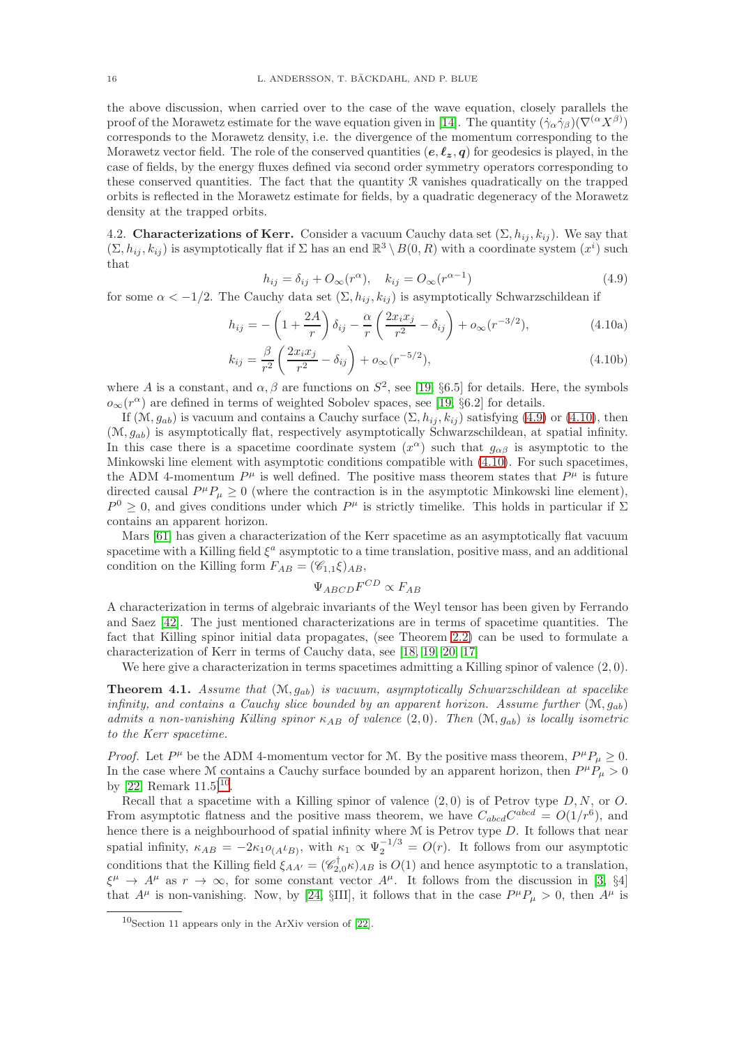the above discussion, when carried over to the case of the wave equation, closely parallels the proof of the Morawetz estimate for the wave equation given in [\[14\]](#page-27-3). The quantity  $(\dot{\gamma}_{\alpha}\dot{\gamma}_{\beta})(\nabla^{(\alpha}X^{\beta}))$ corresponds to the Morawetz density, i.e. the divergence of the momentum corresponding to the Morawetz vector field. The role of the conserved quantities  $(e, \ell_z, q)$  for geodesics is played, in the case of fields, by the energy fluxes defined via second order symmetry operators corresponding to these conserved quantities. The fact that the quantity R vanishes quadratically on the trapped orbits is reflected in the Morawetz estimate for fields, by a quadratic degeneracy of the Morawetz density at the trapped orbits.

<span id="page-15-0"></span>4.2. **Characterizations of Kerr.** Consider a vacuum Cauchy data set  $(\Sigma, h_{ij}, k_{ij})$ . We say that  $(\Sigma, h_{ij}, k_{ij})$  is asymptotically flat if  $\Sigma$  has an end  $\mathbb{R}^3 \setminus B(0, R)$  with a coordinate system  $(x^i)$  such that

<span id="page-15-2"></span><span id="page-15-1"></span>
$$
h_{ij} = \delta_{ij} + O_{\infty}(r^{\alpha}), \quad k_{ij} = O_{\infty}(r^{\alpha - 1})
$$
\n(4.9)

for some  $\alpha < -1/2$ . The Cauchy data set  $(\Sigma, h_{ij}, k_{ij})$  is asymptotically Schwarzschildean if

$$
h_{ij} = -\left(1 + \frac{2A}{r}\right)\delta_{ij} - \frac{\alpha}{r}\left(\frac{2x_ix_j}{r^2} - \delta_{ij}\right) + o_{\infty}(r^{-3/2}),\tag{4.10a}
$$

$$
k_{ij} = \frac{\beta}{r^2} \left( \frac{2x_i x_j}{r^2} - \delta_{ij} \right) + o_{\infty}(r^{-5/2}),
$$
\n(4.10b)

where A is a constant, and  $\alpha, \beta$  are functions on  $S^2$ , see [\[19,](#page-27-14) §6.5] for details. Here, the symbols  $o_{\infty}(r^{\alpha})$  are defined in terms of weighted Sobolev spaces, see [\[19,](#page-27-14) §6.2] for details.

If  $(\mathcal{M}, g_{ab})$  is vacuum and contains a Cauchy surface  $(\Sigma, h_{ij}, k_{ij})$  satisfying [\(4.9\)](#page-15-1) or [\(4.10\)](#page-15-2), then  $(M, g_{ab})$  is asymptotically flat, respectively asymptotically Schwarzschildean, at spatial infinity. In this case there is a spacetime coordinate system  $(x^{\alpha})$  such that  $g_{\alpha\beta}$  is asymptotic to the Minkowski line element with asymptotic conditions compatible with [\(4.10\)](#page-15-2). For such spacetimes, the ADM 4-momentum  $P^{\mu}$  is well defined. The positive mass theorem states that  $P^{\mu}$  is future directed causal  $P^{\mu}P_{\mu} \ge 0$  (where the contraction is in the asymptotic Minkowski line element),  $P^0 \geq 0$ , and gives conditions under which  $P^{\mu}$  is strictly timelike. This holds in particular if  $\Sigma$ contains an apparent horizon.

Mars [\[61\]](#page-28-6) has given a characterization of the Kerr spacetime as an asymptotically flat vacuum spacetime with a Killing field  $\xi^a$  asymptotic to a time translation, positive mass, and an additional condition on the Killing form  $F_{AB} = (\mathscr{C}_{1,1}\xi)_{AB}$ ,

$$
\Psi_{ABCD}F^{CD}\propto F_{AB}
$$

A characterization in terms of algebraic invariants of the Weyl tensor has been given by Ferrando and Saez [\[42\]](#page-28-26). The just mentioned characterizations are in terms of spacetime quantities. The fact that Killing spinor initial data propagates, (see Theorem [2.2\)](#page-9-2) can be used to formulate a characterization of Kerr in terms of Cauchy data, see [\[18,](#page-27-16) [19,](#page-27-14) [20,](#page-27-17) [17\]](#page-27-15)

We here give a characterization in terms spacetimes admitting a Killing spinor of valence  $(2, 0)$ .

<span id="page-15-4"></span>**Theorem 4.1.** Assume that  $(M, q_{ab})$  is vacuum, asymptotically Schwarzschildean at spacelike infinity, and contains a Cauchy slice bounded by an apparent horizon. Assume further  $(\mathcal{M}, q_{ab})$ admits a non-vanishing Killing spinor  $\kappa_{AB}$  of valence  $(2, 0)$ . Then  $(\mathcal{M}, g_{ab})$  is locally isometric to the Kerr spacetime.

*Proof.* Let  $P^{\mu}$  be the ADM 4-momentum vector for M. By the positive mass theorem,  $P^{\mu}P_{\mu} \ge 0$ . In the case where M contains a Cauchy surface bounded by an apparent horizon, then  $P^{\mu}P_{\mu} > 0$ by [\[22,](#page-27-18) Remark  $11.5$ ]<sup>[10](#page-15-3)</sup>.

Recall that a spacetime with a Killing spinor of valence  $(2,0)$  is of Petrov type  $D, N$ , or  $O$ . From asymptotic flatness and the positive mass theorem, we have  $C_{abcd}C^{abcd} = O(1/r^6)$ , and hence there is a neighbourhood of spatial infinity where  $M$  is Petrov type  $D$ . It follows that near spatial infinity,  $\kappa_{AB} = -2\kappa_1 o_{(A} \iota_{B)}$ , with  $\kappa_1 \propto \Psi_2^{-1/3} = O(r)$ . It follows from our asymptotic conditions that the Killing field  $\xi_{AA'} = (\mathscr{C}_{2,0}^{\dagger} \kappa)_{AB}$  is  $O(1)$  and hence asymptotic to a translation,  $\xi^{\mu} \to A^{\mu}$  as  $r \to \infty$ , for some constant vector  $A^{\mu}$ . It follows from the discussion in [\[3,](#page-26-2) §4] that  $A^{\mu}$  is non-vanishing. Now, by [\[24,](#page-27-19) §III], it follows that in the case  $P^{\mu}P_{\mu} > 0$ , then  $A^{\mu}$  is

<span id="page-15-3"></span> $10$ Section 11 appears only in the ArXiv version of [\[22\]](#page-27-18).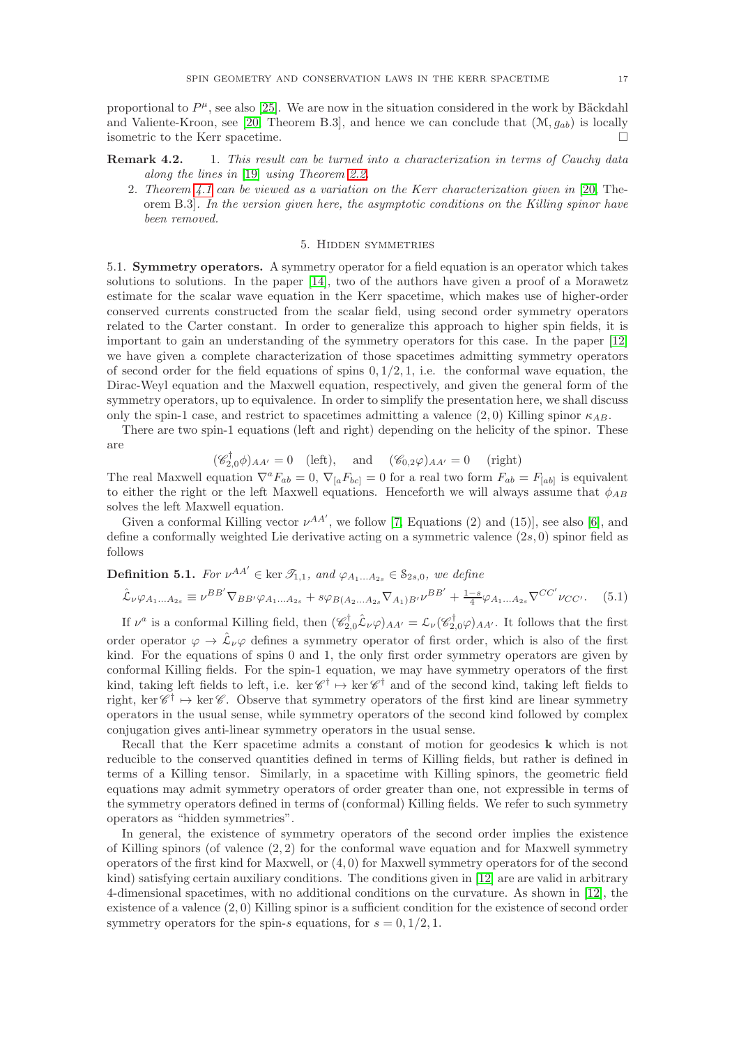proportional to  $P^{\mu}$ , see also [\[25\]](#page-27-20). We are now in the situation considered in the work by Bäckdahl and Valiente-Kroon, see [\[20,](#page-27-17) Theorem B.3], and hence we can conclude that  $(\mathcal{M}, g_{ab})$  is locally isometric to the Kerr spacetime.

- Remark 4.2. 1. This result can be turned into a characterization in terms of Cauchy data along the lines in [\[19\]](#page-27-14) using Theorem [2.2.](#page-9-2)
	- 2. Theorem [4.1](#page-15-4) can be viewed as a variation on the Kerr characterization given in [\[20,](#page-27-17) Theorem B.3]. In the version given here, the asymptotic conditions on the Killing spinor have been removed.

# 5. Hidden symmetries

<span id="page-16-0"></span>5.1. Symmetry operators. A symmetry operator for a field equation is an operator which takes solutions to solutions. In the paper [\[14\]](#page-27-3), two of the authors have given a proof of a Morawetz estimate for the scalar wave equation in the Kerr spacetime, which makes use of higher-order conserved currents constructed from the scalar field, using second order symmetry operators related to the Carter constant. In order to generalize this approach to higher spin fields, it is important to gain an understanding of the symmetry operators for this case. In the paper [\[12\]](#page-27-8) we have given a complete characterization of those spacetimes admitting symmetry operators of second order for the field equations of spins  $0, 1/2, 1$ , i.e. the conformal wave equation, the Dirac-Weyl equation and the Maxwell equation, respectively, and given the general form of the symmetry operators, up to equivalence. In order to simplify the presentation here, we shall discuss only the spin-1 case, and restrict to spacetimes admitting a valence  $(2,0)$  Killing spinor  $\kappa_{AB}$ .

There are two spin-1 equations (left and right) depending on the helicity of the spinor. These are

 $(\mathscr{C}_{2,0}^{\dagger}\phi)_{AA'}=0$  (left), and  $(\mathscr{C}_{0,2}\varphi)_{AA'}=0$  (right)

The real Maxwell equation  $\nabla^a F_{ab} = 0$ ,  $\nabla_{[a} F_{bc]} = 0$  for a real two form  $F_{ab} = F_{[ab]}$  is equivalent to either the right or the left Maxwell equations. Henceforth we will always assume that  $\phi_{AB}$ solves the left Maxwell equation.

Given a conformal Killing vector  $\nu^{AA'}$ , we follow [\[7,](#page-27-21) Equations (2) and (15)], see also [\[6\]](#page-27-22), and define a conformally weighted Lie derivative acting on a symmetric valence  $(2s, 0)$  spinor field as follows

**Definition 5.1.** For 
$$
\nu^{AA'} \in \text{ker } \mathcal{T}_{1,1}
$$
, and  $\varphi_{A_1...A_{2s}} \in \mathcal{S}_{2s,0}$ , we define  
\n
$$
\hat{C}_{AB}(\varphi_{A_1} \cdot \varphi_{A_1} = \nu^{BB'} \nabla_{B_1} \varphi_{A_2} \cdot \varphi_{A_1} + \varepsilon(\varphi_{B_2} \cdot \varphi_{A_1} \cdot \nabla_{A_2} \cdot \nabla_{B_1} \cdot \nu^{BB'} + \frac{1 - s}{2} \varphi_{A_1} \cdot \nabla_{A_2} C C' \cdot \nu_{B_2} \cdot \nabla_{A_1} \cdot \nabla_{A_2} C C' \cdot \nu_{B_1} \cdot \nabla_{A_2} C C' \cdot \nu_{B_2} \cdot \nabla_{A_1} \cdot \nabla_{A_2} C C' \cdot \nabla_{A_1} \cdot \nabla_{A_2} C C' \cdot \nabla_{A_1} \cdot \nabla_{A_2} C C' \cdot \nabla_{A_1} \cdot \nabla_{A_2} C C' \cdot \nabla_{A_1} \cdot \nabla_{A_2} \cdot \nabla_{A_2} \cdot \nabla_{A_1} \cdot \nabla_{A_2} \cdot \nabla_{A_2} \cdot \nabla_{A_1} \cdot \nabla_{A_2} \cdot \nabla_{A_2} \cdot \nabla_{A_1} \cdot \nabla_{A_2} \cdot \nabla_{A_2} \cdot \nabla_{A_1} \cdot \nabla_{A_2} \cdot \nabla_{A_2} \cdot \nabla_{A_2} \cdot \nabla_{A_2} \cdot \nabla_{A_1} \cdot \nabla_{A_2} \cdot \nabla_{A_2} \cdot \nabla_{A_1} \cdot \nabla_{A_2} \cdot \nabla_{A_2} \cdot \nabla_{A_1} \cdot \nabla_{A_2} \cdot \nabla_{A_1} \cdot \nabla_{A_2} \cdot \nabla_{A_2} \cdot \nabla_{A_1} \cdot \nabla_{A_2} \cdot \nabla_{A_2} \cdot \nabla_{A_2} \cdot \nabla_{A_2} \cdot \nabla_{A_2} \cdot \nabla
$$

$$
\hat{\mathcal{L}}_{\nu}\varphi_{A_1...A_{2s}} \equiv \nu^{BB'}\nabla_{BB'}\varphi_{A_1...A_{2s}} + s\varphi_{B(A_2...A_{2s}}\nabla_{A_1)B'}\nu^{BB'} + \frac{1-s}{4}\varphi_{A_1...A_{2s}}\nabla^{CC'}\nu_{CC'}.
$$
 (5.1)

If  $\nu^a$  is a conformal Killing field, then  $(\mathscr{C}_{2,0}^{\dagger} \hat{\mathcal{L}}_{\nu} \varphi)_{AA'} = \mathcal{L}_{\nu} (\mathscr{C}_{2,0}^{\dagger} \varphi)_{AA'}$ . It follows that the first order operator  $\varphi \to \hat{\mathcal{L}}_{\nu} \varphi$  defines a symmetry operator of first order, which is also of the first kind. For the equations of spins 0 and 1, the only first order symmetry operators are given by conformal Killing fields. For the spin-1 equation, we may have symmetry operators of the first kind, taking left fields to left, i.e. ker  $\mathscr{C}^{\dagger} \mapsto \ker \mathscr{C}^{\dagger}$  and of the second kind, taking left fields to right, ker  $\mathscr{C}^{\dagger} \mapsto \ker \mathscr{C}$ . Observe that symmetry operators of the first kind are linear symmetry operators in the usual sense, while symmetry operators of the second kind followed by complex conjugation gives anti-linear symmetry operators in the usual sense.

Recall that the Kerr spacetime admits a constant of motion for geodesics k which is not reducible to the conserved quantities defined in terms of Killing fields, but rather is defined in terms of a Killing tensor. Similarly, in a spacetime with Killing spinors, the geometric field equations may admit symmetry operators of order greater than one, not expressible in terms of the symmetry operators defined in terms of (conformal) Killing fields. We refer to such symmetry operators as "hidden symmetries".

In general, the existence of symmetry operators of the second order implies the existence of Killing spinors (of valence  $(2, 2)$  for the conformal wave equation and for Maxwell symmetry operators of the first kind for Maxwell, or  $(4, 0)$  for Maxwell symmetry operators for of the second kind) satisfying certain auxiliary conditions. The conditions given in [\[12\]](#page-27-8) are are valid in arbitrary 4-dimensional spacetimes, with no additional conditions on the curvature. As shown in [\[12\]](#page-27-8), the existence of a valence (2, 0) Killing spinor is a sufficient condition for the existence of second order symmetry operators for the spin-s equations, for  $s = 0, 1/2, 1$ .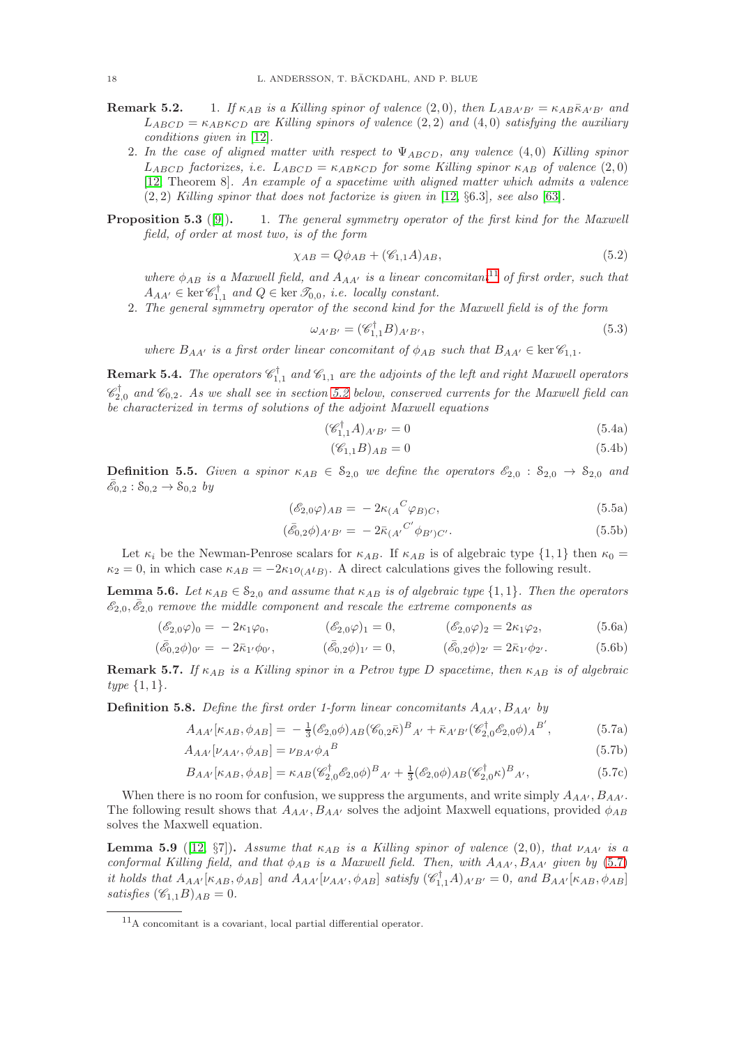- **Remark 5.2.** 1. If  $\kappa_{AB}$  is a Killing spinor of valence (2,0), then  $L_{ABA'B'} = \kappa_{AB} \bar{\kappa}_{A'B'}$  and  $L_{ABCD} = \kappa_{AB} \kappa_{CD}$  are Killing spinors of valence (2, 2) and (4,0) satisfying the auxiliary conditions given in [\[12\]](#page-27-8).
	- 2. In the case of aligned matter with respect to  $\Psi_{ABCD}$ , any valence (4,0) Killing spinor  $L_{ABCD}$  factorizes, i.e.  $L_{ABCD} = \kappa_{AB} \kappa_{CD}$  for some Killing spinor  $\kappa_{AB}$  of valence (2,0) [\[12,](#page-27-8) Theorem 8]. An example of a spacetime with aligned matter which admits a valence  $(2, 2)$  Killing spinor that does not factorize is given in [\[12,](#page-27-8)  $\S 6.3$ ], see also [\[63\]](#page-28-27).
- **Proposition 5.3** ([\[9\]](#page-27-11)). 1. The general symmetry operator of the first kind for the Maxwell field, of order at most two, is of the form

$$
\chi_{AB} = Q\phi_{AB} + (\mathcal{C}_{1,1}A)_{AB},\tag{5.2}
$$

where  $\phi_{AB}$  is a Maxwell field, and  $A_{AA'}$  is a linear concomitant<sup>[11](#page-17-0)</sup> of first order, such that  $A_{AA'} \in \text{ker} \mathscr{C}_{1,1}^{\dagger}$  and  $Q \in \text{ker} \mathscr{T}_{0,0}$ , i.e. locally constant.

2. The general symmetry operator of the second kind for the Maxwell field is of the form

<span id="page-17-3"></span>
$$
\omega_{A'B'} = (\mathscr{C}_{1,1}^{\dagger}B)_{A'B'},\tag{5.3}
$$

where  $B_{AA'}$  is a first order linear concomitant of  $\phi_{AB}$  such that  $B_{AA'} \in \text{ker } \mathscr{C}_{1,1}$ .

**Remark 5.4.** The operators  $\mathscr{C}_{1,1}^{\dagger}$  and  $\mathscr{C}_{1,1}$  are the adjoints of the left and right Maxwell operators  $\mathscr{C}_{2,0}^{\dagger}$  and  $\mathscr{C}_{0,2}$ . As we shall see in section [5.2](#page-18-0) below, conserved currents for the Maxwell field can be characterized in terms of solutions of the adjoint Maxwell equations

$$
(\mathscr{C}_{1,1}^{\dagger}A)_{A'B'} = 0\tag{5.4a}
$$

<span id="page-17-4"></span>
$$
(\mathcal{C}_{1,1}B)_{AB} = 0\tag{5.4b}
$$

**Definition 5.5.** Given a spinor  $\kappa_{AB} \in \mathcal{S}_{2,0}$  we define the operators  $\mathcal{E}_{2,0}$ :  $\mathcal{S}_{2,0} \rightarrow \mathcal{S}_{2,0}$  and  $\bar{\mathscr{E}}_{0,2}$  :  $S_{0,2} \to S_{0,2}$  by

$$
(\mathscr{E}_{2,0}\varphi)_{AB} = -2\kappa_{(A}{}^{C}\varphi_{B)C},\tag{5.5a}
$$

<span id="page-17-5"></span><span id="page-17-1"></span>
$$
(\bar{\mathscr{E}}_{0,2}\phi)_{A'B'} = -2\bar{\kappa}_{(A'}{}^{C'}\phi_{B')C'}.
$$
\n(5.5b)

Let  $\kappa_i$  be the Newman-Penrose scalars for  $\kappa_{AB}$ . If  $\kappa_{AB}$  is of algebraic type  $\{1,1\}$  then  $\kappa_0 =$  $\kappa_2 = 0$ , in which case  $\kappa_{AB} = -2\kappa_1 o_{(A} \iota_B)$ . A direct calculations gives the following result.

<span id="page-17-6"></span>**Lemma 5.6.** Let  $\kappa_{AB} \in \mathcal{S}_{2,0}$  and assume that  $\kappa_{AB}$  is of algebraic type  $\{1,1\}$ . Then the operators  $\bar{\mathscr{E}}_{2,0}, \bar{\mathscr{E}}_{2,0}$  remove the middle component and rescale the extreme components as

$$
(\mathscr{E}_{2,0}\varphi)_0 = -2\kappa_1\varphi_0, \qquad (\mathscr{E}_{2,0}\varphi)_1 = 0, \qquad (\mathscr{E}_{2,0}\varphi)_2 = 2\kappa_1\varphi_2, \qquad (5.6a)
$$

$$
(\bar{\mathscr{E}}_{0,2}\phi)_{0'} = -2\bar{\kappa}_{1'}\phi_{0'}, \qquad (\bar{\mathscr{E}}_{0,2}\phi)_{1'} = 0, \qquad (\bar{\mathscr{E}}_{0,2}\phi)_{2'} = 2\bar{\kappa}_{1'}\phi_{2'}.
$$
 (5.6b)

**Remark 5.7.** If  $\kappa_{AB}$  is a Killing spinor in a Petrov type D spacetime, then  $\kappa_{AB}$  is of algebraic  $type\{1,1\}.$ 

**Definition 5.8.** Define the first order 1-form linear concomitants  $A_{AA'}$ ,  $B_{AA'}$  by

$$
A_{AA'}[\kappa_{AB}, \phi_{AB}] = -\frac{1}{3} (\mathscr{E}_{2,0}\phi)_{AB} (\mathscr{C}_{0,2}\bar{\kappa})^B{}_{A'} + \bar{\kappa}_{A'B'} (\mathscr{C}_{2,0}^{\dagger} \mathscr{E}_{2,0}\phi)_{A}^{B'},
$$
(5.7a)

$$
A_{AA'}[\nu_{AA'}, \phi_{AB}] = \nu_{BA'}\phi_A{}^B
$$
\n
$$
(5.7b)
$$

$$
B_{AA'}[\kappa_{AB}, \phi_{AB}] = \kappa_{AB} (\mathscr{C}_{2,0}^{\dagger} \mathscr{E}_{2,0} \phi)^{B}{}_{A'} + \frac{1}{3} (\mathscr{E}_{2,0} \phi)_{AB} (\mathscr{C}_{2,0}^{\dagger} \kappa)^{B}{}_{A'}, \tag{5.7c}
$$

When there is no room for confusion, we suppress the arguments, and write simply  $A_{AA'}$ ,  $B_{AA'}$ . The following result shows that  $A_{AA'}$ ,  $B_{AA'}$  solves the adjoint Maxwell equations, provided  $\phi_{AB}$ solves the Maxwell equation.

<span id="page-17-2"></span>**Lemma 5.9** ([\[12,](#page-27-8) §7]). Assume that  $\kappa_{AB}$  is a Killing spinor of valence (2,0), that  $\nu_{AA'}$  is a conformal Killing field, and that  $\phi_{AB}$  is a Maxwell field. Then, with  $A_{AA'}$ ,  $B_{AA'}$  given by [\(5.7\)](#page-17-1) it holds that  $A_{AA'}[\kappa_{AB}, \phi_{AB}]$  and  $A_{AA'}[\nu_{AA'}, \phi_{AB}]$  satisfy  $(\mathscr{C}_{1,1}^{\dagger}A)_{A'B'} = 0$ , and  $B_{AA'}[\kappa_{AB}, \phi_{AB}]$ satisfies  $(\mathscr{C}_{1,1}B)_{AB}=0.$ 

<span id="page-17-0"></span><sup>11</sup>A concomitant is a covariant, local partial differential operator.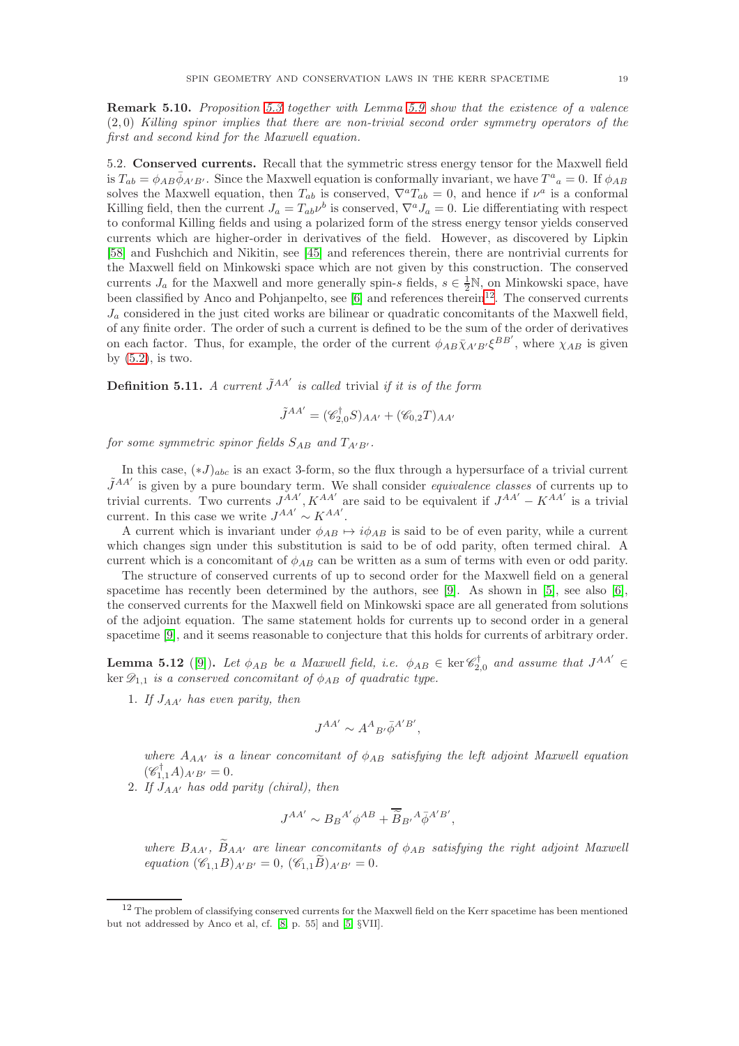Remark 5.10. Proposition 5.3 together with Lemma [5.9](#page-17-2) show that the existence of a valence (2, 0) Killing spinor implies that there are non-trivial second order symmetry operators of the first and second kind for the Maxwell equation.

<span id="page-18-0"></span>5.2. Conserved currents. Recall that the symmetric stress energy tensor for the Maxwell field is  $T_{ab} = \phi_{AB} \bar{\phi}_{A'B'}$ . Since the Maxwell equation is conformally invariant, we have  $T^a{}_a = 0$ . If  $\phi_{AB}$ solves the Maxwell equation, then  $T_{ab}$  is conserved,  $\nabla^a T_{ab} = 0$ , and hence if  $\nu^a$  is a conformal Killing field, then the current  $J_a = T_{ab}\nu^b$  is conserved,  $\nabla^a J_a = 0$ . Lie differentiating with respect to conformal Killing fields and using a polarized form of the stress energy tensor yields conserved currents which are higher-order in derivatives of the field. However, as discovered by Lipkin [\[58\]](#page-28-28) and Fushchich and Nikitin, see [\[45\]](#page-28-29) and references therein, there are nontrivial currents for the Maxwell field on Minkowski space which are not given by this construction. The conserved currents  $J_a$  for the Maxwell and more generally spin-s fields,  $s \in \frac{1}{2}N$ , on Minkowski space, have been classified by Anco and Pohjanpelto, see [\[6\]](#page-27-22) and references therein<sup>[12](#page-18-1)</sup>. The conserved currents  $J_a$  considered in the just cited works are bilinear or quadratic concomitants of the Maxwell field, of any finite order. The order of such a current is defined to be the sum of the order of derivatives on each factor. Thus, for example, the order of the current  $\phi_{AB} \bar{\chi}_{A'B'} \xi^{BB'}$ , where  $\chi_{AB}$  is given by  $(5.2)$ , is two.

<span id="page-18-2"></span>**Definition 5.11.** A current  $\tilde{J}^{AA'}$  is called trivial if it is of the form

$$
\tilde{J}^{AA'} = (\mathscr{C}_{2,0}^{\dagger}S)_{AA'} + (\mathscr{C}_{0,2}T)_{AA'}
$$

for some symmetric spinor fields  $S_{AB}$  and  $T_{A'B'}$ .

In this case,  $(*J)_{abc}$  is an exact 3-form, so the flux through a hypersurface of a trivial current  $\tilde{J}^{AA'}$  is given by a pure boundary term. We shall consider *equivalence classes* of currents up to trivial currents. Two currents  $J^{AA'}$ ,  $K^{AA'}$  are said to be equivalent if  $J^{AA'} - K^{AA'}$  is a trivial current. In this case we write  $J^{AA'} \sim K^{AA'}$ .

A current which is invariant under  $\phi_{AB} \mapsto i\phi_{AB}$  is said to be of even parity, while a current which changes sign under this substitution is said to be of odd parity, often termed chiral. A current which is a concomitant of  $\phi_{AB}$  can be written as a sum of terms with even or odd parity.

The structure of conserved currents of up to second order for the Maxwell field on a general spacetime has recently been determined by the authors, see [\[9\]](#page-27-11). As shown in [\[5\]](#page-27-23), see also [\[6\]](#page-27-22), the conserved currents for the Maxwell field on Minkowski space are all generated from solutions of the adjoint equation. The same statement holds for currents up to second order in a general spacetime [\[9\]](#page-27-11), and it seems reasonable to conjecture that this holds for currents of arbitrary order.

**Lemma 5.12** ([\[9\]](#page-27-11)). Let  $\phi_{AB}$  be a Maxwell field, i.e.  $\phi_{AB} \in \text{ker} \mathscr{C}_{2,0}^{\dagger}$  and assume that  $J^{AA'} \in$ ker  $\mathscr{D}_{1,1}$  is a conserved concomitant of  $\phi_{AB}$  of quadratic type.

1. If  $J_{AA'}$  has even parity, then

$$
J^{AA'} \sim A^A{}_{B'} \bar{\phi}^{A'B'},
$$

where  $A_{AA'}$  is a linear concomitant of  $\phi_{AB}$  satisfying the left adjoint Maxwell equation  $(\mathscr{C}_{1,1}^{\dagger}A)_{A'B'}=0.$ 

2. If  $J_{AA'}$  has odd parity (chiral), then

$$
J^{AA'} \sim B_B{}^{A'} \phi^{AB} + \overline{\widetilde{B}}_{B'}{}^{A} \overline{\phi}^{A'B'},
$$

where  $B_{AA'}$ ,  $\widetilde{B}_{AA'}$  are linear concomitants of  $\phi_{AB}$  satisfying the right adjoint Maxwell equation  $(\mathscr{C}_{1,1}B)_{A'B'} = 0$ ,  $(\mathscr{C}_{1,1}\tilde{B})_{A'B'} = 0$ .

<span id="page-18-1"></span><sup>&</sup>lt;sup>12</sup> The problem of classifying conserved currents for the Maxwell field on the Kerr spacetime has been mentioned but not addressed by Anco et al, cf. [\[8,](#page-27-24) p. 55] and [\[5,](#page-27-23) §VII].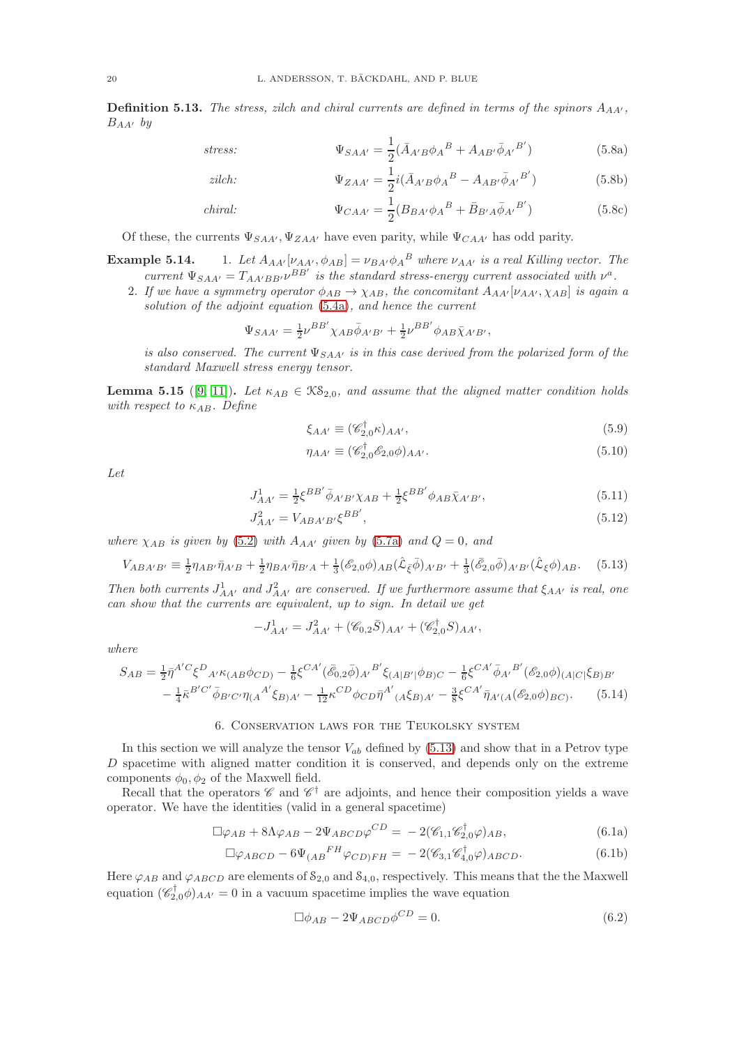**Definition 5.13.** The stress, zilch and chiral currents are defined in terms of the spinors  $A_{AA'}$ ,  $B_{AA'}$  by

$$
stress: \qquad \Psi_{SAA'} = \frac{1}{2} (\bar{A}_{A'B} \phi_A{}^B + A_{AB'} \bar{\phi}_{A'}{}^{B'}) \qquad (5.8a)
$$

zilch: 
$$
\Psi_{ZAA'} = \frac{1}{2} i (\bar{A}_{A'B} \phi_A{}^B - A_{AB'} \bar{\phi}_{A'}{}^{B'})
$$
(5.8b)

*chiral:* 
$$
\Psi_{CAA'} = \frac{1}{2} (B_{BA'} \phi_A{}^B + \bar{B}_{B'A} \bar{\phi}_{A'}{}^{B'})
$$
(5.8c)

Of these, the currents  $\Psi_{SAA'}$ ,  $\Psi_{ZAA'}$  have even parity, while  $\Psi_{CAA'}$  has odd parity.

**Example 5.14.** 1. Let  $A_{AA'}[\nu_{AA'}, \phi_{AB}] = \nu_{BA'} \phi_A{}^B$  where  $\nu_{AA'}$  is a real Killing vector. The current  $\Psi_{SAA'} = T_{AA'BB'}\nu^{BB'}$  is the standard stress-energy current associated with  $\nu^a$ .

2. If we have a symmetry operator  $\phi_{AB} \rightarrow \chi_{AB}$ , the concomitant  $A_{AA'}[\nu_{AA'}, \chi_{AB}]$  is again a solution of the adjoint equation [\(5.4a\)](#page-17-4), and hence the current

$$
\Psi_{SAA'}=\tfrac{1}{2}\nu^{BB'}\chi_{AB}\bar{\phi}_{A'B'}+\tfrac{1}{2}\nu^{BB'}\phi_{AB}\bar{\chi}_{A'B'},
$$

is also conserved. The current  $\Psi_{SAA'}$  is in this case derived from the polarized form of the standard Maxwell stress energy tensor.

**Lemma 5.15** ([\[9,](#page-27-11) [11\]](#page-27-12)). Let  $\kappa_{AB} \in \mathcal{KS}_{2,0}$ , and assume that the aligned matter condition holds with respect to  $\kappa_{AB}$ . Define

<span id="page-19-4"></span><span id="page-19-3"></span>
$$
\xi_{AA'} \equiv (\mathscr{C}_{2,0}^{\dagger} \kappa)_{AA'},\tag{5.9}
$$

<span id="page-19-1"></span>
$$
\eta_{AA'} \equiv (\mathscr{C}_{2,0}^{\dagger} \mathscr{E}_{2,0} \phi)_{AA'}.
$$
\n
$$
(5.10)
$$

Let

$$
J_{AA'}^1 = \frac{1}{2} \xi^{BB'} \bar{\phi}_{A'B'} \chi_{AB} + \frac{1}{2} \xi^{BB'} \phi_{AB} \bar{\chi}_{A'B'}, \tag{5.11}
$$

$$
J_{AA'}^2 = V_{ABA'B'}\xi^{BB'},\tag{5.12}
$$

where  $\chi_{AB}$  is given by [\(5.2\)](#page-17-3) with  $A_{AA'}$  given by [\(5.7a\)](#page-17-5) and  $Q=0$ , and

$$
V_{ABA'B'} \equiv \frac{1}{2} \eta_{AB'} \bar{\eta}_{A'B} + \frac{1}{2} \eta_{BA'} \bar{\eta}_{B'A} + \frac{1}{3} (\mathscr{E}_{2,0} \phi)_{AB} (\hat{\mathcal{L}}_{\bar{\xi}} \bar{\phi})_{A'B'} + \frac{1}{3} (\bar{\mathscr{E}}_{2,0} \bar{\phi})_{A'B'} (\hat{\mathcal{L}}_{\xi} \phi)_{AB}.
$$
 (5.13)

Then both currents  $J_{AA'}^1$  and  $J_{AA'}^2$  are conserved. If we furthermore assume that  $\xi_{AA'}$  is real, one can show that the currents are equivalent, up to sign. In detail we get

$$
-J_{AA'}^1 = J_{AA'}^2 + (\mathscr{C}_{0,2}\bar{S})_{AA'} + (\mathscr{C}_{2,0}^\dagger S)_{AA'},
$$

where

$$
S_{AB} = \frac{1}{2} \bar{\eta}^{A'C} \xi^{D}{}_{A'} \kappa_{(AB} \phi_{CD)} - \frac{1}{6} \xi^{CA'} (\bar{\mathcal{E}}_{0,2} \bar{\phi})_{A'}{}^{B'} \xi_{(A|B'|} \phi_{B)C} - \frac{1}{6} \xi^{CA'} \bar{\phi}_{A'}{}^{B'} (\mathcal{E}_{2,0} \phi)_{(A|C|} \xi_{B)B'} - \frac{1}{4} \bar{\kappa}^{B'C'} \bar{\phi}_{B'C'} \eta_{(A}{}^{A'} \xi_{B)A'} - \frac{1}{12} \kappa^{CD} \phi_{CD} \bar{\eta}^{A'}{}_{(A} \xi_{B)A'} - \frac{3}{8} \xi^{CA'} \bar{\eta}_{A'(A} (\mathcal{E}_{2,0} \phi)_{BC)}. \tag{5.14}
$$

# 6. Conservation laws for the Teukolsky system

<span id="page-19-0"></span>In this section we will analyze the tensor  $V_{ab}$  defined by [\(5.13\)](#page-19-1) and show that in a Petrov type D spacetime with aligned matter condition it is conserved, and depends only on the extreme components  $\phi_0, \phi_2$  of the Maxwell field.

Recall that the operators  $\mathscr{C}$  and  $\mathscr{C}^{\dagger}$  are adjoints, and hence their composition yields a wave operator. We have the identities (valid in a general spacetime)

$$
\Box \varphi_{AB} + 8\Lambda \varphi_{AB} - 2\Psi_{ABCD} \varphi^{CD} = -2(\mathscr{C}_{1,1} \mathscr{C}_{2,0}^{\dagger} \varphi)_{AB}, \qquad (6.1a)
$$

$$
\Box \varphi_{ABCD} - 6\Psi_{(AB}{}^{FH} \varphi_{CD)FH} = -2(\mathscr{C}_{3,1}\mathscr{C}_{4,0}^{\dagger} \varphi)_{ABCD}.
$$
 (6.1b)

Here  $\varphi_{AB}$  and  $\varphi_{ABCD}$  are elements of  $\mathcal{S}_{2,0}$  and  $\mathcal{S}_{4,0}$ , respectively. This means that the the Maxwell equation  $(\mathscr{C}_{2,0}^{\dagger}\phi)_{AA'}=0$  in a vacuum spacetime implies the wave equation

<span id="page-19-2"></span>
$$
\Box \phi_{AB} - 2\Psi_{ABCD} \phi^{CD} = 0. \tag{6.2}
$$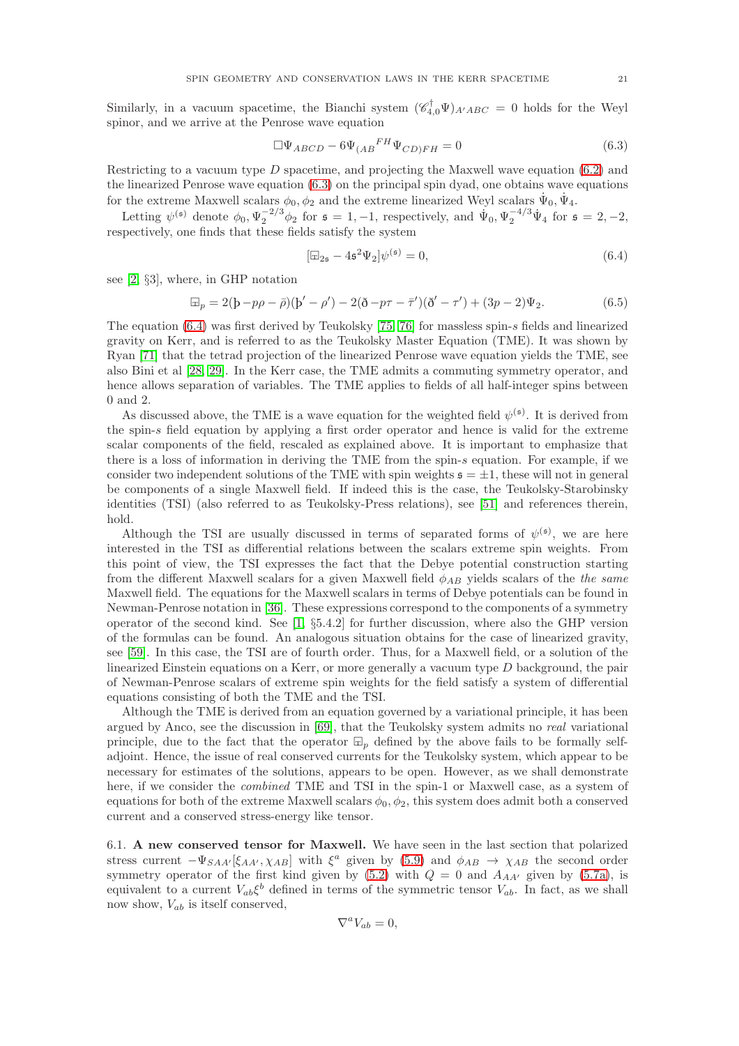Similarly, in a vacuum spacetime, the Bianchi system  $(\mathscr{C}_{4,0}^{\dagger}\Psi)_{A'ABC} = 0$  holds for the Weyl spinor, and we arrive at the Penrose wave equation

$$
\Box \Psi_{ABCD} - 6\Psi_{(AB}{}^{FH}\Psi_{CD)FH} = 0 \tag{6.3}
$$

Restricting to a vacuum type  $D$  spacetime, and projecting the Maxwell wave equation  $(6.2)$  and the linearized Penrose wave equation [\(6.3\)](#page-20-0) on the principal spin dyad, one obtains wave equations for the extreme Maxwell scalars  $\phi_0, \phi_2$  and the extreme linearized Weyl scalars  $\dot{\Psi}_0, \dot{\Psi}_4$ .

Letting  $\psi^{(\mathfrak{s})}$  denote  $\phi_0$ ,  $\Psi_2^{-2/3}\phi_2$  for  $\mathfrak{s} = 1, -1$ , respectively, and  $\Psi_0$ ,  $\Psi_2^{-4/3}\Psi_4$  for  $\mathfrak{s} = 2, -2$ , respectively, one finds that these fields satisfy the system

<span id="page-20-1"></span><span id="page-20-0"></span>
$$
[\Box_{2\mathfrak{s}} - 4\mathfrak{s}^2 \Psi_2] \psi^{(\mathfrak{s})} = 0, \tag{6.4}
$$

see [\[2,](#page-26-3) §3], where, in GHP notation

$$
\Box_p = 2(b - p\rho - \bar{\rho})(b' - \rho') - 2(\delta - p\tau - \bar{\tau}')(\delta' - \tau') + (3p - 2)\Psi_2.
$$
\n(6.5)

The equation [\(6.4\)](#page-20-1) was first derived by Teukolsky [\[75,](#page-29-0) [76\]](#page-29-1) for massless spin-s fields and linearized gravity on Kerr, and is referred to as the Teukolsky Master Equation (TME). It was shown by Ryan [\[71\]](#page-28-30) that the tetrad projection of the linearized Penrose wave equation yields the TME, see also Bini et al [\[28,](#page-27-25) [29\]](#page-27-26). In the Kerr case, the TME admits a commuting symmetry operator, and hence allows separation of variables. The TME applies to fields of all half-integer spins between 0 and 2.

As discussed above, the TME is a wave equation for the weighted field  $\psi^{(\mathfrak{s})}$ . It is derived from the spin-s field equation by applying a first order operator and hence is valid for the extreme scalar components of the field, rescaled as explained above. It is important to emphasize that there is a loss of information in deriving the TME from the spin-s equation. For example, if we consider two independent solutions of the TME with spin weights  $s = \pm 1$ , these will not in general be components of a single Maxwell field. If indeed this is the case, the Teukolsky-Starobinsky identities (TSI) (also referred to as Teukolsky-Press relations), see [\[51\]](#page-28-31) and references therein, hold.

Although the TSI are usually discussed in terms of separated forms of  $\psi^{(\mathfrak{s})}$ , we are here interested in the TSI as differential relations between the scalars extreme spin weights. From this point of view, the TSI expresses the fact that the Debye potential construction starting from the different Maxwell scalars for a given Maxwell field  $\phi_{AB}$  yields scalars of the the same Maxwell field. The equations for the Maxwell scalars in terms of Debye potentials can be found in Newman-Penrose notation in [\[36\]](#page-27-27). These expressions correspond to the components of a symmetry operator of the second kind. See  $[1, \S 5.4.2]$  for further discussion, where also the GHP version of the formulas can be found. An analogous situation obtains for the case of linearized gravity, see [\[59\]](#page-28-32). In this case, the TSI are of fourth order. Thus, for a Maxwell field, or a solution of the linearized Einstein equations on a Kerr, or more generally a vacuum type  $D$  background, the pair of Newman-Penrose scalars of extreme spin weights for the field satisfy a system of differential equations consisting of both the TME and the TSI.

Although the TME is derived from an equation governed by a variational principle, it has been argued by Anco, see the discussion in [\[69\]](#page-28-33), that the Teukolsky system admits no real variational principle, due to the fact that the operator  $\mathbb{F}_p$  defined by the above fails to be formally selfadjoint. Hence, the issue of real conserved currents for the Teukolsky system, which appear to be necessary for estimates of the solutions, appears to be open. However, as we shall demonstrate here, if we consider the *combined* TME and TSI in the spin-1 or Maxwell case, as a system of equations for both of the extreme Maxwell scalars  $\phi_0, \phi_2$ , this system does admit both a conserved current and a conserved stress-energy like tensor.

6.1. A new conserved tensor for Maxwell. We have seen in the last section that polarized stress current  $-\Psi_{SAA'}[\xi_{AA'}, \chi_{AB}]$  with  $\xi^a$  given by [\(5.9\)](#page-19-3) and  $\phi_{AB} \to \chi_{AB}$  the second order symmetry operator of the first kind given by [\(5.2\)](#page-17-3) with  $Q = 0$  and  $A_{AA'}$  given by [\(5.7a\)](#page-17-5), is equivalent to a current  $V_{ab}\xi^b$  defined in terms of the symmetric tensor  $V_{ab}$ . In fact, as we shall now show,  $V_{ab}$  is itself conserved,

$$
\nabla^a V_{ab} = 0,
$$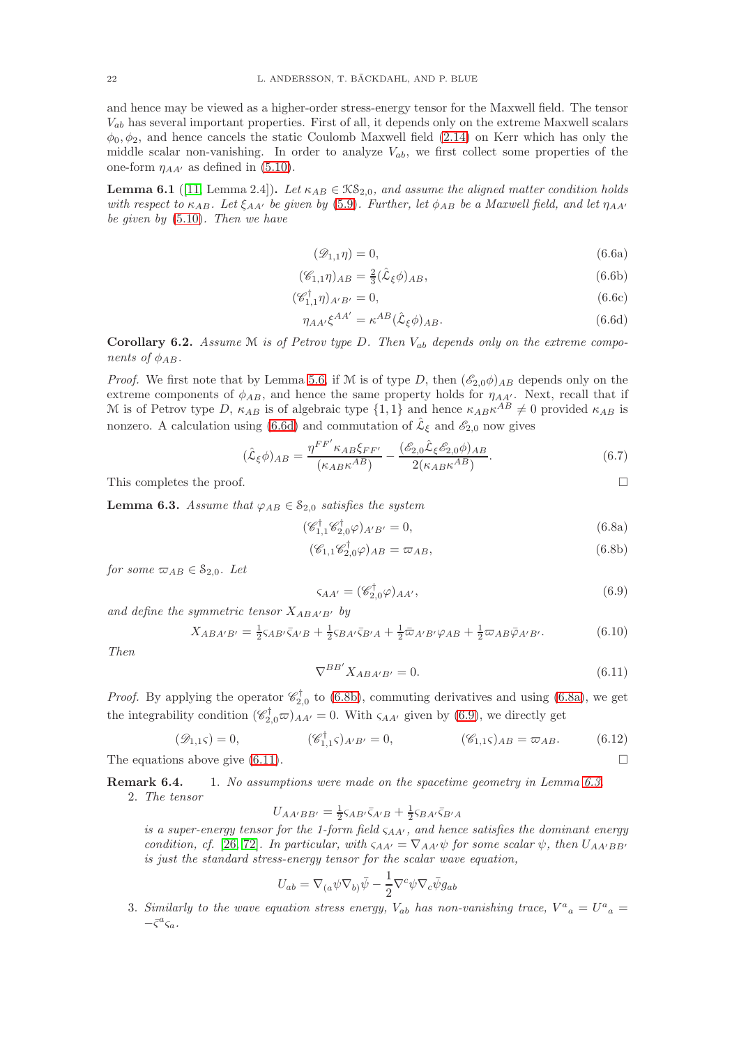and hence may be viewed as a higher-order stress-energy tensor for the Maxwell field. The tensor  $V_{ab}$  has several important properties. First of all, it depends only on the extreme Maxwell scalars  $\phi_0, \phi_2$ , and hence cancels the static Coulomb Maxwell field [\(2.14\)](#page-7-2) on Kerr which has only the middle scalar non-vanishing. In order to analyze  $V_{ab}$ , we first collect some properties of the one-form  $\eta_{AA'}$  as defined in [\(5.10\)](#page-19-4).

**Lemma 6.1** ([\[11,](#page-27-12) Lemma 2.4]). Let  $\kappa_{AB} \in \mathcal{KS}_{2,0}$ , and assume the aligned matter condition holds with respect to  $\kappa_{AB}$ . Let  $\xi_{AA'}$  be given by [\(5.9\)](#page-19-3). Further, let  $\phi_{AB}$  be a Maxwell field, and let  $\eta_{AA'}$ be given by [\(5.10\)](#page-19-4). Then we have

<span id="page-21-7"></span><span id="page-21-6"></span><span id="page-21-0"></span>
$$
(\mathcal{D}_{1,1}\eta) = 0,\t(6.6a)
$$

$$
(\mathscr{C}_{1,1}\eta)_{AB} = \frac{2}{3}(\hat{\mathcal{L}}_{\xi}\phi)_{AB},\tag{6.6b}
$$

$$
(\mathscr{C}_{1,1}^{\dagger}\eta)_{A'B'} = 0,\tag{6.6c}
$$

$$
\eta_{AA'}\xi^{AA'} = \kappa^{AB}(\hat{\mathcal{L}}_{\xi}\phi)_{AB}.\tag{6.6d}
$$

**Corollary 6.2.** Assume M is of Petrov type D. Then  $V_{ab}$  depends only on the extreme components of  $\phi_{AB}$ .

*Proof.* We first note that by Lemma [5.6,](#page-17-6) if M is of type D, then  $(\mathscr{E}_{2,0}\phi)_{AB}$  depends only on the extreme components of  $\phi_{AB}$ , and hence the same property holds for  $\eta_{AA'}$ . Next, recall that if M is of Petrov type D,  $\kappa_{AB}$  is of algebraic type  $\{1,1\}$  and hence  $\kappa_{AB}\kappa^{AB} \neq 0$  provided  $\kappa_{AB}$  is nonzero. A calculation using [\(6.6d\)](#page-21-0) and commutation of  $\hat{\mathcal{L}}_{\xi}$  and  $\mathscr{E}_{2,0}$  now gives

$$
(\hat{\mathcal{L}}_{\xi}\phi)_{AB} = \frac{\eta^{FF'}\kappa_{AB}\xi_{FF'}}{(\kappa_{AB}\kappa^{AB})} - \frac{(\mathscr{E}_{2,0}\hat{\mathcal{L}}_{\xi}\mathscr{E}_{2,0}\phi)_{AB}}{2(\kappa_{AB}\kappa^{AB})}.
$$
(6.7)

This completes the proof.

<span id="page-21-5"></span>**Lemma 6.3.** Assume that  $\varphi_{AB} \in \mathcal{S}_{2,0}$  satisfies the system

$$
(\mathscr{C}_{1,1}^{\dagger}\mathscr{C}_{2,0}^{\dagger}\varphi)_{A'B'} = 0, \tag{6.8a}
$$

$$
(\mathscr{C}_{1,1}\mathscr{C}_{2,0}^{\dagger}\varphi)_{AB} = \varpi_{AB},\tag{6.8b}
$$

for some  $\varpi_{AB} \in \mathcal{S}_{2,0}$ . Let

<span id="page-21-3"></span><span id="page-21-2"></span><span id="page-21-1"></span>
$$
\varsigma_{AA'} = (\mathscr{C}_{2,0}^{\dagger} \varphi)_{AA'},\tag{6.9}
$$

and define the symmetric tensor  $X_{ABA'B'}$  by

$$
X_{ABA'B'} = \frac{1}{2} \varsigma_{AB'} \bar{\varsigma}_{A'B} + \frac{1}{2} \varsigma_{BA'} \bar{\varsigma}_{B'A} + \frac{1}{2} \bar{\varpi}_{A'B'} \varphi_{AB} + \frac{1}{2} \varpi_{AB} \bar{\varphi}_{A'B'}.
$$
(6.10)

Then

<span id="page-21-4"></span>
$$
\nabla^{BB'} X_{ABA'B'} = 0. \tag{6.11}
$$

*Proof.* By applying the operator  $\mathcal{C}_{2,0}^{\dagger}$  to [\(6.8b\)](#page-21-1), commuting derivatives and using [\(6.8a\)](#page-21-2), we get the integrability condition  $(\mathscr{C}_{2,0}^{\dagger}\varpi)_{AA'}=0$ . With  $\varsigma_{AA'}$  given by [\(6.9\)](#page-21-3), we directly get

$$
(\mathcal{D}_{1,1}\varsigma) = 0, \qquad (\mathscr{C}_{1,1}^{\dagger}\varsigma)_{A'B'} = 0, \qquad (\mathscr{C}_{1,1}\varsigma)_{AB} = \varpi_{AB}. \qquad (6.12)
$$
  
The equations above give (6.11).

Remark 6.4. 1. No assumptions were made on the spacetime geometry in Lemma [6.3.](#page-21-5)

2. The tensor

$$
U_{AA'BB'} = \frac{1}{2} \varsigma_{AB'} \bar{\varsigma}_{A'B} + \frac{1}{2} \varsigma_{BA'} \bar{\varsigma}_{B'A}
$$

is a super-energy tensor for the 1-form field  $\varsigma_{AA'}$ , and hence satisfies the dominant energy condition, cf. [\[26,](#page-27-28) [72\]](#page-29-8). In particular, with  $\varsigma_{AA'} = \nabla_{AA'} \psi$  for some scalar  $\psi$ , then  $U_{AA'BB'}$ is just the standard stress-energy tensor for the scalar wave equation,

$$
U_{ab} = \nabla_{(a} \psi \nabla_{b)} \bar{\psi} - \frac{1}{2} \nabla^c \psi \nabla_c \bar{\psi} g_{ab}
$$

3. Similarly to the wave equation stress energy,  $V_{ab}$  has non-vanishing trace,  $V^a{}_a = U^a{}_a =$  $-\bar{\varsigma}^a\varsigma_a$ .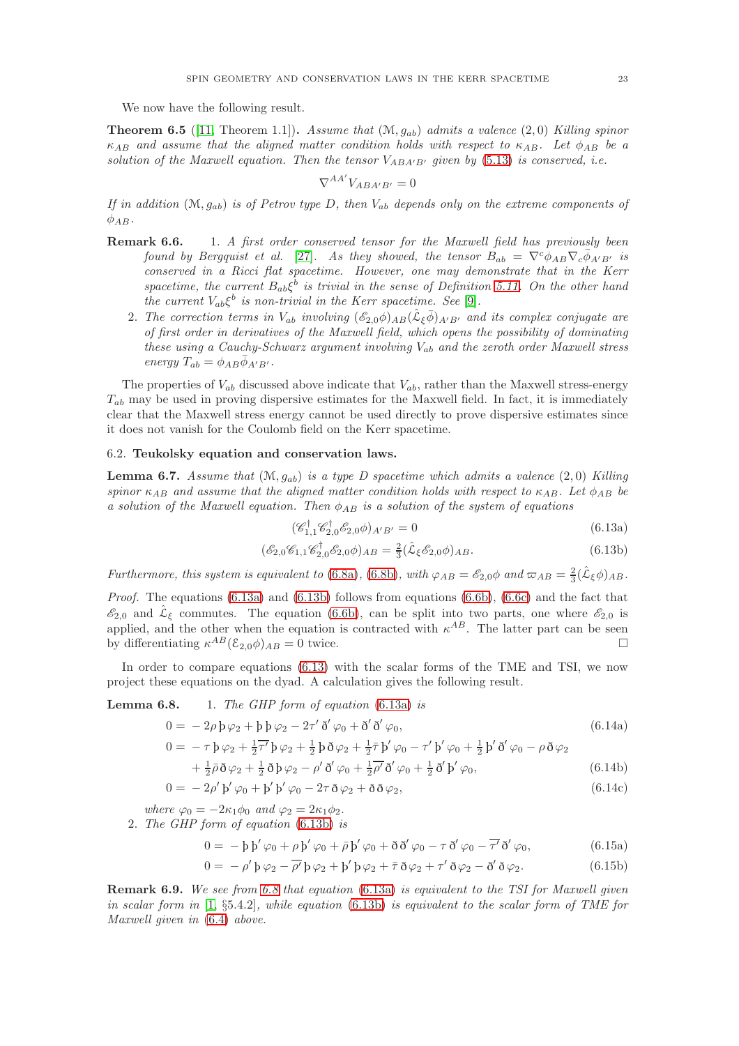We now have the following result.

**Theorem 6.5** ([\[11,](#page-27-12) Theorem 1.1]). Assume that  $(\mathcal{M}, g_{ab})$  admits a valence (2,0) Killing spinor  $\kappa_{AB}$  and assume that the aligned matter condition holds with respect to  $\kappa_{AB}$ . Let  $\phi_{AB}$  be a solution of the Maxwell equation. Then the tensor  $V_{ABA'B'}$  given by [\(5.13\)](#page-19-1) is conserved, i.e.

$$
\nabla^{AA'} V_{ABA'B'} = 0
$$

If in addition  $(M, g_{ab})$  is of Petrov type D, then  $V_{ab}$  depends only on the extreme components of  $\phi_{AB}$ .

- **Remark 6.6.** 1. A first order conserved tensor for the Maxwell field has previously been found by Bergquist et al. [\[27\]](#page-27-29). As they showed, the tensor  $B_{ab} = \nabla^c \phi_{AB} \nabla_c \phi_{A'B'}$  is conserved in a Ricci flat spacetime. However, one may demonstrate that in the Kerr spacetime, the current  $B_{ab}\xi^b$  is trivial in the sense of Definition [5.11.](#page-18-2) On the other hand the current  $V_{ab}\xi^b$  is non-trivial in the Kerr spacetime. See [\[9\]](#page-27-11).
	- 2. The correction terms in  $V_{ab}$  involving  $(\mathscr{E}_{2,0}\phi)_{AB}(\hat{\mathcal{L}}_{\xi}\bar{\phi})_{A'B'}$  and its complex conjugate are of first order in derivatives of the Maxwell field, which opens the possibility of dominating these using a Cauchy-Schwarz argument involving  $V_{ab}$  and the zeroth order Maxwell stress energy  $T_{ab} = \phi_{AB} \bar{\phi}_{A'B'}$ .

The properties of  $V_{ab}$  discussed above indicate that  $V_{ab}$ , rather than the Maxwell stress-energy  $T_{ab}$  may be used in proving dispersive estimates for the Maxwell field. In fact, it is immediately clear that the Maxwell stress energy cannot be used directly to prove dispersive estimates since it does not vanish for the Coulomb field on the Kerr spacetime.

## 6.2. Teukolsky equation and conservation laws.

**Lemma 6.7.** Assume that  $(M, g_{ab})$  is a type D spacetime which admits a valence  $(2, 0)$  Killing spinor  $\kappa_{AB}$  and assume that the aligned matter condition holds with respect to  $\kappa_{AB}$ . Let  $\phi_{AB}$  be a solution of the Maxwell equation. Then  $\phi_{AB}$  is a solution of the system of equations

<span id="page-22-2"></span><span id="page-22-1"></span><span id="page-22-0"></span>
$$
(\mathscr{C}_{1,1}^{\dagger}\mathscr{C}_{2,0}^{\dagger}\mathscr{E}_{2,0}\phi)_{A'B'} = 0
$$
\n
$$
(6.13a)
$$

$$
(\mathcal{E}_{2,0}\mathcal{C}_{1,1}\mathcal{C}_{2,0}^{\dagger}\mathcal{E}_{2,0}\phi)_{AB} = \frac{2}{3}(\hat{\mathcal{L}}_{\xi}\mathcal{E}_{2,0}\phi)_{AB}.
$$
\n(6.13b)

Furthermore, this system is equivalent to [\(6.8a\)](#page-21-2), [\(6.8b\)](#page-21-1), with  $\varphi_{AB} = \mathscr{E}_{2,0}\phi$  and  $\varpi_{AB} = \frac{2}{3}(\hat{\mathcal{L}}_{\xi}\phi)_{AB}$ .

*Proof.* The equations  $(6.13a)$  and  $(6.13b)$  follows from equations  $(6.6b)$ ,  $(6.6c)$  and the fact that  $\mathscr{E}_{2,0}$  and  $\mathscr{L}_{\xi}$  commutes. The equation [\(6.6b\)](#page-21-6), can be split into two parts, one where  $\mathscr{E}_{2,0}$  is applied, and the other when the equation is contracted with  $\kappa^{AB}$ . The latter part can be seen by differentiating  $\kappa^{AB}(\mathcal{E}_{2,0}\phi)_{AB} = 0$  twice.

In order to compare equations [\(6.13\)](#page-22-2) with the scalar forms of the TME and TSI, we now project these equations on the dyad. A calculation gives the following result.

**Lemma 6.8.** 1. The GHP form of equation  $(6.13a)$  is

$$
0 = -2\rho \mathbf{b} \varphi_2 + \mathbf{b} \mathbf{b} \varphi_2 - 2\tau' \delta' \varphi_0 + \delta' \delta' \varphi_0, \tag{6.14a}
$$

$$
0 = -\tau \mathfrak{p} \varphi_2 + \frac{1}{2} \overline{\tau'} \mathfrak{p} \varphi_2 + \frac{1}{2} \mathfrak{p} \delta \varphi_2 + \frac{1}{2} \overline{\tau} \mathfrak{p'} \varphi_0 - \tau' \mathfrak{p'} \varphi_0 + \frac{1}{2} \mathfrak{p'} \delta' \varphi_0 - \rho \delta \varphi_2
$$
  
+  $\frac{1}{2} \overline{\delta} \delta \varphi_2 + \frac{1}{2} \delta \mathfrak{h} \varphi_2 - \rho' \delta' \varphi_2 + \frac{1}{2} \overline{\rho'} \delta' \varphi_2 + \frac{1}{2} \delta' \mathfrak{h'} \varphi_2$  (6.14b)

$$
+\frac{1}{2}\bar{\rho}\,\delta\,\varphi_2+\frac{1}{2}\,\delta\,\beta\,\varphi_2-\rho'\,\delta'\,\varphi_0+\frac{1}{2}\rho'\,\delta'\,\varphi_0+\frac{1}{2}\,\delta'\,\beta'\,\varphi_0,\tag{6.14b}
$$

$$
0 = -2\rho' \mathbf{b}' \varphi_0 + \mathbf{b}' \mathbf{b}' \varphi_0 - 2\tau \delta \varphi_2 + \delta \delta \varphi_2, \tag{6.14c}
$$

where  $\varphi_0 = -2\kappa_1 \phi_0$  and  $\varphi_2 = 2\kappa_1 \phi_2$ .

2. The GHP form of equation [\(6.13b\)](#page-22-1) is

$$
0 = -b b' \varphi_0 + \rho b' \varphi_0 + \bar{\rho} b' \varphi_0 + \tilde{\delta} \delta' \varphi_0 - \tau \delta' \varphi_0 - \overline{\tau'} \delta' \varphi_0, \qquad (6.15a)
$$

$$
0 = -\rho' \mathfrak{p} \varphi_2 - \overline{\rho'} \mathfrak{p} \varphi_2 + \mathfrak{p'} \mathfrak{p} \varphi_2 + \overline{\tau} \mathfrak{d} \varphi_2 + \tau' \mathfrak{d} \varphi_2 - \mathfrak{d}' \mathfrak{d} \varphi_2.
$$
 (6.15b)

Remark 6.9. We see from 6.8 that equation [\(6.13a\)](#page-22-0) is equivalent to the TSI for Maxwell given in scalar form in  $[1, §5.4.2]$  $[1, §5.4.2]$ , while equation  $(6.13b)$  is equivalent to the scalar form of TME for Maxwell given in [\(6.4\)](#page-20-1) above.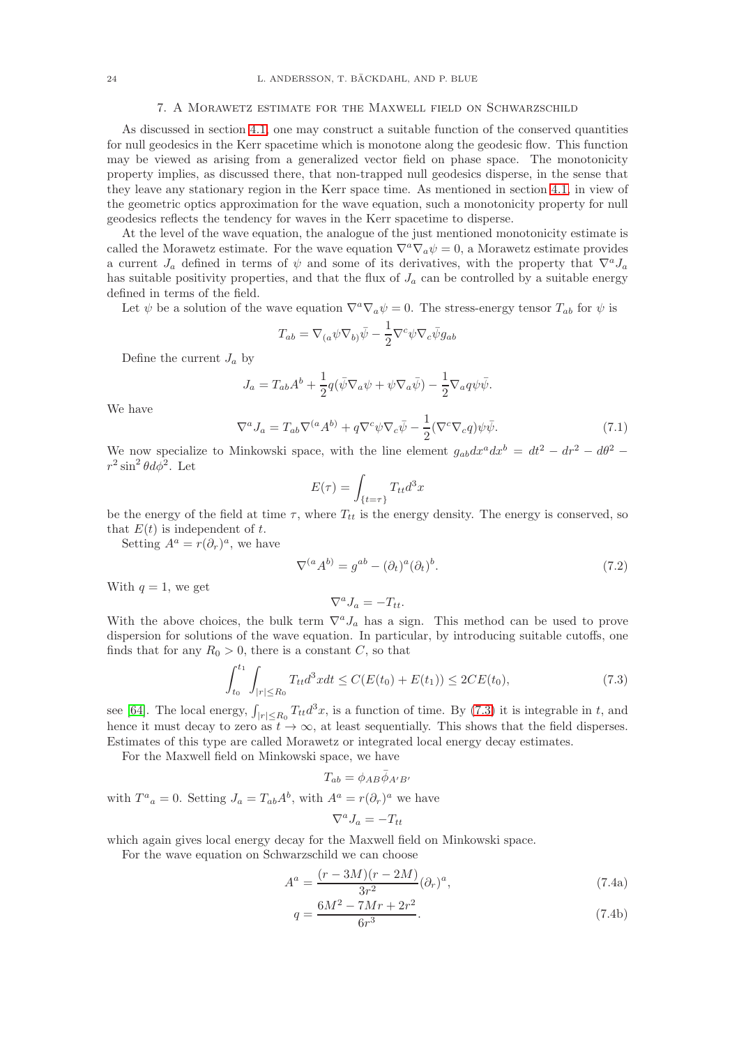#### 7. A Morawetz estimate for the Maxwell field on Schwarzschild

<span id="page-23-0"></span>As discussed in section [4.1,](#page-12-2) one may construct a suitable function of the conserved quantities for null geodesics in the Kerr spacetime which is monotone along the geodesic flow. This function may be viewed as arising from a generalized vector field on phase space. The monotonicity property implies, as discussed there, that non-trapped null geodesics disperse, in the sense that they leave any stationary region in the Kerr space time. As mentioned in section [4.1,](#page-12-2) in view of the geometric optics approximation for the wave equation, such a monotonicity property for null geodesics reflects the tendency for waves in the Kerr spacetime to disperse.

At the level of the wave equation, the analogue of the just mentioned monotonicity estimate is called the Morawetz estimate. For the wave equation  $\nabla^a \nabla_a \psi = 0$ , a Morawetz estimate provides a current  $J_a$  defined in terms of  $\psi$  and some of its derivatives, with the property that  $\nabla^a J_a$ has suitable positivity properties, and that the flux of  $J_a$  can be controlled by a suitable energy defined in terms of the field.

Let  $\psi$  be a solution of the wave equation  $\nabla^a \nabla_a \psi = 0$ . The stress-energy tensor  $T_{ab}$  for  $\psi$  is

$$
T_{ab} = \nabla_{(a} \psi \nabla_{b)} \bar{\psi} - \frac{1}{2} \nabla^c \psi \nabla_c \bar{\psi} g_{ab}
$$

Define the current  $J_a$  by

$$
J_a = T_{ab}A^b + \frac{1}{2}q(\bar{\psi}\nabla_a\psi + \psi\nabla_a\bar{\psi}) - \frac{1}{2}\nabla_a q\psi\bar{\psi}.
$$

We have

<span id="page-23-2"></span>
$$
\nabla^a J_a = T_{ab} \nabla^{(a} A^{b)} + q \nabla^c \psi \nabla_c \bar{\psi} - \frac{1}{2} (\nabla^c \nabla_c q) \psi \bar{\psi}.
$$
 (7.1)

We now specialize to Minkowski space, with the line element  $g_{ab}dx^a dx^b = dt^2 - dr^2 - d\theta^2$  $r^2 \sin^2 \theta d\phi^2$ . Let

$$
E(\tau) = \int_{\{t=\tau\}} T_{tt} d^3x
$$

be the energy of the field at time  $\tau$ , where  $T_{tt}$  is the energy density. The energy is conserved, so that  $E(t)$  is independent of t.

Setting  $A^a = r(\partial_r)^a$ , we have

$$
\nabla^{(a} A^{b)} = g^{ab} - (\partial_t)^a (\partial_t)^b. \tag{7.2}
$$

With  $q = 1$ , we get

<span id="page-23-1"></span>
$$
\nabla^a J_a = -T_{tt}.
$$

With the above choices, the bulk term  $\nabla^a J_a$  has a sign. This method can be used to prove dispersion for solutions of the wave equation. In particular, by introducing suitable cutoffs, one finds that for any  $R_0 > 0$ , there is a constant C, so that

$$
\int_{t_0}^{t_1} \int_{|r| \le R_0} T_{tt} d^3x dt \le C(E(t_0) + E(t_1)) \le 2CE(t_0),\tag{7.3}
$$

see [\[64\]](#page-28-34). The local energy,  $\int_{|r| \le R_0} T_{tt} d^3x$ , is a function of time. By [\(7.3\)](#page-23-1) it is integrable in t, and hence it must decay to zero as  $t \to \infty$ , at least sequentially. This shows that the field disperses. Estimates of this type are called Morawetz or integrated local energy decay estimates.

For the Maxwell field on Minkowski space, we have

$$
T_{ab} = \phi_{AB} \bar{\phi}_{A'B'}
$$

with  $T^a{}_a = 0$ . Setting  $J_a = T_{ab}A^b$ , with  $A^a = r(\partial_r)^a$  we have

$$
\nabla^a J_a = -T_{tt}
$$

which again gives local energy decay for the Maxwell field on Minkowski space.

For the wave equation on Schwarzschild we can choose

$$
A^{a} = \frac{(r - 3M)(r - 2M)}{3r^{2}} (\partial_{r})^{a},
$$
\n(7.4a)

$$
q = \frac{6M^2 - 7Mr + 2r^2}{6r^3}.
$$
\n(7.4b)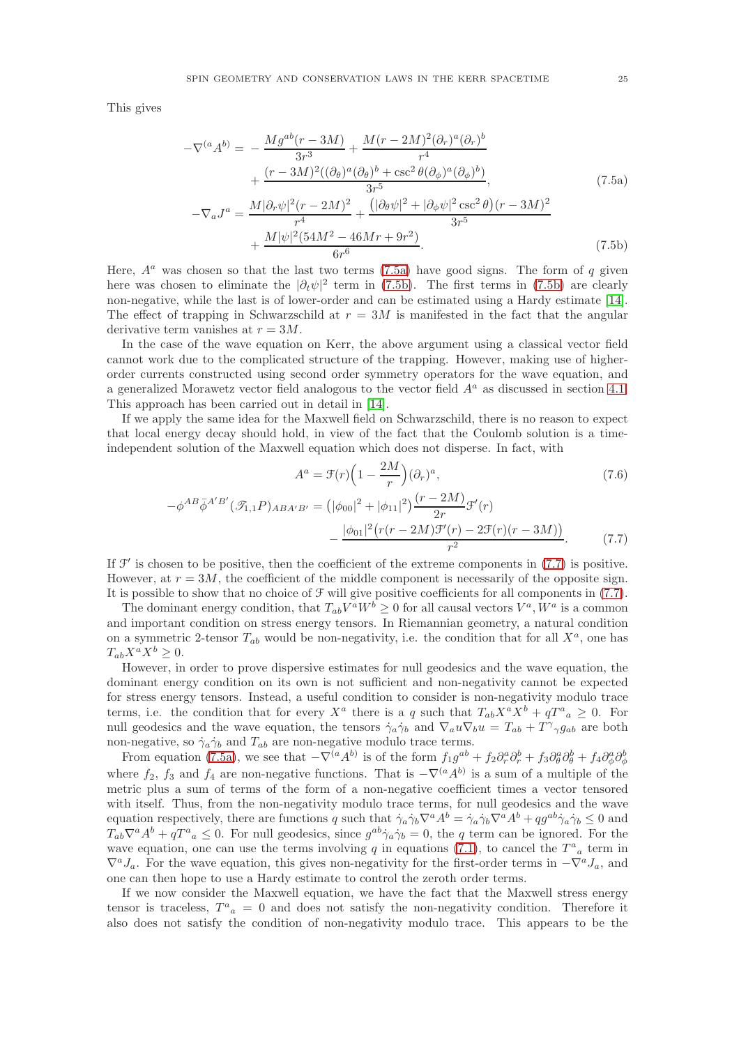This gives

$$
-\nabla^{(a}A^{b)} = -\frac{M g^{ab}(r - 3M)}{3r^3} + \frac{M(r - 2M)^2 (\partial_r)^a (\partial_r)^b}{r^4} + \frac{(r - 3M)^2 ((\partial_\theta)^a (\partial_\theta)^b + \csc^2 \theta (\partial_\phi)^a (\partial_\phi)^b)}{3r^5},
$$
\n
$$
-\nabla_a J^a = \frac{M |\partial_r \psi|^2 (r - 2M)^2}{4} + \frac{(|\partial_\theta \psi|^2 + |\partial_\phi \psi|^2 \csc^2 \theta)(r - 3M)^2}{r^5}
$$
\n(7.5a)

<span id="page-24-1"></span><span id="page-24-0"></span>
$$
r^{a} = \frac{\frac{1}{r^{4}}\left(\frac{1}{r^{4}} + \frac{1}{r^{4}}\right) + \frac{1}{r^{4}} + \frac{1}{r^{4}}}{3r^{5}} + \frac{M|\psi|^{2}(54M^{2} - 46Mr + 9r^{2})}{6r^{6}}.
$$
\n(7.5b)

Here,  $A^a$  was chosen so that the last two terms [\(7.5a\)](#page-24-0) have good signs. The form of q given here was chosen to eliminate the  $|\partial_t \psi|^2$  term in [\(7.5b\)](#page-24-1). The first terms in (7.5b) are clearly non-negative, while the last is of lower-order and can be estimated using a Hardy estimate [\[14\]](#page-27-3). The effect of trapping in Schwarzschild at  $r = 3M$  is manifested in the fact that the angular derivative term vanishes at  $r = 3M$ .

In the case of the wave equation on Kerr, the above argument using a classical vector field cannot work due to the complicated structure of the trapping. However, making use of higherorder currents constructed using second order symmetry operators for the wave equation, and a generalized Morawetz vector field analogous to the vector field  $A<sup>a</sup>$  as discussed in section [4.1.](#page-12-2) This approach has been carried out in detail in [\[14\]](#page-27-3).

If we apply the same idea for the Maxwell field on Schwarzschild, there is no reason to expect that local energy decay should hold, in view of the fact that the Coulomb solution is a timeindependent solution of the Maxwell equation which does not disperse. In fact, with

<span id="page-24-2"></span>
$$
A^{a} = \mathcal{F}(r)\left(1 - \frac{2M}{r}\right)(\partial_{r})^{a},\tag{7.6}
$$

$$
-\phi^{AB}\bar{\phi}^{A'B'}(\mathcal{I}_{1,1}P)_{ABA'B'} = (|\phi_{00}|^2 + |\phi_{11}|^2)\frac{(r-2M)}{2r}\mathcal{F}'(r)
$$

$$
-\frac{|\phi_{01}|^2(r(r-2M)\mathcal{F}'(r) - 2\mathcal{F}(r)(r-3M))}{r^2}.
$$
(7.7)

If  $\mathcal{F}'$  is chosen to be positive, then the coefficient of the extreme components in  $(7.7)$  is positive. However, at  $r = 3M$ , the coefficient of the middle component is necessarily of the opposite sign. It is possible to show that no choice of  $\mathcal F$  will give positive coefficients for all components in [\(7.7\)](#page-24-2).

The dominant energy condition, that  $T_{ab}V^aW^b \ge 0$  for all causal vectors  $V^a$ ,  $W^a$  is a common and important condition on stress energy tensors. In Riemannian geometry, a natural condition on a symmetric 2-tensor  $T_{ab}$  would be non-negativity, i.e. the condition that for all  $X^a$ , one has  $T_{ab}X^aX^b \geq 0.$ 

However, in order to prove dispersive estimates for null geodesics and the wave equation, the dominant energy condition on its own is not sufficient and non-negativity cannot be expected for stress energy tensors. Instead, a useful condition to consider is non-negativity modulo trace terms, i.e. the condition that for every  $X^a$  there is a q such that  $T_{ab}X^aX^b + qT^a{}_a \geq 0$ . For null geodesics and the wave equation, the tensors  $\dot{\gamma}_a \dot{\gamma}_b$  and  $\nabla_a u \nabla_b u = T_{ab} + T^{\gamma}{}_{\gamma} g_{ab}$  are both non-negative, so  $\dot{\gamma}_a \dot{\gamma}_b$  and  $T_{ab}$  are non-negative modulo trace terms.

From equation [\(7.5a\)](#page-24-0), we see that  $-\nabla^{(a}A^{b)}$  is of the form  $f_1g^{ab} + f_2\partial^a_r\partial^b_r + f_3\partial^a_\theta\partial^b_\theta + f_4\partial^a_\phi\partial^b_\phi$ where  $f_2$ ,  $f_3$  and  $f_4$  are non-negative functions. That is  $-\nabla^{\left(a}A^{b\right)}$  is a sum of a multiple of the metric plus a sum of terms of the form of a non-negative coefficient times a vector tensored with itself. Thus, from the non-negativity modulo trace terms, for null geodesics and the wave equation respectively, there are functions q such that  $\dot{\gamma}_a \dot{\gamma}_b \nabla^a A^b = \dot{\gamma}_a \dot{\gamma}_b \nabla^a A^b + q g^{ab} \dot{\gamma}_a \dot{\gamma}_b \leq 0$  and  $T_{ab}\nabla^a A^b + qT^a{}_a \leq 0$ . For null geodesics, since  $g^{ab}\dot{\gamma}_a\dot{\gamma}_b = 0$ , the q term can be ignored. For the wave equation, one can use the terms involving q in equations [\(7.1\)](#page-23-2), to cancel the  $T^a{}_a$  term in  $\nabla^a J_a$ . For the wave equation, this gives non-negativity for the first-order terms in  $-\nabla^a J_a$ , and one can then hope to use a Hardy estimate to control the zeroth order terms.

If we now consider the Maxwell equation, we have the fact that the Maxwell stress energy tensor is traceless,  $T^a{}_a = 0$  and does not satisfy the non-negativity condition. Therefore it also does not satisfy the condition of non-negativity modulo trace. This appears to be the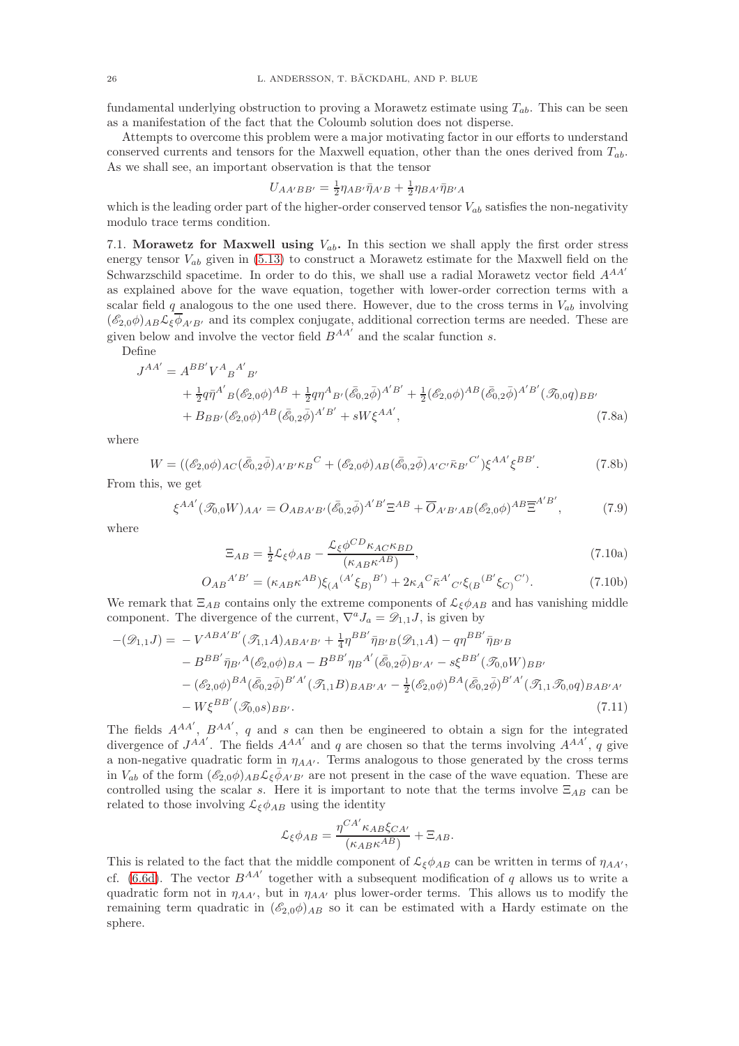fundamental underlying obstruction to proving a Morawetz estimate using  $T_{ab}$ . This can be seen as a manifestation of the fact that the Coloumb solution does not disperse.

Attempts to overcome this problem were a major motivating factor in our efforts to understand conserved currents and tensors for the Maxwell equation, other than the ones derived from  $T_{ab}$ . As we shall see, an important observation is that the tensor

$$
U_{AA'BB'} = \frac{1}{2} \eta_{AB'} \bar{\eta}_{A'B} + \frac{1}{2} \eta_{BA'} \bar{\eta}_{B'A}
$$

which is the leading order part of the higher-order conserved tensor  $V_{ab}$  satisfies the non-negativity modulo trace terms condition.

7.1. Morawetz for Maxwell using  $V_{ab}$ . In this section we shall apply the first order stress energy tensor  $V_{ab}$  given in [\(5.13\)](#page-19-1) to construct a Morawetz estimate for the Maxwell field on the Schwarzschild spacetime. In order to do this, we shall use a radial Morawetz vector field  $A^{AA'}$ as explained above for the wave equation, together with lower-order correction terms with a scalar field q analogous to the one used there. However, due to the cross terms in  $V_{ab}$  involving  $(\mathscr{E}_{2,0}\phi)_{AB}\mathcal{L}_{\xi}\overline{\phi}_{A'B'}$  and its complex conjugate, additional correction terms are needed. These are given below and involve the vector field  $B^{AA'}$  and the scalar function s.

Define

$$
J^{AA'} = A^{BB'}V^A{}_B{}^{A'}{}_{B'}
$$
  
+  $\frac{1}{2}q\bar{\eta}^{A'}{}_B(\mathscr{E}_{2,0}\phi)^{AB} + \frac{1}{2}q\eta^A{}_B{}_{\prime}(\bar{\mathscr{E}}_{0,2}\bar{\phi})^{A'B'} + \frac{1}{2}(\mathscr{E}_{2,0}\phi)^{AB}(\bar{\mathscr{E}}_{0,2}\bar{\phi})^{A'B'}(\mathscr{T}_{0,0}q)_{BB'}+ B_{BB'}(\mathscr{E}_{2,0}\phi)^{AB}(\bar{\mathscr{E}}_{0,2}\bar{\phi})^{A'B'} + sW\xi^{AA'},$  (7.8a)

where

$$
W = ((\mathscr{E}_{2,0}\phi)_{AC}(\bar{\mathscr{E}}_{0,2}\bar{\phi})_{A'B'}\kappa_B{}^C + (\mathscr{E}_{2,0}\phi)_{AB}(\bar{\mathscr{E}}_{0,2}\bar{\phi})_{A'C'}\bar{\kappa}_{B'}{}^{C'})\xi^{AA'}\xi^{BB'}.
$$
 (7.8b)

From this, we get

$$
\xi^{AA'}(\mathcal{I}_{0,0}W)_{AA'} = O_{ABA'B'}(\bar{\mathcal{E}}_{0,2}\bar{\phi})^{A'B'}\Xi^{AB} + \overline{O}_{A'B'AB}(\mathcal{E}_{2,0}\phi)^{AB}\overline{\Xi}^{A'B'},\tag{7.9}
$$

where

$$
\Xi_{AB} = \frac{1}{2} \mathcal{L}_{\xi} \phi_{AB} - \frac{\mathcal{L}_{\xi} \phi^{CD} \kappa_{AC} \kappa_{BD}}{(\kappa_{AB} \kappa^{AB})},\tag{7.10a}
$$

$$
O_{AB}{}^{A'B'} = (\kappa_{AB} \kappa^{AB}) \xi_{(A}{}^{(A'} \xi_{B)}{}^{B')} + 2 \kappa_A{}^C \bar{\kappa}^{A'} {}_{C'} \xi_{(B}{}^{(B'} \xi_{C)}{}^{C')}.
$$
(7.10b)

We remark that  $\Xi_{AB}$  contains only the extreme components of  $\mathcal{L}_{\xi}\phi_{AB}$  and has vanishing middle component. The divergence of the current,  $\nabla^a J_a = \mathscr{D}_{1,1}J$ , is given by

$$
-(\mathcal{D}_{1,1}J) = -V^{ABA'B'}(\mathcal{F}_{1,1}A)_{ABA'B'} + \frac{1}{4}\eta^{BB'}\bar{\eta}_{B'B}(\mathcal{D}_{1,1}A) - q\eta^{BB'}\bar{\eta}_{B'B} - B^{BB'}\bar{\eta}_{B'}A(\mathcal{E}_{2,0}\phi)_{BA} - B^{BB'}\eta_{B}A'(\bar{\mathcal{E}}_{0,2}\bar{\phi})_{B'A'} - s\xi^{BB'}(\mathcal{F}_{0,0}W)_{BB'} - (\mathcal{E}_{2,0}\phi)^{BA}(\bar{\mathcal{E}}_{0,2}\bar{\phi})^{B'A'}(\mathcal{F}_{1,1}B)_{BAB'A'} - \frac{1}{2}(\mathcal{E}_{2,0}\phi)^{BA}(\bar{\mathcal{E}}_{0,2}\bar{\phi})^{B'A'}(\mathcal{F}_{1,1}\mathcal{F}_{0,0}q)_{BAB'A'} - W\xi^{BB'}(\mathcal{F}_{0,0}s)_{BB'}.
$$
\n(7.11)

The fields  $A^{AA'}$ ,  $B^{AA'}$ , q and s can then be engineered to obtain a sign for the integrated divergence of  $J^{AA'}$ . The fields  $A^{AA'}$  and q are chosen so that the terms involving  $A^{AA'}$ , q give a non-negative quadratic form in  $\eta_{AA'}$ . Terms analogous to those generated by the cross terms in  $V_{ab}$  of the form  $(\mathscr{E}_{2,0}\phi)_{AB}\mathcal{L}_{\xi}\bar{\phi}_{A'B'}$  are not present in the case of the wave equation. These are controlled using the scalar s. Here it is important to note that the terms involve  $\Xi_{AB}$  can be related to those involving  $\mathcal{L}_{\xi}\phi_{AB}$  using the identity

$$
\mathcal{L}_{\xi}\phi_{AB} = \frac{\eta^{CA'}\kappa_{AB}\xi_{CA'}}{\left(\kappa_{AB}\kappa^{AB}\right)} + \Xi_{AB}.
$$

This is related to the fact that the middle component of  $\mathcal{L}_{\xi}\phi_{AB}$  can be written in terms of  $\eta_{AA'}$ , cf. [\(6.6d\)](#page-21-0). The vector  $B^{AA'}$  together with a subsequent modification of q allows us to write a quadratic form not in  $\eta_{AA'}$ , but in  $\eta_{AA'}$  plus lower-order terms. This allows us to modify the remaining term quadratic in  $(\mathscr{E}_{2,0}\phi)_{AB}$  so it can be estimated with a Hardy estimate on the sphere.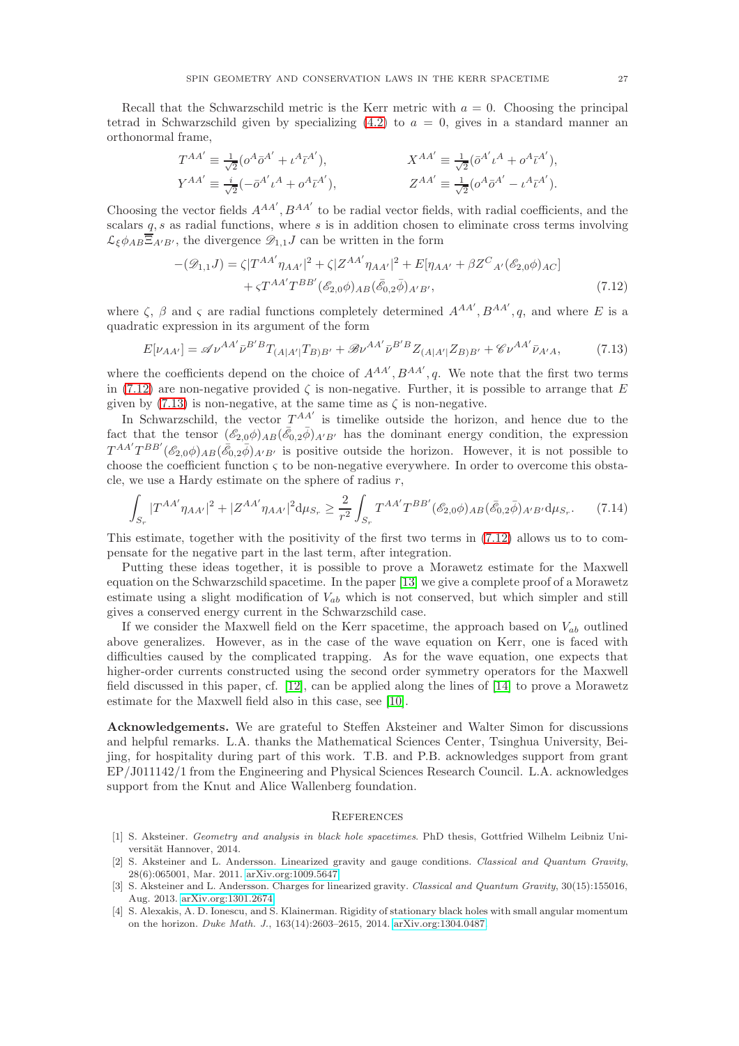Recall that the Schwarzschild metric is the Kerr metric with  $a = 0$ . Choosing the principal tetrad in Schwarzschild given by specializing  $(4.2)$  to  $a = 0$ , gives in a standard manner an orthonormal frame,

$$
T^{AA'} \equiv \frac{1}{\sqrt{2}} (o^A \bar{o}^{A'} + \iota^A \bar{\iota}^{A'}), \qquad X^{AA'} \equiv \frac{1}{\sqrt{2}} (\bar{o}^{A'} \iota^A + \sigma^A \bar{\iota}^{A'}),
$$
  
\n
$$
Y^{AA'} \equiv \frac{i}{\sqrt{2}} (-\bar{o}^{A'} \iota^A + \sigma^A \bar{\iota}^{A'}), \qquad Z^{AA'} \equiv \frac{1}{\sqrt{2}} (\sigma^A \bar{o}^{A'} - \iota^A \bar{\iota}^{A'}).
$$

Choosing the vector fields  $A^{AA'}$ ,  $B^{AA'}$  to be radial vector fields, with radial coefficients, and the scalars  $q, s$  as radial functions, where s is in addition chosen to eliminate cross terms involving  $\mathcal{L}_{\xi}\phi_{AB}\overline{\Xi}_{A'B'}$ , the divergence  $\mathscr{D}_{1,1}J$  can be written in the form

<span id="page-26-6"></span><span id="page-26-5"></span>
$$
-(\mathcal{D}_{1,1}J) = \zeta |T^{AA'} \eta_{AA'}|^2 + \zeta |Z^{AA'} \eta_{AA'}|^2 + E[\eta_{AA'} + \beta Z^C{}_{A'}(\mathcal{E}_{2,0}\phi)_{AC}] + \zeta T^{AA'}T^{BB'}(\mathcal{E}_{2,0}\phi)_{AB}(\bar{\mathcal{E}}_{0,2}\bar{\phi})_{A'B'},
$$
(7.12)

where  $\zeta$ ,  $\beta$  and  $\zeta$  are radial functions completely determined  $A^{AA'}$ ,  $B^{AA'}$ ,  $q$ , and where E is a quadratic expression in its argument of the form

$$
E[\nu_{AA'}] = \mathscr{A} \nu^{AA'} \bar{\nu}^{B'B} T_{(A|A'|} T_{B)B'} + \mathscr{B} \nu^{AA'} \bar{\nu}^{B'B} Z_{(A|A'|} Z_{B)B'} + \mathscr{C} \nu^{AA'} \bar{\nu}_{A'A},\tag{7.13}
$$

where the coefficients depend on the choice of  $A^{AA'}$ ,  $B^{AA'}$ , q. We note that the first two terms in [\(7.12\)](#page-26-5) are non-negative provided  $\zeta$  is non-negative. Further, it is possible to arrange that E given by  $(7.13)$  is non-negative, at the same time as  $\zeta$  is non-negative.

In Schwarzschild, the vector  $T^{AA'}$  is timelike outside the horizon, and hence due to the fact that the tensor  $(\mathscr{E}_{2,0}\phi)_{AB}(\bar{\mathscr{E}}_{0,2}\bar{\phi})_{A'B'}$  has the dominant energy condition, the expression  $T^{AA'}T^{BB'}(\mathscr{E}_{2,0}\phi)_{AB}(\overline{\mathscr{E}}_{0,2}\overline{\phi})_{A'B'}$  is positive outside the horizon. However, it is not possible to choose the coefficient function  $\varsigma$  to be non-negative everywhere. In order to overcome this obstacle, we use a Hardy estimate on the sphere of radius  $r$ ,

$$
\int_{S_r} |T^{AA'} \eta_{AA'}|^2 + |Z^{AA'} \eta_{AA'}|^2 d\mu_{S_r} \ge \frac{2}{r^2} \int_{S_r} T^{AA'} T^{BB'} (\mathscr{E}_{2,0} \phi)_{AB} (\bar{\mathscr{E}}_{0,2} \bar{\phi})_{A'B'} d\mu_{S_r}.
$$
 (7.14)

This estimate, together with the positivity of the first two terms in [\(7.12\)](#page-26-5) allows us to to compensate for the negative part in the last term, after integration.

Putting these ideas together, it is possible to prove a Morawetz estimate for the Maxwell equation on the Schwarzschild spacetime. In the paper [\[13\]](#page-27-30) we give a complete proof of a Morawetz estimate using a slight modification of  $V_{ab}$  which is not conserved, but which simpler and still gives a conserved energy current in the Schwarzschild case.

If we consider the Maxwell field on the Kerr spacetime, the approach based on  $V_{ab}$  outlined above generalizes. However, as in the case of the wave equation on Kerr, one is faced with difficulties caused by the complicated trapping. As for the wave equation, one expects that higher-order currents constructed using the second order symmetry operators for the Maxwell field discussed in this paper, cf. [\[12\]](#page-27-8), can be applied along the lines of [\[14\]](#page-27-3) to prove a Morawetz estimate for the Maxwell field also in this case, see [\[10\]](#page-27-31).

Acknowledgements. We are grateful to Steffen Aksteiner and Walter Simon for discussions and helpful remarks. L.A. thanks the Mathematical Sciences Center, Tsinghua University, Beijing, for hospitality during part of this work. T.B. and P.B. acknowledges support from grant EP/J011142/1 from the Engineering and Physical Sciences Research Council. L.A. acknowledges support from the Knut and Alice Wallenberg foundation.

#### <span id="page-26-0"></span>**REFERENCES**

- <span id="page-26-4"></span>[1] S. Aksteiner. Geometry and analysis in black hole spacetimes. PhD thesis, Gottfried Wilhelm Leibniz Universität Hannover, 2014.
- <span id="page-26-3"></span>[2] S. Aksteiner and L. Andersson. Linearized gravity and gauge conditions. Classical and Quantum Gravity, 28(6):065001, Mar. 2011. [arXiv.org:1009.5647.](http://www.arxiv.org/abs/1009.5647)
- <span id="page-26-2"></span>[3] S. Aksteiner and L. Andersson. Charges for linearized gravity. Classical and Quantum Gravity, 30(15):155016, Aug. 2013. [arXiv.org:1301.2674.](http://www.arxiv.org/abs/1301.2674)
- <span id="page-26-1"></span>[4] S. Alexakis, A. D. Ionescu, and S. Klainerman. Rigidity of stationary black holes with small angular momentum on the horizon. Duke Math. J., 163(14):2603–2615, 2014. [arXiv.org:1304.0487.](http://www.arxiv.org/abs/1304.0487)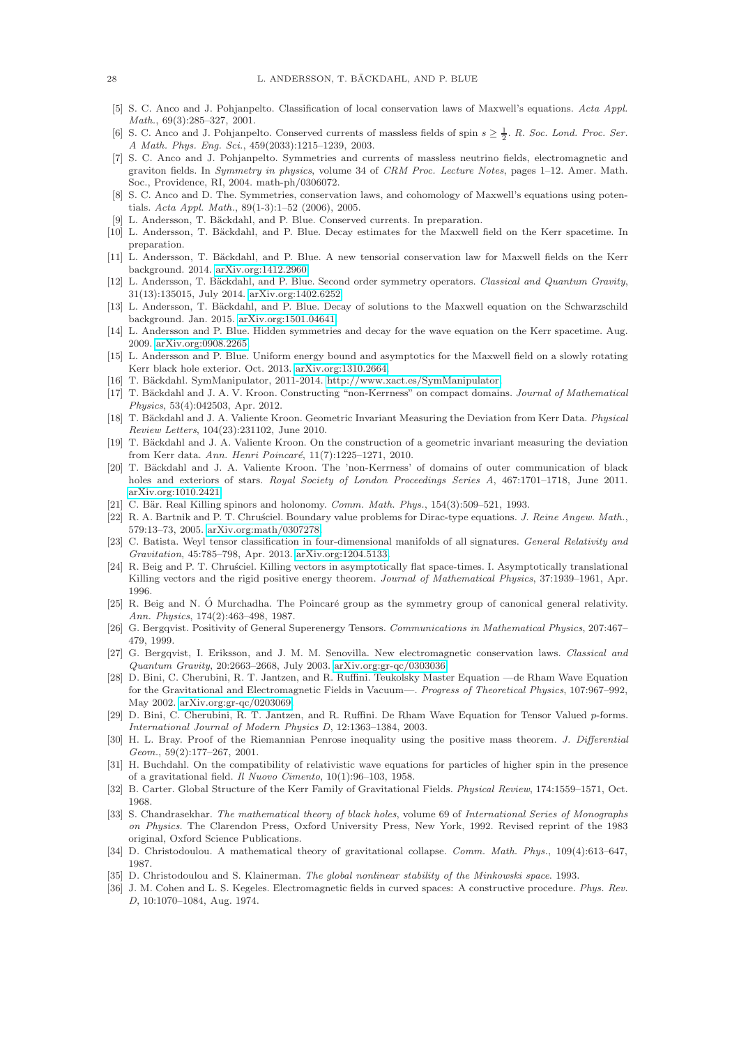- <span id="page-27-23"></span>[5] S. C. Anco and J. Pohjanpelto. Classification of local conservation laws of Maxwell's equations. Acta Appl. Math., 69(3):285–327, 2001.
- <span id="page-27-22"></span>[6] S. C. Anco and J. Pohjanpelto. Conserved currents of massless fields of spin  $s \geq \frac{1}{2}$ . R. Soc. Lond. Proc. Ser. A Math. Phys. Eng. Sci., 459(2033):1215–1239, 2003.
- <span id="page-27-21"></span>[7] S. C. Anco and J. Pohjanpelto. Symmetries and currents of massless neutrino fields, electromagnetic and graviton fields. In Symmetry in physics, volume 34 of CRM Proc. Lecture Notes, pages 1–12. Amer. Math. Soc., Providence, RI, 2004. math-ph/0306072.
- <span id="page-27-24"></span>[8] S. C. Anco and D. The. Symmetries, conservation laws, and cohomology of Maxwell's equations using potentials. Acta Appl. Math., 89(1-3):1–52 (2006), 2005.
- <span id="page-27-31"></span><span id="page-27-11"></span>[9] L. Andersson, T. Bäckdahl, and P. Blue. Conserved currents. In preparation.
- [10] L. Andersson, T. Bäckdahl, and P. Blue. Decay estimates for the Maxwell field on the Kerr spacetime. In preparation.
- <span id="page-27-12"></span>[11] L. Andersson, T. Bäckdahl, and P. Blue. A new tensorial conservation law for Maxwell fields on the Kerr background. 2014. [arXiv.org:1412.2960.](http://www.arxiv.org/abs/1412.2960)
- <span id="page-27-8"></span>[12] L. Andersson, T. Bäckdahl, and P. Blue. Second order symmetry operators. Classical and Quantum Gravity, 31(13):135015, July 2014. [arXiv.org:1402.6252.](http://www.arxiv.org/abs/1402.6252)
- <span id="page-27-30"></span>[13] L. Andersson, T. Bäckdahl, and P. Blue. Decay of solutions to the Maxwell equation on the Schwarzschild background. Jan. 2015. [arXiv.org:1501.04641.](http://www.arxiv.org/abs/1501.04641)
- <span id="page-27-3"></span>[14] L. Andersson and P. Blue. Hidden symmetries and decay for the wave equation on the Kerr spacetime. Aug. 2009. [arXiv.org:0908.2265.](http://www.arxiv.org/abs/0908.2265)
- <span id="page-27-4"></span>[15] L. Andersson and P. Blue. Uniform energy bound and asymptotics for the Maxwell field on a slowly rotating Kerr black hole exterior. Oct. 2013. [arXiv.org:1310.2664.](http://www.arxiv.org/abs/1310.2664)
- <span id="page-27-15"></span><span id="page-27-7"></span>[16] T. Bäckdahl. SymManipulator, 2011-2014. [http://www.xact.es/SymManipulator.](http://www.xact.es/SymManipulator)
- [17] T. Bäckdahl and J. A. V. Kroon. Constructing "non-Kerrness" on compact domains. Journal of Mathematical Physics, 53(4):042503, Apr. 2012.
- <span id="page-27-16"></span>[18] T. Bäckdahl and J. A. Valiente Kroon. Geometric Invariant Measuring the Deviation from Kerr Data. Physical Review Letters, 104(23):231102, June 2010.
- <span id="page-27-14"></span>[19] T. Bäckdahl and J. A. Valiente Kroon. On the construction of a geometric invariant measuring the deviation from Kerr data. Ann. Henri Poincaré, 11(7):1225-1271, 2010.
- <span id="page-27-17"></span>[20] T. Bäckdahl and J. A. Valiente Kroon. The 'non-Kerrness' of domains of outer communication of black holes and exteriors of stars. Royal Society of London Proceedings Series A, 467:1701–1718, June 2011. [arXiv.org:1010.2421.](http://www.arxiv.org/abs/1010.2421)
- <span id="page-27-18"></span><span id="page-27-6"></span>[21] C. Bär. Real Killing spinors and holonomy. Comm. Math. Phys.,  $154(3):509-521$ , 1993.
- [22] R. A. Bartnik and P. T. Chrusciel. Boundary value problems for Dirac-type equations. J. Reine Angew. Math., 579:13–73, 2005. [arXiv.org:math/0307278.](http://www.arxiv.org/abs/math/0307278)
- <span id="page-27-5"></span>[23] C. Batista. Weyl tensor classification in four-dimensional manifolds of all signatures. General Relativity and Gravitation, 45:785–798, Apr. 2013. [arXiv.org:1204.5133.](http://www.arxiv.org/abs/1204.5133)
- <span id="page-27-19"></span>[24] R. Beig and P. T. Chrusciel. Killing vectors in asymptotically flat space-times. I. Asymptotically translational Killing vectors and the rigid positive energy theorem. Journal of Mathematical Physics, 37:1939–1961, Apr. 1996.
- <span id="page-27-20"></span>[25] R. Beig and N. Ó Murchadha. The Poincaré group as the symmetry group of canonical general relativity. Ann. Physics, 174(2):463–498, 1987.
- <span id="page-27-28"></span>[26] G. Bergqvist. Positivity of General Superenergy Tensors. Communications in Mathematical Physics, 207:467– 479, 1999.
- <span id="page-27-29"></span>[27] G. Bergqvist, I. Eriksson, and J. M. M. Senovilla. New electromagnetic conservation laws. Classical and Quantum Gravity, 20:2663–2668, July 2003. [arXiv.org:gr-qc/0303036.](http://www.arxiv.org/abs/gr-qc/0303036)
- <span id="page-27-25"></span>[28] D. Bini, C. Cherubini, R. T. Jantzen, and R. Ruffini. Teukolsky Master Equation —de Rham Wave Equation for the Gravitational and Electromagnetic Fields in Vacuum—. Progress of Theoretical Physics, 107:967–992, May 2002. [arXiv.org:gr-qc/0203069.](http://www.arxiv.org/abs/gr-qc/0203069)
- <span id="page-27-26"></span>[29] D. Bini, C. Cherubini, R. T. Jantzen, and R. Ruffini. De Rham Wave Equation for Tensor Valued p-forms. International Journal of Modern Physics D, 12:1363–1384, 2003.
- <span id="page-27-1"></span>[30] H. L. Bray. Proof of the Riemannian Penrose inequality using the positive mass theorem. J. Differential Geom., 59(2):177–267, 2001.
- <span id="page-27-13"></span>[31] H. Buchdahl. On the compatibility of relativistic wave equations for particles of higher spin in the presence of a gravitational field. Il Nuovo Cimento, 10(1):96–103, 1958.
- <span id="page-27-2"></span><span id="page-27-0"></span>[32] B. Carter. Global Structure of the Kerr Family of Gravitational Fields. Physical Review, 174:1559–1571, Oct. 1968.
- [33] S. Chandrasekhar. The mathematical theory of black holes, volume 69 of International Series of Monographs on Physics. The Clarendon Press, Oxford University Press, New York, 1992. Revised reprint of the 1983 original, Oxford Science Publications.
- <span id="page-27-9"></span>[34] D. Christodoulou. A mathematical theory of gravitational collapse. Comm. Math. Phys., 109(4):613–647, 1987.
- <span id="page-27-27"></span><span id="page-27-10"></span>[35] D. Christodoulou and S. Klainerman. The global nonlinear stability of the Minkowski space. 1993.
- [36] J. M. Cohen and L. S. Kegeles. Electromagnetic fields in curved spaces: A constructive procedure. Phys. Rev. D, 10:1070–1084, Aug. 1974.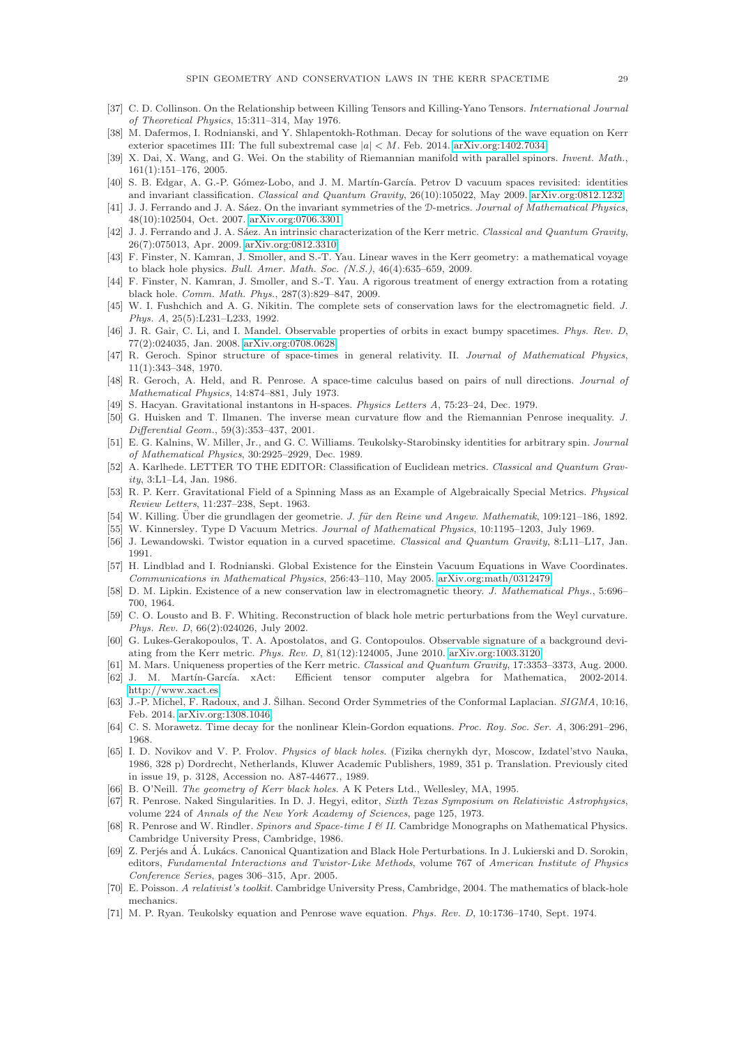- <span id="page-28-21"></span><span id="page-28-14"></span>[37] C. D. Collinson. On the Relationship between Killing Tensors and Killing-Yano Tensors. International Journal of Theoretical Physics, 15:311–314, May 1976.
- [38] M. Dafermos, I. Rodnianski, and Y. Shlapentokh-Rothman. Decay for solutions of the wave equation on Kerr exterior spacetimes III: The full subextremal case  $|a| \leq M$ . Feb. 2014. [arXiv.org:1402.7034.](http://www.arxiv.org/abs/1402.7034)
- <span id="page-28-12"></span>[39] X. Dai, X. Wang, and G. Wei. On the stability of Riemannian manifold with parallel spinors. Invent. Math., 161(1):151–176, 2005.
- <span id="page-28-19"></span>[40] S. B. Edgar, A. G.-P. Gómez-Lobo, and J. M. Martín-García. Petrov D vacuum spaces revisited: identities and invariant classification. Classical and Quantum Gravity, 26(10):105022, May 2009. [arXiv.org:0812.1232.](http://www.arxiv.org/abs/0812.1232)
- <span id="page-28-22"></span>[41] J. J. Ferrando and J. A. Sáez. On the invariant symmetries of the D-metrics. Journal of Mathematical Physics, 48(10):102504, Oct. 2007. [arXiv.org:0706.3301.](http://www.arxiv.org/abs/0706.3301)
- <span id="page-28-26"></span>[42] J. J. Ferrando and J. A. Sáez. An intrinsic characterization of the Kerr metric. Classical and Quantum Gravity, 26(7):075013, Apr. 2009. [arXiv.org:0812.3310.](http://www.arxiv.org/abs/0812.3310)
- <span id="page-28-9"></span>[43] F. Finster, N. Kamran, J. Smoller, and S.-T. Yau. Linear waves in the Kerr geometry: a mathematical voyage to black hole physics. Bull. Amer. Math. Soc. (N.S.), 46(4):635–659, 2009.
- <span id="page-28-5"></span>[44] F. Finster, N. Kamran, J. Smoller, and S.-T. Yau. A rigorous treatment of energy extraction from a rotating black hole. Comm. Math. Phys., 287(3):829–847, 2009.
- <span id="page-28-29"></span>[45] W. I. Fushchich and A. G. Nikitin. The complete sets of conservation laws for the electromagnetic field. J. Phys. A, 25(5):L231–L233, 1992.
- <span id="page-28-24"></span>[46] J. R. Gair, C. Li, and I. Mandel. Observable properties of orbits in exact bumpy spacetimes. Phys. Rev. D, 77(2):024035, Jan. 2008. [arXiv.org:0708.0628.](http://www.arxiv.org/abs/0708.0628)
- <span id="page-28-17"></span>[47] R. Geroch. Spinor structure of space-times in general relativity. II. Journal of Mathematical Physics, 11(1):343–348, 1970.
- <span id="page-28-23"></span>[48] R. Geroch, A. Held, and R. Penrose. A space-time calculus based on pairs of null directions. *Journal of* Mathematical Physics, 14:874–881, July 1973.
- <span id="page-28-11"></span><span id="page-28-8"></span>[49] S. Hacyan. Gravitational instantons in H-spaces. Physics Letters A, 75:23–24, Dec. 1979.
- [50] G. Huisken and T. Ilmanen. The inverse mean curvature flow and the Riemannian Penrose inequality. J. Differential Geom., 59(3):353–437, 2001.
- <span id="page-28-31"></span>[51] E. G. Kalnins, W. Miller, Jr., and G. C. Williams. Teukolsky-Starobinsky identities for arbitrary spin. Journal of Mathematical Physics, 30:2925–2929, Dec. 1989.
- <span id="page-28-10"></span>[52] A. Karlhede. LETTER TO THE EDITOR: Classification of Euclidean metrics. Classical and Quantum Gravity, 3:L1–L4, Jan. 1986.
- <span id="page-28-0"></span>[53] R. P. Kerr. Gravitational Field of a Spinning Mass as an Example of Algebraically Special Metrics. Physical Review Letters, 11:237–238, Sept. 1963.
- <span id="page-28-18"></span><span id="page-28-1"></span>[54] W. Killing. Über die grundlagen der geometrie. J. für den Reine und Angew. Mathematik, 109:121–186, 1892. [55] W. Kinnersley. Type D Vacuum Metrics. Journal of Mathematical Physics, 10:1195–1203, July 1969.
- <span id="page-28-20"></span>[56] J. Lewandowski. Twistor equation in a curved spacetime. Classical and Quantum Gravity, 8:L11–L17, Jan.
- <span id="page-28-15"></span>1991.
- [57] H. Lindblad and I. Rodnianski. Global Existence for the Einstein Vacuum Equations in Wave Coordinates. Communications in Mathematical Physics, 256:43–110, May 2005. [arXiv.org:math/0312479.](http://www.arxiv.org/abs/math/0312479)
- <span id="page-28-28"></span>[58] D. M. Lipkin. Existence of a new conservation law in electromagnetic theory. J. Mathematical Phys., 5:696– 700, 1964.
- <span id="page-28-32"></span>[59] C. O. Lousto and B. F. Whiting. Reconstruction of black hole metric perturbations from the Weyl curvature. Phys. Rev. D, 66(2):024026, July 2002.
- <span id="page-28-25"></span>[60] G. Lukes-Gerakopoulos, T. A. Apostolatos, and G. Contopoulos. Observable signature of a background deviating from the Kerr metric. Phys. Rev. D, 81(12):124005, June 2010. [arXiv.org:1003.3120.](http://www.arxiv.org/abs/1003.3120)
- <span id="page-28-13"></span><span id="page-28-6"></span>[61] M. Mars. Uniqueness properties of the Kerr metric. Classical and Quantum Gravity, 17:3353–3373, Aug. 2000. [62] J. M. Martín-García. xAct: Efficient tensor computer algebra for Mathematica, 2002-2014. [http://www.xact.es.](http://www.xact.es)
- <span id="page-28-27"></span>[63] J.-P. Michel, F. Radoux, and J. Šilhan. Second Order Symmetries of the Conformal Laplacian. SIGMA, 10:16, Feb. 2014. [arXiv.org:1308.1046.](http://www.arxiv.org/abs/1308.1046)
- <span id="page-28-34"></span>[64] C. S. Morawetz. Time decay for the nonlinear Klein-Gordon equations. Proc. Roy. Soc. Ser. A, 306:291–296, 1968.
- <span id="page-28-4"></span>[65] I. D. Novikov and V. P. Frolov. Physics of black holes. (Fizika chernykh dyr, Moscow, Izdatel'stvo Nauka, 1986, 328 p) Dordrecht, Netherlands, Kluwer Academic Publishers, 1989, 351 p. Translation. Previously cited in issue 19, p. 3128, Accession no. A87-44677., 1989.
- <span id="page-28-7"></span><span id="page-28-2"></span>[66] B. O'Neill. The geometry of Kerr black holes. A K Peters Ltd., Wellesley, MA, 1995.
- R. Penrose. Naked Singularities. In D. J. Hegyi, editor, Sixth Texas Symposium on Relativistic Astrophysics, volume 224 of Annals of the New York Academy of Sciences, page 125, 1973.
- <span id="page-28-16"></span>[68] R. Penrose and W. Rindler. Spinors and Space-time I & II. Cambridge Monographs on Mathematical Physics. Cambridge University Press, Cambridge, 1986.
- <span id="page-28-33"></span>[69] Z. Perjés and Á. Lukács. Canonical Quantization and Black Hole Perturbations. In J. Lukierski and D. Sorokin, editors, Fundamental Interactions and Twistor-Like Methods, volume 767 of American Institute of Physics Conference Series, pages 306–315, Apr. 2005.
- <span id="page-28-3"></span>[70] E. Poisson. A relativist's toolkit. Cambridge University Press, Cambridge, 2004. The mathematics of black-hole mechanics.
- <span id="page-28-30"></span>[71] M. P. Ryan. Teukolsky equation and Penrose wave equation. Phys. Rev. D, 10:1736–1740, Sept. 1974.